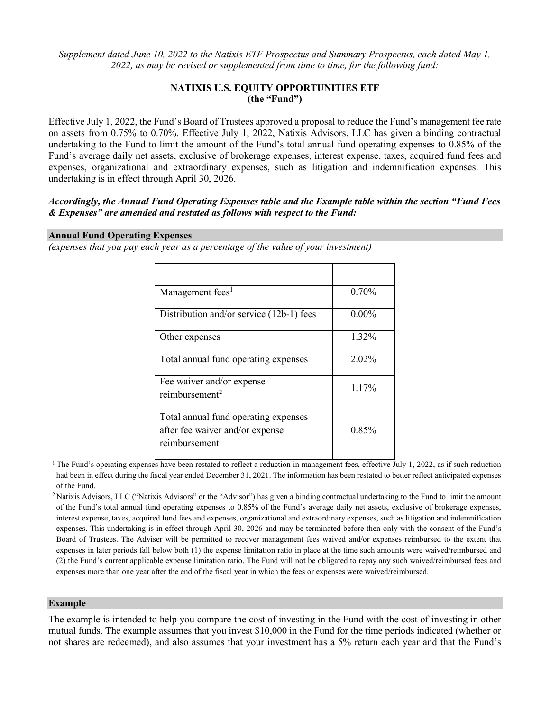*Supplement dated June 10, 2022 to the Natixis ETF Prospectus and Summary Prospectus, each dated May 1, 2022, as may be revised or supplemented from time to time, for the following fund:*

#### **NATIXIS U.S. EQUITY OPPORTUNITIES ETF (the "Fund")**

Effective July 1, 2022, the Fund's Board of Trustees approved a proposal to reduce the Fund's management fee rate on assets from 0.75% to 0.70%. Effective July 1, 2022, Natixis Advisors, LLC has given a binding contractual undertaking to the Fund to limit the amount of the Fund's total annual fund operating expenses to 0.85% of the Fund's average daily net assets, exclusive of brokerage expenses, interest expense, taxes, acquired fund fees and expenses, organizational and extraordinary expenses, such as litigation and indemnification expenses. This undertaking is in effect through April 30, 2026.

#### *Accordingly, the Annual Fund Operating Expenses table and the Example table within the section "Fund Fees & Expenses" are amended and restated as follows with respect to the Fund:*

#### **Annual Fund Operating Expenses**

*(expenses that you pay each year as a percentage of the value of your investment)*

| Management fees <sup>1</sup>                                                             | 0.70%    |
|------------------------------------------------------------------------------------------|----------|
| Distribution and/or service (12b-1) fees                                                 | $0.00\%$ |
| Other expenses                                                                           | 1.32%    |
| Total annual fund operating expenses                                                     | 2.02%    |
| Fee waiver and/or expense<br>reimbursement <sup>2</sup>                                  | 1.17%    |
| Total annual fund operating expenses<br>after fee waiver and/or expense<br>reimbursement | 0.85%    |

<sup>1</sup> The Fund's operating expenses have been restated to reflect a reduction in management fees, effective July 1, 2022, as if such reduction had been in effect during the fiscal year ended December 31, 2021. The information has been restated to better reflect anticipated expenses of the Fund.

<sup>2</sup> Natixis Advisors, LLC ("Natixis Advisors" or the "Advisor") has given a binding contractual undertaking to the Fund to limit the amount of the Fund's total annual fund operating expenses to 0.85% of the Fund's average daily net assets, exclusive of brokerage expenses, interest expense, taxes, acquired fund fees and expenses, organizational and extraordinary expenses, such as litigation and indemnification expenses. This undertaking is in effect through April 30, 2026 and may be terminated before then only with the consent of the Fund's Board of Trustees. The Adviser will be permitted to recover management fees waived and/or expenses reimbursed to the extent that expenses in later periods fall below both (1) the expense limitation ratio in place at the time such amounts were waived/reimbursed and (2) the Fund's current applicable expense limitation ratio. The Fund will not be obligated to repay any such waived/reimbursed fees and expenses more than one year after the end of the fiscal year in which the fees or expenses were waived/reimbursed.

#### **Example**

The example is intended to help you compare the cost of investing in the Fund with the cost of investing in other mutual funds. The example assumes that you invest \$10,000 in the Fund for the time periods indicated (whether or not shares are redeemed), and also assumes that your investment has a 5% return each year and that the Fund's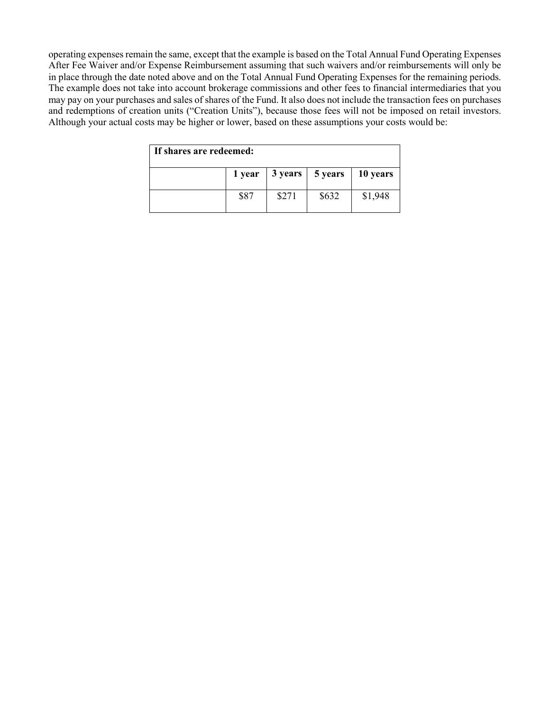operating expenses remain the same, except that the example is based on the Total Annual Fund Operating Expenses After Fee Waiver and/or Expense Reimbursement assuming that such waivers and/or reimbursements will only be in place through the date noted above and on the Total Annual Fund Operating Expenses for the remaining periods. The example does not take into account brokerage commissions and other fees to financial intermediaries that you may pay on your purchases and sales of shares of the Fund. It also does not include the transaction fees on purchases and redemptions of creation units ("Creation Units"), because those fees will not be imposed on retail investors. Although your actual costs may be higher or lower, based on these assumptions your costs would be:

| If shares are redeemed: |      |       |                                                           |         |
|-------------------------|------|-------|-----------------------------------------------------------|---------|
|                         |      |       | $1$ year $\vert 3$ years $\vert 5$ years $\vert 10$ years |         |
|                         | \$87 | \$271 | \$632                                                     | \$1,948 |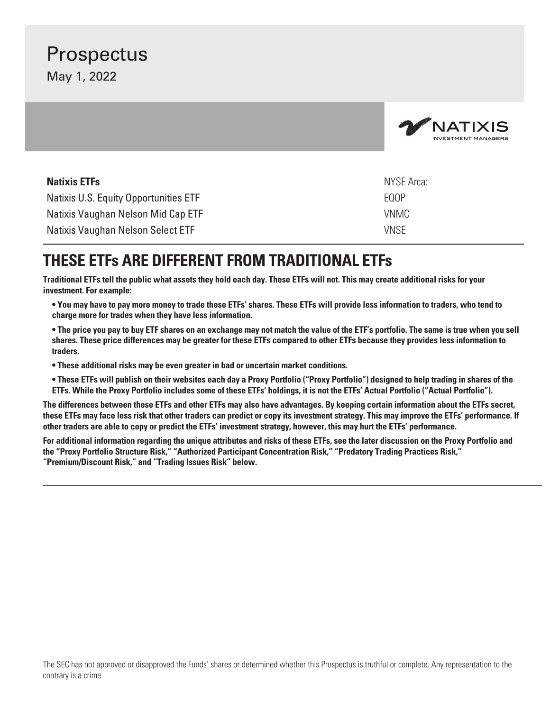# **Prospectus**

May 1, 2022

|                                       | <b>MATIXIS</b><br><b>INVESTMENT MANAGERS</b> |
|---------------------------------------|----------------------------------------------|
| <b>Natixis ETFs</b>                   | <b>NYSE Arca:</b>                            |
| Natixis U.S. Equity Opportunities ETF | EQOP                                         |
| Natixis Vaughan Nelson Mid Cap ETF    | <b>VNMC</b>                                  |
| Natixis Vaughan Nelson Select ETF     | <b>VNSE</b>                                  |

## **THESE ETFs ARE DIFFERENT FROM TRADITIONAL ETFs**

**Traditional ETFs tell the public what assets they hold each day. These ETFs will not. This may create additional risks for your investment. For example:**

**• You may have to pay more money to trade these ETFs' shares. These ETFs will provide less information to traders, who tend to charge more for trades when they have less information.**

**• The price you pay to buy ETF shares on an exchange may not match the value of the ETF's portfolio. The same is true when you sell shares. These price differences may be greater for these ETFs compared to other ETFs because they provides less information to traders.**

**• These additional risks may be even greater in bad or uncertain market conditions.**

**• These ETFs will publish on their websites each day a Proxy Portfolio ("Proxy Portfolio") designed to help trading in shares of the ETFs. While the Proxy Portfolio includes some of these ETFs' holdings, it is not the ETFs' Actual Portfolio ("Actual Portfolio").**

**The differences between these ETFs and other ETFs may also have advantages. By keeping certain information about the ETFs secret, these ETFs may face less risk that other traders can predict or copy its investment strategy. This may improve the ETFs' performance. If other traders are able to copy or predict the ETFs' investment strategy, however, this may hurt the ETFs' performance.**

**For additional information regarding the unique attributes and risks of these ETFs, see the later discussion on the Proxy Portfolio and the "Proxy Portfolio Structure Risk," "Authorized Participant Concentration Risk," "Predatory Trading Practices Risk," "Premium/Discount Risk," and "Trading Issues Risk" below.**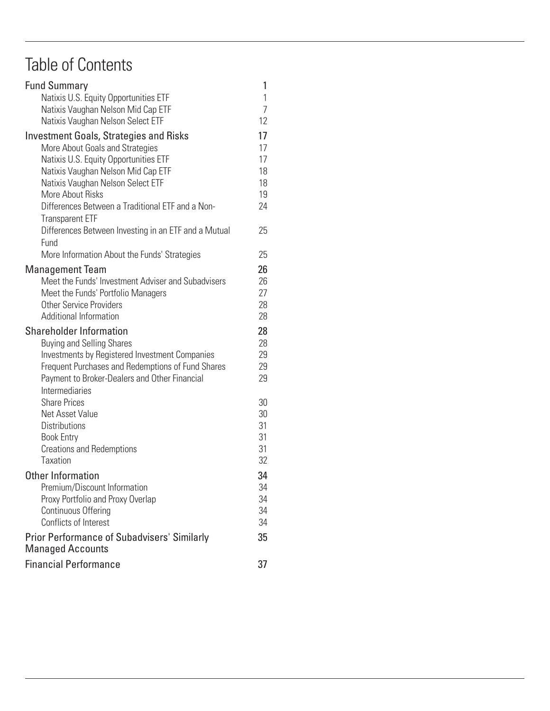# Table of Contents

| <b>Financial Performance</b>                                                  | 37                  |  |
|-------------------------------------------------------------------------------|---------------------|--|
| <b>Prior Performance of Subadvisers' Similarly</b><br><b>Managed Accounts</b> | 35                  |  |
|                                                                               |                     |  |
| Conflicts of Interest                                                         | 34                  |  |
| Proxy Portfolio and Proxy Overlap<br>Continuous Offering                      | 34<br>34            |  |
| Premium/Discount Information                                                  | 34                  |  |
| Other Information                                                             | 34                  |  |
|                                                                               |                     |  |
| Taxation                                                                      | 32                  |  |
| <b>Book Entry</b><br><b>Creations and Redemptions</b>                         | 31<br>31            |  |
| <b>Distributions</b>                                                          | 31                  |  |
| Net Asset Value                                                               | 30                  |  |
| <b>Share Prices</b>                                                           | 30                  |  |
| Intermediaries                                                                |                     |  |
| Payment to Broker-Dealers and Other Financial                                 | 29                  |  |
| Frequent Purchases and Redemptions of Fund Shares                             | 29                  |  |
| Investments by Registered Investment Companies                                | 29                  |  |
| <b>Buying and Selling Shares</b>                                              | 28                  |  |
| <b>Shareholder Information</b>                                                | 28                  |  |
| Additional Information                                                        | 28                  |  |
| <b>Other Service Providers</b>                                                | 28                  |  |
| Meet the Funds' Portfolio Managers                                            | 27                  |  |
| Meet the Funds' Investment Adviser and Subadvisers                            | 26                  |  |
| <b>Management Team</b>                                                        | 26                  |  |
|                                                                               |                     |  |
| Fund<br>More Information About the Funds' Strategies                          | 25                  |  |
| Differences Between Investing in an ETF and a Mutual                          |                     |  |
| <b>Transparent ETF</b>                                                        | 25                  |  |
| Differences Between a Traditional ETF and a Non-                              |                     |  |
|                                                                               | 19<br>24            |  |
| Natixis Vaughan Nelson Select ETF<br>More About Risks                         | 18                  |  |
| Natixis Vaughan Nelson Mid Cap ETF                                            | 18                  |  |
| Natixis U.S. Equity Opportunities ETF                                         | 17                  |  |
| More About Goals and Strategies                                               | 17                  |  |
| <b>Investment Goals, Strategies and Risks</b>                                 | 17                  |  |
| Natixis Vaughan Nelson Select ETF                                             |                     |  |
| Natixis Vaughan Nelson Mid Cap ETF                                            | 12                  |  |
| Natixis U.S. Equity Opportunities ETF                                         | 1<br>$\overline{7}$ |  |
| <b>Fund Summary</b>                                                           | 1                   |  |
|                                                                               |                     |  |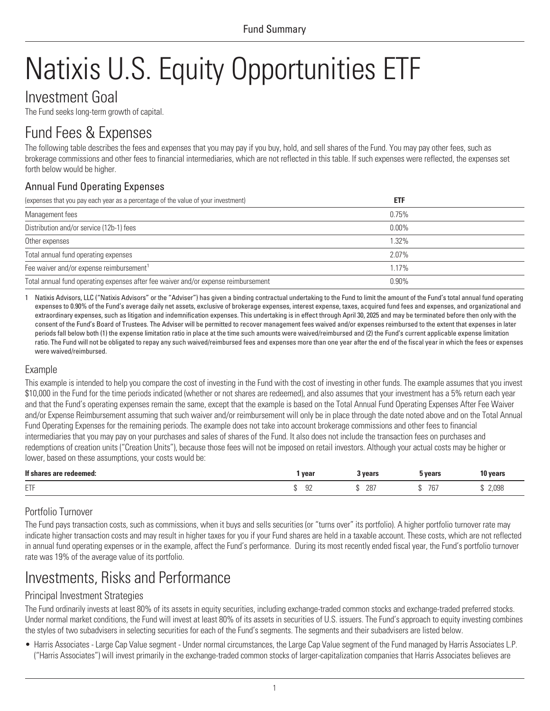# <span id="page-4-1"></span><span id="page-4-0"></span>Natixis U.S. Equity Opportunities ETF

### Investment Goal

The Fund seeks long-term growth of capital.

## Fund Fees & Expenses

The following table describes the fees and expenses that you may pay if you buy, hold, and sell shares of the Fund. You may pay other fees, such as brokerage commissions and other fees to financial intermediaries, which are not reflected in this table. If such expenses were reflected, the expenses set forth below would be higher.

### Annual Fund Operating Expenses

| (expenses that you pay each year as a percentage of the value of your investment)  | <b>ETF</b> |  |
|------------------------------------------------------------------------------------|------------|--|
| Management fees                                                                    | 0.75%      |  |
| Distribution and/or service (12b-1) fees                                           | $0.00\%$   |  |
| Other expenses                                                                     | 1.32%      |  |
| Total annual fund operating expenses                                               | $2.07\%$   |  |
| Fee waiver and/or expense reimbursement <sup>1</sup>                               | 1.17%      |  |
| Total annual fund operating expenses after fee waiver and/or expense reimbursement | $0.90\%$   |  |

1 Natixis Advisors, LLC ("Natixis Advisors" or the "Adviser") has given a binding contractual undertaking to the Fund to limit the amount of the Fund's total annual fund operating expenses to 0.90% of the Fund's average daily net assets, exclusive of brokerage expenses, interest expense, taxes, acquired fund fees and expenses, and organizational and extraordinary expenses, such as litigation and indemnification expenses. This undertaking is in effect through April 30, 2025 and may be terminated before then only with the consent of the Fund's Board of Trustees. The Adviser will be permitted to recover management fees waived and/or expenses reimbursed to the extent that expenses in later periods fall below both (1) the expense limitation ratio in place at the time such amounts were waived/reimbursed and (2) the Fund's current applicable expense limitation ratio. The Fund will not be obligated to repay any such waived/reimbursed fees and expenses more than one year after the end of the fiscal year in which the fees or expenses were waived/reimbursed.

### Example

This example is intended to help you compare the cost of investing in the Fund with the cost of investing in other funds. The example assumes that you invest \$10,000 in the Fund for the time periods indicated (whether or not shares are redeemed), and also assumes that your investment has a 5% return each year and that the Fund's operating expenses remain the same, except that the example is based on the Total Annual Fund Operating Expenses After Fee Waiver and/or Expense Reimbursement assuming that such waiver and/or reimbursement will only be in place through the date noted above and on the Total Annual Fund Operating Expenses for the remaining periods. The example does not take into account brokerage commissions and other fees to financial intermediaries that you may pay on your purchases and sales of shares of the Fund. It also does not include the transaction fees on purchases and redemptions of creation units ("Creation Units"), because those fees will not be imposed on retail investors. Although your actual costs may be higher or lower, based on these assumptions, your costs would be:

| If sha<br>; are redeemed: | year           | 3 vears    | <b>vears</b>           | 10 years |
|---------------------------|----------------|------------|------------------------|----------|
| <b>CTP</b><br><b>LII</b>  | $\Omega$<br>ັບ | 287<br>-11 | 7 <sup>c</sup><br>1 U. | 2,098    |

### Portfolio Turnover

The Fund pays transaction costs, such as commissions, when it buys and sells securities (or "turns over" its portfolio). A higher portfolio turnover rate may indicate higher transaction costs and may result in higher taxes for you if your Fund shares are held in a taxable account. These costs, which are not reflected in annual fund operating expenses or in the example, affect the Fund's performance. During its most recently ended fiscal year, the Fund's portfolio turnover rate was 19% of the average value of its portfolio.

# Investments, Risks and Performance

### Principal Investment Strategies

The Fund ordinarily invests at least 80% of its assets in equity securities, including exchange-traded common stocks and exchange-traded preferred stocks. Under normal market conditions, the Fund will invest at least 80% of its assets in securities of U.S. issuers. The Fund's approach to equity investing combines the styles of two subadvisers in selecting securities for each of the Fund's segments. The segments and their subadvisers are listed below.

• Harris Associates - Large Cap Value segment - Under normal circumstances, the Large Cap Value segment of the Fund managed by Harris Associates L.P. ("Harris Associates") will invest primarily in the exchange-traded common stocks of larger-capitalization companies that Harris Associates believes are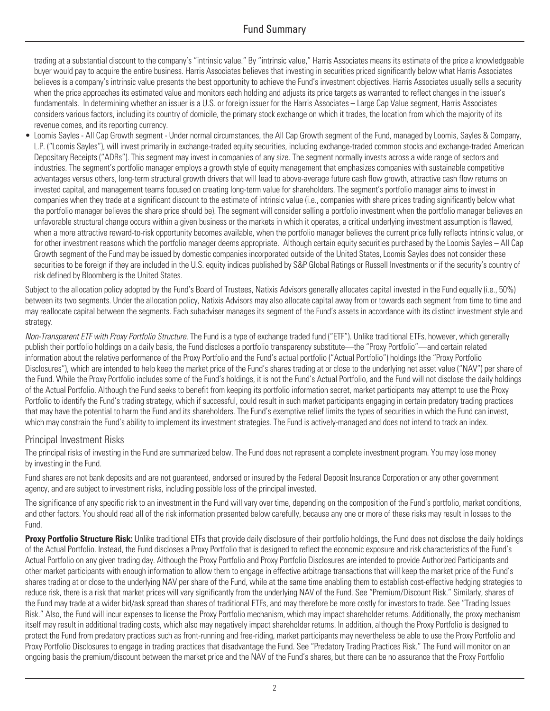trading at a substantial discount to the company's "intrinsic value." By "intrinsic value," Harris Associates means its estimate of the price a knowledgeable buyer would pay to acquire the entire business. Harris Associates believes that investing in securities priced significantly below what Harris Associates believes is a company's intrinsic value presents the best opportunity to achieve the Fund's investment objectives. Harris Associates usually sells a security when the price approaches its estimated value and monitors each holding and adjusts its price targets as warranted to reflect changes in the issuer's fundamentals. In determining whether an issuer is a U.S. or foreign issuer for the Harris Associates – Large Cap Value segment, Harris Associates considers various factors, including its country of domicile, the primary stock exchange on which it trades, the location from which the majority of its revenue comes, and its reporting currency.

• Loomis Sayles - All Cap Growth segment - Under normal circumstances, the All Cap Growth segment of the Fund, managed by Loomis, Sayles & Company, L.P. ("Loomis Sayles"), will invest primarily in exchange-traded equity securities, including exchange-traded common stocks and exchange-traded American Depositary Receipts ("ADRs"). This segment may invest in companies of any size. The segment normally invests across a wide range of sectors and industries. The segment's portfolio manager employs a growth style of equity management that emphasizes companies with sustainable competitive advantages versus others, long-term structural growth drivers that will lead to above-average future cash flow growth, attractive cash flow returns on invested capital, and management teams focused on creating long-term value for shareholders. The segment's portfolio manager aims to invest in companies when they trade at a significant discount to the estimate of intrinsic value (i.e., companies with share prices trading significantly below what the portfolio manager believes the share price should be). The segment will consider selling a portfolio investment when the portfolio manager believes an unfavorable structural change occurs within a given business or the markets in which it operates, a critical underlying investment assumption is flawed, when a more attractive reward-to-risk opportunity becomes available, when the portfolio manager believes the current price fully reflects intrinsic value, or invested capital, and management teams focused on creating long-term value for shareholders. The segment's portfolio manager aims to invest in companies when they trade at a significant discount to the estimate of intrinsi Growth segment of the Fund may be issued by domestic companies incorporated outside of the United States, Loomis Sayles does not consider these securities to be foreign if they are included in the U.S. equity indices published by S&P Global Ratings or Russell Investments or if the security's country of risk defined by Bloomberg is the United States.

Subject to the allocation policy adopted by the Fund's Board of Trustees, Natixis Advisors generally allocates capital invested in the Fund equally (i.e., 50%) between its two segments. Under the allocation policy, Natixis Advisors may also allocate capital away from or towards each segment from time to time and may reallocate capital between the segments. Each subadviser manages its segment of the Fund's assets in accordance with its distinct investment style and strategy.

*Non-Transparent ETF with Proxy Portfolio Structure.* The Fund is a type of exchange traded fund ("ETF"). Unlike traditional ETFs, however, which generally publish their portfolio holdings on a daily basis, the Fund discloses a portfolio transparency substitute—the "Proxy Portfolio"—and certain related information about the relative performance of the Proxy Portfolio and the Fund's actual portfolio ("Actual Portfolio") holdings (the "Proxy Portfolio Disclosures"), which are intended to help keep the market price of the Fund's shares trading at or close to the underlying net asset value ("NAV") per share of the Fund. While the Proxy Portfolio includes some of the Fund's holdings, it is not the Fund's Actual Portfolio, and the Fund will not disclose the daily holdings of the Actual Portfolio. Although the Fund seeks to benefit from keeping its portfolio information secret, market participants may attempt to use the Proxy Portfolio to identify the Fund's trading strategy, which if successful, could result in such market participants engaging in certain predatory trading practices that may have the potential to harm the Fund and its shareholders. The Fund's exemptive relief limits the types of securities in which the Fund can invest, which may constrain the Fund's ability to implement its investment strategies. The Fund is actively-managed and does not intend to track an index.

#### Principal Investment Risks

The principal risks of investing in the Fund are summarized below. The Fund does not represent a complete investment program. You may lose money by investing in the Fund.

Fund shares are not bank deposits and are not guaranteed, endorsed or insured by the Federal Deposit Insurance Corporation or any other government agency, and are subject to investment risks, including possible loss of the principal invested.

The significance of any specific risk to an investment in the Fund will vary over time, depending on the composition of the Fund's portfolio, market conditions, and other factors. You should read all of the risk information presented below carefully, because any one or more of these risks may result in losses to the Fund.

**Proxy Portfolio Structure Risk:** Unlike traditional ETFs that provide daily disclosure of their portfolio holdings, the Fund does not disclose the daily holdings of the Actual Portfolio. Instead, the Fund discloses a Proxy Portfolio that is designed to reflect the economic exposure and risk characteristics of the Fund's Actual Portfolio on any given trading day. Although the Proxy Portfolio and Proxy Portfolio Disclosures are intended to provide Authorized Participants and other market participants with enough information to allow them to engage in effective arbitrage transactions that will keep the market price of the Fund's shares trading at or close to the underlying NAV per share of the Fund, while at the same time enabling them to establish cost-effective hedging strategies to reduce risk, there is a risk that market prices will vary significantly from the underlying NAV of the Fund. See "Premium/Discount Risk." Similarly, shares of the Fund may trade at a wider bid/ask spread than shares of traditional ETFs, and may therefore be more costly for investors to trade. See "Trading Issues Risk." Also, the Fund will incur expenses to license the Proxy Portfolio mechanism, which may impact shareholder returns. Additionally, the proxy mechanism itself may result in additional trading costs, which also may negatively impact shareholder returns. In addition, although the Proxy Portfolio is designed to protect the Fund from predatory practices such as front-running and free-riding, market participants may nevertheless be able to use the Proxy Portfolio and Proxy Portfolio Disclosures to engage in trading practices that disadvantage the Fund. See "Predatory Trading Practices Risk." The Fund will monitor on an ongoing basis the premium/discount between the market price and the NAV of the Fund's shares, but there can be no assurance that the Proxy Portfolio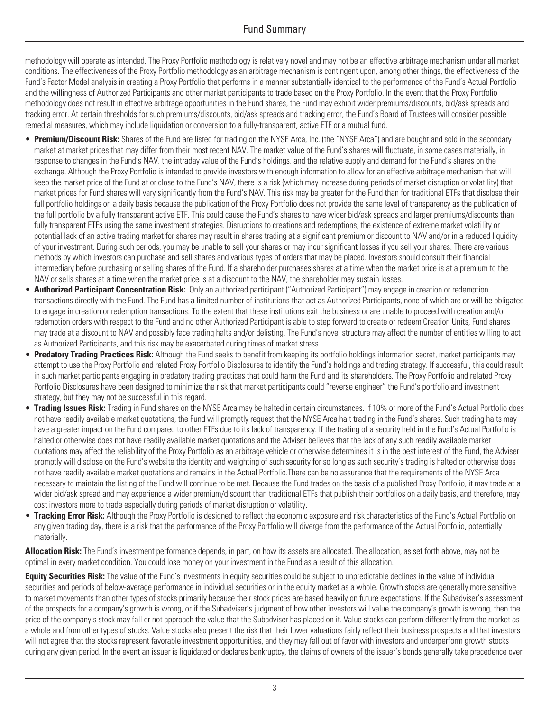### Fund Summary

methodology will operate as intended. The Proxy Portfolio methodology is relatively novel and may not be an effective arbitrage mechanism under all market conditions. The effectiveness of the Proxy Portfolio methodology as an arbitrage mechanism is contingent upon, among other things, the effectiveness of the Fund's Factor Model analysis in creating a Proxy Portfolio that performs in a manner substantially identical to the performance of the Fund's Actual Portfolio and the willingness of Authorized Participants and other market participants to trade based on the Proxy Portfolio. In the event that the Proxy Portfolio methodology does not result in effective arbitrage opportunities in the Fund shares, the Fund may exhibit wider premiums/discounts, bid/ask spreads and tracking error. At certain thresholds for such premiums/discounts, bid/ask spreads and tracking error, the Fund's Board of Trustees will consider possible remedial measures, which may include liquidation or conversion to a fully-transparent, active ETF or a mutual fund.

- **Premium/Discount Risk:** Shares of the Fund are listed for trading on the NYSE Arca, Inc. (the "NYSE Arca") and are bought and sold in the secondary market at market prices that may differ from their most recent NAV. The market value of the Fund's shares will fluctuate, in some cases materially, in response to changes in the Fund's NAV, the intraday value of the Fund's holdings, and the relative supply and demand for the Fund's shares on the exchange. Although the Proxy Portfolio is intended to provide investors with enough information to allow for an effective arbitrage mechanism that will keep the market price of the Fund at or close to the Fund's NAV, there is a risk (which may increase during periods of market disruption or volatility) that market prices for Fund shares will vary significantly from the Fund's NAV. This risk may be greater for the Fund than for traditional ETFs that disclose their full portfolio holdings on a daily basis because the publication of the Proxy Portfolio does not provide the same level of transparency as the publication of the full portfolio by a fully transparent active ETF. This could cause the Fund's shares to have wider bid/ask spreads and larger premiums/discounts than fully transparent ETFs using the same investment strategies. Disruptions to creations and redemptions, the existence of extreme market volatility or potential lack of an active trading market for shares may result in shares trading at a significant premium or discount to NAV and/or in a reduced liquidity of your investment. During such periods, you may be unable to sell your shares or may incur significant losses if you sell your shares. There are various methods by which investors can purchase and sell shares and various types of orders that may be placed. Investors should consult their financial intermediary before purchasing or selling shares of the Fund. If a shareholder purchases shares at a time when the market price is at a premium to the NAV or sells shares at a time when the market price is at a discount to the NAV, the shareholder may sustain losses.
- **Authorized Participant Concentration Risk:** Only an authorized participant ("Authorized Participant") may engage in creation or redemption transactions directly with the Fund. The Fund has a limited number of institutions that act as Authorized Participants, none of which are or will be obligated to engage in creation or redemption transactions. To the extent that these institutions exit the business or are unable to proceed with creation and/or redemption orders with respect to the Fund and no other Authorized Participant is able to step forward to create or redeem Creation Units, Fund shares may trade at a discount to NAV and possibly face trading halts and/or delisting. The Fund's novel structure may affect the number of entities willing to act as Authorized Participants, and this risk may be exacerbated during times of market stress.
- **Predatory Trading Practices Risk:** Although the Fund seeks to benefit from keeping its portfolio holdings information secret, market participants may attempt to use the Proxy Portfolio and related Proxy Portfolio Disclosures to identify the Fund's holdings and trading strategy. If successful, this could result in such market participants engaging in predatory trading practices that could harm the Fund and its shareholders. The Proxy Portfolio and related Proxy Portfolio Disclosures have been designed to minimize the risk that market participants could "reverse engineer" the Fund's portfolio and investment strategy, but they may not be successful in this regard.
- **Trading Issues Risk:** Trading in Fund shares on the NYSE Arca may be halted in certain circumstances. If 10% or more of the Fund's Actual Portfolio does not have readily available market quotations, the Fund will promptly request that the NYSE Arca halt trading in the Fund's shares. Such trading halts may have a greater impact on the Fund compared to other ETFs due to its lack of transparency. If the trading of a security held in the Fund's Actual Portfolio is halted or otherwise does not have readily available market quotations and the Adviser believes that the lack of any such readily available market quotations may affect the reliability of the Proxy Portfolio as an arbitrage vehicle or otherwise determines it is in the best interest of the Fund, the Adviser promptly will disclose on the Fund's website the identity and weighting of such security for so long as such security's trading is halted or otherwise does not have readily available market quotations and remains in the Actual Portfolio.There can be no assurance that the requirements of the NYSE Arca necessary to maintain the listing of the Fund will continue to be met. Because the Fund trades on the basis of a published Proxy Portfolio, it may trade at a wider bid/ask spread and may experience a wider premium/discount than traditional ETFs that publish their portfolios on a daily basis, and therefore, may cost investors more to trade especially during periods of market disruption or volatility.
- **Tracking Error Risk:** Although the Proxy Portfolio is designed to reflect the economic exposure and risk characteristics of the Fund's Actual Portfolio on any given trading day, there is a risk that the performance of the Proxy Portfolio will diverge from the performance of the Actual Portfolio, potentially materially.

**Allocation Risk:** The Fund's investment performance depends, in part, on how its assets are allocated. The allocation, as set forth above, may not be optimal in every market condition. You could lose money on your investment in the Fund as a result of this allocation.

**Equity Securities Risk:** The value of the Fund's investments in equity securities could be subject to unpredictable declines in the value of individual securities and periods of below-average performance in individual securities or in the equity market as a whole. Growth stocks are generally more sensitive to market movements than other types of stocks primarily because their stock prices are based heavily on future expectations. If the Subadviser's assessment of the prospects for a company's growth is wrong, or if the Subadviser's judgment of how other investors will value the company's growth is wrong, then the price of the company's stock may fall or not approach the value that the Subadviser has placed on it. Value stocks can perform differently from the market as a whole and from other types of stocks. Value stocks also present the risk that their lower valuations fairly reflect their business prospects and that investors will not agree that the stocks represent favorable investment opportunities, and they may fall out of favor with investors and underperform growth stocks during any given period. In the event an issuer is liquidated or declares bankruptcy, the claims of owners of the issuer's bonds generally take precedence over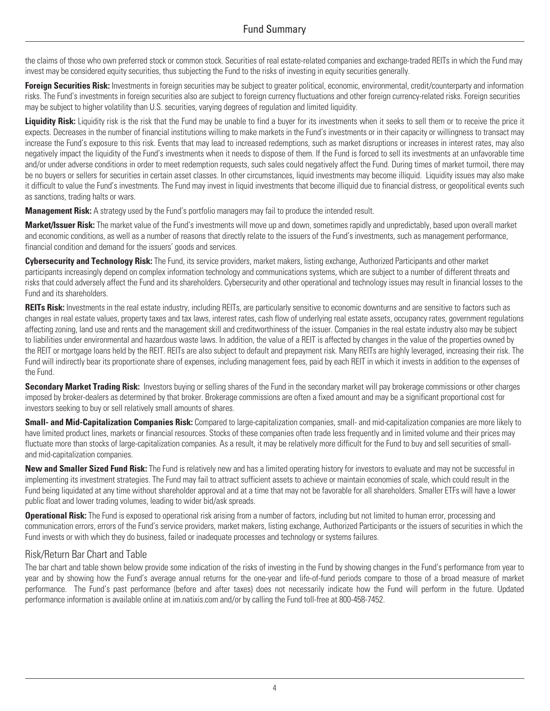the claims of those who own preferred stock or common stock. Securities of real estate-related companies and exchange-traded REITs in which the Fund may invest may be considered equity securities, thus subjecting the Fund to the risks of investing in equity securities generally.

**Foreign Securities Risk:** Investments in foreign securities may be subject to greater political, economic, environmental, credit/counterparty and information risks. The Fund's investments in foreign securities also are subject to foreign currency fluctuations and other foreign currency-related risks. Foreign securities may be subject to higher volatility than U.S. securities, varying degrees of regulation and limited liquidity.

Liquidity Risk: Liquidity risk is the risk that the Fund may be unable to find a buyer for its investments when it seeks to sell them or to receive the price it expects. Decreases in the number of financial institutions willing to make markets in the Fund's investments or in their capacity or willingness to transact may increase the Fund's exposure to this risk. Events that may lead to increased redemptions, such as market disruptions or increases in interest rates, may also negatively impact the liquidity of the Fund's investments when it needs to dispose of them. If the Fund is forced to sell its investments at an unfavorable time and/or under adverse conditions in order to meet redemption requests, such sales could negatively affect the Fund. During times of market turmoil, there may be no buyers or sellers for securities in certain asset classes. In other circumstances, liquid investments may become illiquid. Liquidity issues may also make it difficult to value the Fund's investments. The Fund may invest in liquid investments that become illiquid due to financial distress, or geopolitical events such as sanctions, trading halts or wars.

**Management Risk:** A strategy used by the Fund's portfolio managers may fail to produce the intended result.

**Market/Issuer Risk:** The market value of the Fund's investments will move up and down, sometimes rapidly and unpredictably, based upon overall market and economic conditions, as well as a number of reasons that directly relate to the issuers of the Fund's investments, such as management performance, financial condition and demand for the issuers' goods and services.

**Cybersecurity and Technology Risk:** The Fund, its service providers, market makers, listing exchange, Authorized Participants and other market participants increasingly depend on complex information technology and communications systems, which are subject to a number of different threats and risks that could adversely affect the Fund and its shareholders. Cybersecurity and other operational and technology issues may result in financial losses to the Fund and its shareholders.

**REITs Risk:** Investments in the real estate industry, including REITs, are particularly sensitive to economic downturns and are sensitive to factors such as changes in real estate values, property taxes and tax laws, interest rates, cash flow of underlying real estate assets, occupancy rates, government regulations affecting zoning, land use and rents and the management skill and creditworthiness of the issuer. Companies in the real estate industry also may be subject to liabilities under environmental and hazardous waste laws. In addition, the value of a REIT is affected by changes in the value of the properties owned by the REIT or mortgage loans held by the REIT. REITs are also subject to default and prepayment risk. Many REITs are highly leveraged, increasing their risk. The Fund will indirectly bear its proportionate share of expenses, including management fees, paid by each REIT in which it invests in addition to the expenses of the Fund.

**Secondary Market Trading Risk:** Investors buying or selling shares of the Fund in the secondary market will pay brokerage commissions or other charges imposed by broker-dealers as determined by that broker. Brokerage commissions are often a fixed amount and may be a significant proportional cost for investors seeking to buy or sell relatively small amounts of shares.

**Small- and Mid-Capitalization Companies Risk:** Compared to large-capitalization companies, small- and mid-capitalization companies are more likely to have limited product lines, markets or financial resources. Stocks of these companies often trade less frequently and in limited volume and their prices may fluctuate more than stocks of large-capitalization companies. As a result, it may be relatively more difficult for the Fund to buy and sell securities of smalland mid-capitalization companies.

**New and Smaller Sized Fund Risk:** The Fund is relatively new and has a limited operating history for investors to evaluate and may not be successful in implementing its investment strategies. The Fund may fail to attract sufficient assets to achieve or maintain economies of scale, which could result in the Fund being liquidated at any time without shareholder approval and at a time that may not be favorable for all shareholders. Smaller ETFs will have a lower public float and lower trading volumes, leading to wider bid/ask spreads.

**Operational Risk:** The Fund is exposed to operational risk arising from a number of factors, including but not limited to human error, processing and communication errors, errors of the Fund's service providers, market makers, listing exchange, Authorized Participants or the issuers of securities in which the Fund invests or with which they do business, failed or inadequate processes and technology or systems failures.

### Risk/Return Bar Chart and Table

The bar chart and table shown below provide some indication of the risks of investing in the Fund by showing changes in the Fund's performance from year to year and by showing how the Fund's average annual returns for the one-year and life-of-fund periods compare to those of a broad measure of market performance. The Fund's past performance (before and after taxes) does not necessarily indicate how the Fund will perform in the future. Updated performance information is available online at [im.natixis.com](http://im.natixis.com) and/or by calling the Fund toll-free at 800-458-7452.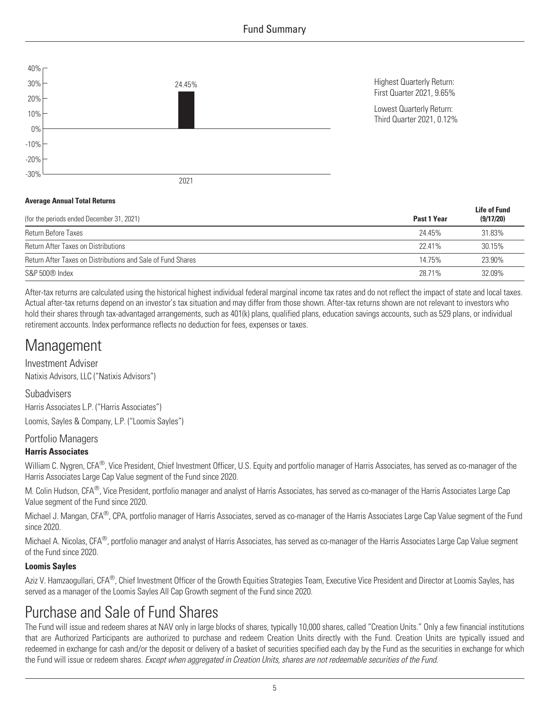

#### **Average Annual Total Returns**

| (for the periods ended December 31, 2021)                   | Past 1 Year | <b>Life of Fund</b><br>(9/17/20) |
|-------------------------------------------------------------|-------------|----------------------------------|
| Return Before Taxes                                         | 24.45%      | 31.83%                           |
| <b>Return After Taxes on Distributions</b>                  | 22 41%      | 30.15%                           |
| Return After Taxes on Distributions and Sale of Fund Shares | 14.75%      | 23.90%                           |
| S&P 500® Index                                              | 28.71%      | 32.09%                           |

After-tax returns are calculated using the historical highest individual federal marginal income tax rates and do not reflect the impact of state and local taxes. Actual after-tax returns depend on an investor's tax situation and may differ from those shown. After-tax returns shown are not relevant to investors who hold their shares through tax-advantaged arrangements, such as 401(k) plans, qualified plans, education savings accounts, such as 529 plans, or individual retirement accounts. Index performance reflects no deduction for fees, expenses or taxes.

### **Management**

Investment Adviser Natixis Advisors, LLC ("Natixis Advisors")

Subadvisers

Harris Associates L.P. ("Harris Associates")

Loomis, Sayles & Company, L.P. ("Loomis Sayles")

#### Portfolio Managers

#### **Harris Associates**

William C. Nygren, CFA<sup>®</sup>, Vice President, Chief Investment Officer, U.S. Equity and portfolio manager of Harris Associates, has served as co-manager of the Harris Associates Large Cap Value segment of the Fund since 2020.

M. Colin Hudson, CFA<sup>®</sup>, Vice President, portfolio manager and analyst of Harris Associates, has served as co-manager of the Harris Associates Large Cap Value segment of the Fund since 2020.

Michael J. Mangan, CFA®, CPA, portfolio manager of Harris Associates, served as co-manager of the Harris Associates Large Cap Value segment of the Fund since 2020.

Michael A. Nicolas, CFA<sup>®</sup>, portfolio manager and analyst of Harris Associates, has served as co-manager of the Harris Associates Large Cap Value segment of the Fund since 2020.

#### **Loomis Sayles**

Aziz V. Hamzaogullari, CFA®, Chief Investment Officer of the Growth Equities Strategies Team, Executive Vice President and Director at Loomis Sayles, has served as a manager of the Loomis Sayles All Cap Growth segment of the Fund since 2020.

## Purchase and Sale of Fund Shares

The Fund will issue and redeem shares at NAV only in large blocks of shares, typically 10,000 shares, called "Creation Units." Only a few financial institutions that are Authorized Participants are authorized to purchase and redeem Creation Units directly with the Fund. Creation Units are typically issued and redeemed in exchange for cash and/or the deposit or delivery of a basket of securities specified each day by the Fund as the securities in exchange for which the Fund will issue or redeem shares. *Except when aggregated in Creation Units, shares are not redeemable securities of the Fund*.

5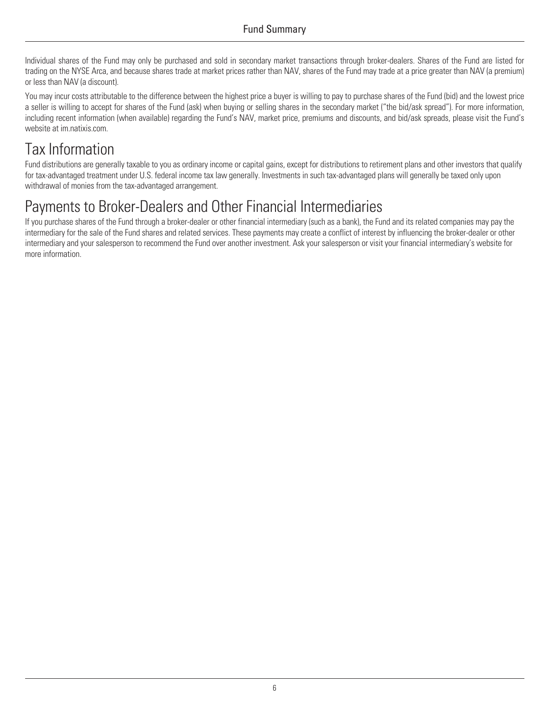Individual shares of the Fund may only be purchased and sold in secondary market transactions through broker-dealers. Shares of the Fund are listed for trading on the NYSE Arca, and because shares trade at market prices rather than NAV, shares of the Fund may trade at a price greater than NAV (a premium) or less than NAV (a discount).

You may incur costs attributable to the difference between the highest price a buyer is willing to pay to purchase shares of the Fund (bid) and the lowest price a seller is willing to accept for shares of the Fund (ask) when buying or selling shares in the secondary market ("the bid/ask spread"). For more information, including recent information (when available) regarding the Fund's NAV, market price, premiums and discounts, and bid/ask spreads, please visit the Fund's website at [im.natixis.com](http://im.natixis.com).

# Tax Information

Fund distributions are generally taxable to you as ordinary income or capital gains, except for distributions to retirement plans and other investors that qualify for tax-advantaged treatment under U.S. federal income tax law generally. Investments in such tax-advantaged plans will generally be taxed only upon withdrawal of monies from the tax-advantaged arrangement.

# Payments to Broker-Dealers and Other Financial Intermediaries

If you purchase shares of the Fund through a broker-dealer or other financial intermediary (such as a bank), the Fund and its related companies may pay the intermediary for the sale of the Fund shares and related services. These payments may create a conflict of interest by influencing the broker-dealer or other intermediary and your salesperson to recommend the Fund over another investment. Ask your salesperson or visit your financial intermediary's website for more information.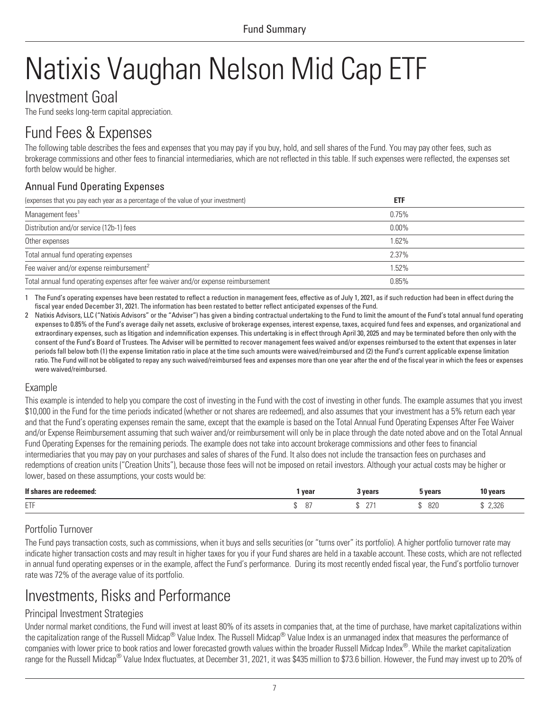# <span id="page-10-0"></span>Natixis Vaughan Nelson Mid Cap ETF

### Investment Goal

The Fund seeks long-term capital appreciation.

## Fund Fees & Expenses

The following table describes the fees and expenses that you may pay if you buy, hold, and sell shares of the Fund. You may pay other fees, such as brokerage commissions and other fees to financial intermediaries, which are not reflected in this table. If such expenses were reflected, the expenses set forth below would be higher.

### Annual Fund Operating Expenses

| (expenses that you pay each year as a percentage of the value of your investment)  | <b>ETF</b> |  |
|------------------------------------------------------------------------------------|------------|--|
| Management fees <sup>1</sup>                                                       | 0.75%      |  |
| Distribution and/or service (12b-1) fees                                           | $0.00\%$   |  |
| Other expenses                                                                     | 1.62%      |  |
| Total annual fund operating expenses                                               | 2.37%      |  |
| Fee waiver and/or expense reimbursement <sup>2</sup>                               | 1.52%      |  |
| Total annual fund operating expenses after fee waiver and/or expense reimbursement | 0.85%      |  |

1 The Fund's operating expenses have been restated to reflect a reduction in management fees, effective as of July 1, 2021, as if such reduction had been in effect during the fiscal year ended December 31, 2021. The information has been restated to better reflect anticipated expenses of the Fund.

2 Natixis Advisors, LLC ("Natixis Advisors" or the "Adviser") has given a binding contractual undertaking to the Fund to limit the amount of the Fund's total annual fund operating expenses to 0.85% of the Fund's average daily net assets, exclusive of brokerage expenses, interest expense, taxes, acquired fund fees and expenses, and organizational and extraordinary expenses, such as litigation and indemnification expenses. This undertaking is in effect through April 30, 2025 and may be terminated before then only with the consent of the Fund's Board of Trustees. The Adviser will be permitted to recover management fees waived and/or expenses reimbursed to the extent that expenses in later periods fall below both (1) the expense limitation ratio in place at the time such amounts were waived/reimbursed and (2) the Fund's current applicable expense limitation ratio. The Fund will not be obligated to repay any such waived/reimbursed fees and expenses more than one year after the end of the fiscal year in which the fees or expenses were waived/reimbursed.

### Example

This example is intended to help you compare the cost of investing in the Fund with the cost of investing in other funds. The example assumes that you invest \$10,000 in the Fund for the time periods indicated (whether or not shares are redeemed), and also assumes that your investment has a 5% return each year and that the Fund's operating expenses remain the same, except that the example is based on the Total Annual Fund Operating Expenses After Fee Waiver and/or Expense Reimbursement assuming that such waiver and/or reimbursement will only be in place through the date noted above and on the Total Annual Fund Operating Expenses for the remaining periods. The example does not take into account brokerage commissions and other fees to financial intermediaries that you may pay on your purchases and sales of shares of the Fund. It also does not include the transaction fees on purchases and redemptions of creation units ("Creation Units"), because those fees will not be imposed on retail investors. Although your actual costs may be higher or lower, based on these assumptions, your costs would be:

| If sha<br>redeemed:     | vear                 | <b>Vears</b><br>v cai ə | vears | 10 years |
|-------------------------|----------------------|-------------------------|-------|----------|
| <b>FTF</b><br><b>LI</b> | n <sup>-</sup><br>U1 | $\sim$<br>$\sim$        | 820   | 2,326    |

### Portfolio Turnover

The Fund pays transaction costs, such as commissions, when it buys and sells securities (or "turns over" its portfolio). A higher portfolio turnover rate may indicate higher transaction costs and may result in higher taxes for you if your Fund shares are held in a taxable account. These costs, which are not reflected in annual fund operating expenses or in the example, affect the Fund's performance. During its most recently ended fiscal year, the Fund's portfolio turnover rate was 72% of the average value of its portfolio.

## Investments, Risks and Performance

### Principal Investment Strategies

Under normal market conditions, the Fund will invest at least 80% of its assets in companies that, at the time of purchase, have market capitalizations within the capitalization range of the Russell Midcap® Value Index. The Russell Midcap® Value Index is an unmanaged index that measures the performance of companies with lower price to book ratios and lower forecasted growth values within the broader Russell Midcap Index®. While the market capitalization range for the Russell Midcap® Value Index fluctuates, at December 31, 2021, it was \$435 million to \$73.6 billion. However, the Fund may invest up to 20% of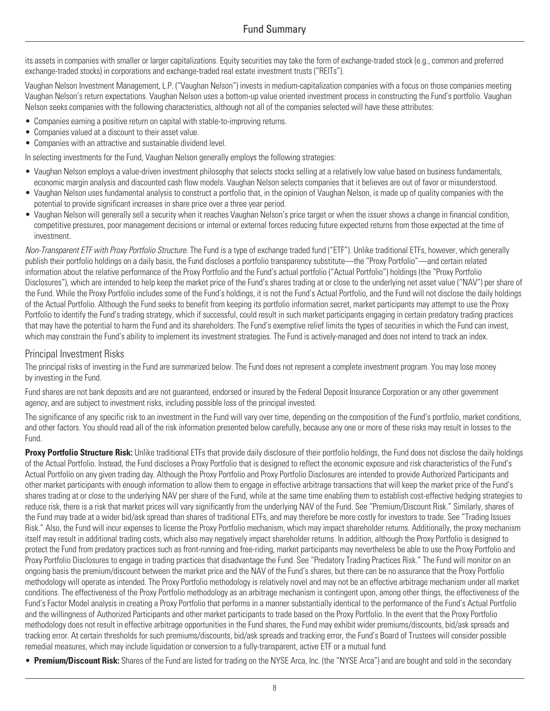its assets in companies with smaller or larger capitalizations. Equity securities may take the form of exchange-traded stock (e.g., common and preferred exchange-traded stocks) in corporations and exchange-traded real estate investment trusts ("REITs").

Vaughan Nelson Investment Management, L.P. ("Vaughan Nelson") invests in medium-capitalization companies with a focus on those companies meeting Vaughan Nelson's return expectations. Vaughan Nelson uses a bottom-up value oriented investment process in constructing the Fund's portfolio. Vaughan Nelson seeks companies with the following characteristics, although not all of the companies selected will have these attributes:

- Companies earning a positive return on capital with stable-to-improving returns.
- Companies valued at a discount to their asset value.
- Companies with an attractive and sustainable dividend level.

In selecting investments for the Fund, Vaughan Nelson generally employs the following strategies:

- Vaughan Nelson employs a value-driven investment philosophy that selects stocks selling at a relatively low value based on business fundamentals, economic margin analysis and discounted cash flow models. Vaughan Nelson selects companies that it believes are out of favor or misunderstood.
- Vaughan Nelson uses fundamental analysis to construct a portfolio that, in the opinion of Vaughan Nelson, is made up of quality companies with the potential to provide significant increases in share price over a three year period.
- Vaughan Nelson will generally sell a security when it reaches Vaughan Nelson's price target or when the issuer shows a change in financial condition, competitive pressures, poor management decisions or internal or external forces reducing future expected returns from those expected at the time of investment.

*Non-Transparent ETF with Proxy Portfolio Structure.* The Fund is a type of exchange traded fund ("ETF"). Unlike traditional ETFs, however, which generally publish their portfolio holdings on a daily basis, the Fund discloses a portfolio transparency substitute—the "Proxy Portfolio"—and certain related information about the relative performance of the Proxy Portfolio and the Fund's actual portfolio ("Actual Portfolio") holdings (the "Proxy Portfolio Disclosures"), which are intended to help keep the market price of the Fund's shares trading at or close to the underlying net asset value ("NAV") per share of the Fund. While the Proxy Portfolio includes some of the Fund's holdings, it is not the Fund's Actual Portfolio, and the Fund will not disclose the daily holdings of the Actual Portfolio. Although the Fund seeks to benefit from keeping its portfolio information secret, market participants may attempt to use the Proxy Portfolio to identify the Fund's trading strategy, which if successful, could result in such market participants engaging in certain predatory trading practices that may have the potential to harm the Fund and its shareholders. The Fund's exemptive relief limits the types of securities in which the Fund can invest, which may constrain the Fund's ability to implement its investment strategies. The Fund is actively-managed and does not intend to track an index.

#### Principal Investment Risks

The principal risks of investing in the Fund are summarized below. The Fund does not represent a complete investment program. You may lose money by investing in the Fund.

Fund shares are not bank deposits and are not guaranteed, endorsed or insured by the Federal Deposit Insurance Corporation or any other government agency, and are subject to investment risks, including possible loss of the principal invested.

The significance of any specific risk to an investment in the Fund will vary over time, depending on the composition of the Fund's portfolio, market conditions, and other factors. You should read all of the risk information presented below carefully, because any one or more of these risks may result in losses to the Fund.

**Proxy Portfolio Structure Risk:** Unlike traditional ETFs that provide daily disclosure of their portfolio holdings, the Fund does not disclose the daily holdings of the Actual Portfolio. Instead, the Fund discloses a Proxy Portfolio that is designed to reflect the economic exposure and risk characteristics of the Fund's Actual Portfolio on any given trading day. Although the Proxy Portfolio and Proxy Portfolio Disclosures are intended to provide Authorized Participants and other market participants with enough information to allow them to engage in effective arbitrage transactions that will keep the market price of the Fund's shares trading at or close to the underlying NAV per share of the Fund, while at the same time enabling them to establish cost-effective hedging strategies to reduce risk, there is a risk that market prices will vary significantly from the underlying NAV of the Fund. See "Premium/Discount Risk." Similarly, shares of the Fund may trade at a wider bid/ask spread than shares of traditional ETFs, and may therefore be more costly for investors to trade. See "Trading Issues Risk." Also, the Fund will incur expenses to license the Proxy Portfolio mechanism, which may impact shareholder returns. Additionally, the proxy mechanism itself may result in additional trading costs, which also may negatively impact shareholder returns. In addition, although the Proxy Portfolio is designed to protect the Fund from predatory practices such as front-running and free-riding, market participants may nevertheless be able to use the Proxy Portfolio and Proxy Portfolio Disclosures to engage in trading practices that disadvantage the Fund. See "Predatory Trading Practices Risk." The Fund will monitor on an ongoing basis the premium/discount between the market price and the NAV of the Fund's shares, but there can be no assurance that the Proxy Portfolio methodology will operate as intended. The Proxy Portfolio methodology is relatively novel and may not be an effective arbitrage mechanism under all market conditions. The effectiveness of the Proxy Portfolio methodology as an arbitrage mechanism is contingent upon, among other things, the effectiveness of the Fund's Factor Model analysis in creating a Proxy Portfolio that performs in a manner substantially identical to the performance of the Fund's Actual Portfolio and the willingness of Authorized Participants and other market participants to trade based on the Proxy Portfolio. In the event that the Proxy Portfolio methodology does not result in effective arbitrage opportunities in the Fund shares, the Fund may exhibit wider premiums/discounts, bid/ask spreads and tracking error. At certain thresholds for such premiums/discounts, bid/ask spreads and tracking error, the Fund's Board of Trustees will consider possible remedial measures, which may include liquidation or conversion to a fully-transparent, active ETF or a mutual fund.

• **Premium/Discount Risk:** Shares of the Fund are listed for trading on the NYSE Arca, Inc. (the "NYSE Arca") and are bought and sold in the secondary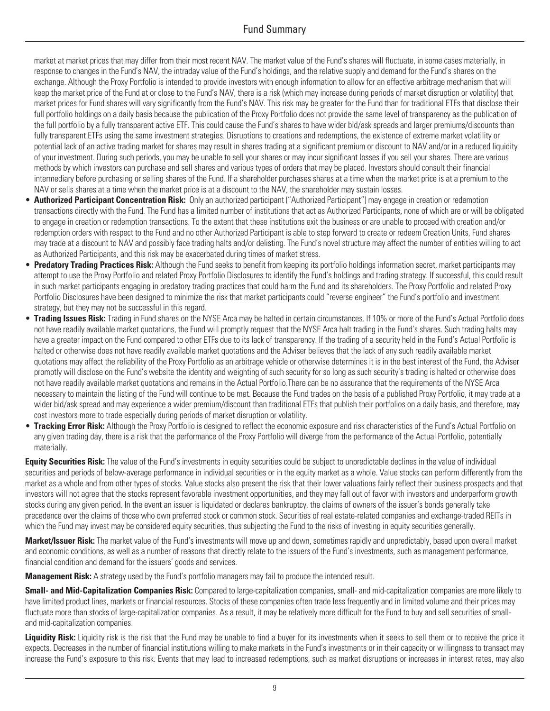market at market prices that may differ from their most recent NAV. The market value of the Fund's shares will fluctuate, in some cases materially, in response to changes in the Fund's NAV, the intraday value of the Fund's holdings, and the relative supply and demand for the Fund's shares on the exchange. Although the Proxy Portfolio is intended to provide investors with enough information to allow for an effective arbitrage mechanism that will keep the market price of the Fund at or close to the Fund's NAV, there is a risk (which may increase during periods of market disruption or volatility) that market prices for Fund shares will vary significantly from the Fund's NAV. This risk may be greater for the Fund than for traditional ETFs that disclose their full portfolio holdings on a daily basis because the publication of the Proxy Portfolio does not provide the same level of transparency as the publication of the full portfolio by a fully transparent active ETF. This could cause the Fund's shares to have wider bid/ask spreads and larger premiums/discounts than fully transparent ETFs using the same investment strategies. Disruptions to creations and redemptions, the existence of extreme market volatility or potential lack of an active trading market for shares may result in shares trading at a significant premium or discount to NAV and/or in a reduced liquidity of your investment. During such periods, you may be unable to sell your shares or may incur significant losses if you sell your shares. There are various methods by which investors can purchase and sell shares and various types of orders that may be placed. Investors should consult their financial intermediary before purchasing or selling shares of the Fund. If a shareholder purchases shares at a time when the market price is at a premium to the NAV or sells shares at a time when the market price is at a discount to the NAV, the shareholder may sustain losses.

- **Authorized Participant Concentration Risk:** Only an authorized participant ("Authorized Participant") may engage in creation or redemption transactions directly with the Fund. The Fund has a limited number of institutions that act as Authorized Participants, none of which are or will be obligated to engage in creation or redemption transactions. To the extent that these institutions exit the business or are unable to proceed with creation and/or redemption orders with respect to the Fund and no other Authorized Participant is able to step forward to create or redeem Creation Units, Fund shares may trade at a discount to NAV and possibly face trading halts and/or delisting. The Fund's novel structure may affect the number of entities willing to act as Authorized Participants, and this risk may be exacerbated during times of market stress.
- **Predatory Trading Practices Risk:** Although the Fund seeks to benefit from keeping its portfolio holdings information secret, market participants may attempt to use the Proxy Portfolio and related Proxy Portfolio Disclosures to identify the Fund's holdings and trading strategy. If successful, this could result in such market participants engaging in predatory trading practices that could harm the Fund and its shareholders. The Proxy Portfolio and related Proxy Portfolio Disclosures have been designed to minimize the risk that market participants could "reverse engineer" the Fund's portfolio and investment strategy, but they may not be successful in this regard.
- **Trading Issues Risk:** Trading in Fund shares on the NYSE Arca may be halted in certain circumstances. If 10% or more of the Fund's Actual Portfolio does not have readily available market quotations, the Fund will promptly request that the NYSE Arca halt trading in the Fund's shares. Such trading halts may have a greater impact on the Fund compared to other ETFs due to its lack of transparency. If the trading of a security held in the Fund's Actual Portfolio is halted or otherwise does not have readily available market quotations and the Adviser believes that the lack of any such readily available market quotations may affect the reliability of the Proxy Portfolio as an arbitrage vehicle or otherwise determines it is in the best interest of the Fund, the Adviser promptly will disclose on the Fund's website the identity and weighting of such security for so long as such security's trading is halted or otherwise does not have readily available market quotations and remains in the Actual Portfolio.There can be no assurance that the requirements of the NYSE Arca necessary to maintain the listing of the Fund will continue to be met. Because the Fund trades on the basis of a published Proxy Portfolio, it may trade at a wider bid/ask spread and may experience a wider premium/discount than traditional ETFs that publish their portfolios on a daily basis, and therefore, may cost investors more to trade especially during periods of market disruption or volatility.
- **Tracking Error Risk:** Although the Proxy Portfolio is designed to reflect the economic exposure and risk characteristics of the Fund's Actual Portfolio on any given trading day, there is a risk that the performance of the Proxy Portfolio will diverge from the performance of the Actual Portfolio, potentially materially.

**Equity Securities Risk:** The value of the Fund's investments in equity securities could be subject to unpredictable declines in the value of individual securities and periods of below-average performance in individual securities or in the equity market as a whole. Value stocks can perform differently from the market as a whole and from other types of stocks. Value stocks also present the risk that their lower valuations fairly reflect their business prospects and that investors will not agree that the stocks represent favorable investment opportunities, and they may fall out of favor with investors and underperform growth stocks during any given period. In the event an issuer is liquidated or declares bankruptcy, the claims of owners of the issuer's bonds generally take precedence over the claims of those who own preferred stock or common stock. Securities of real estate-related companies and exchange-traded REITs in which the Fund may invest may be considered equity securities, thus subjecting the Fund to the risks of investing in equity securities generally.

**Market/Issuer Risk:** The market value of the Fund's investments will move up and down, sometimes rapidly and unpredictably, based upon overall market and economic conditions, as well as a number of reasons that directly relate to the issuers of the Fund's investments, such as management performance, financial condition and demand for the issuers' goods and services.

**Management Risk:** A strategy used by the Fund's portfolio managers may fail to produce the intended result.

**Small- and Mid-Capitalization Companies Risk:** Compared to large-capitalization companies, small- and mid-capitalization companies are more likely to have limited product lines, markets or financial resources. Stocks of these companies often trade less frequently and in limited volume and their prices may fluctuate more than stocks of large-capitalization companies. As a result, it may be relatively more difficult for the Fund to buy and sell securities of smalland mid-capitalization companies.

Liquidity Risk: Liquidity risk is the risk that the Fund may be unable to find a buyer for its investments when it seeks to sell them or to receive the price it expects. Decreases in the number of financial institutions willing to make markets in the Fund's investments or in their capacity or willingness to transact may increase the Fund's exposure to this risk. Events that may lead to increased redemptions, such as market disruptions or increases in interest rates, may also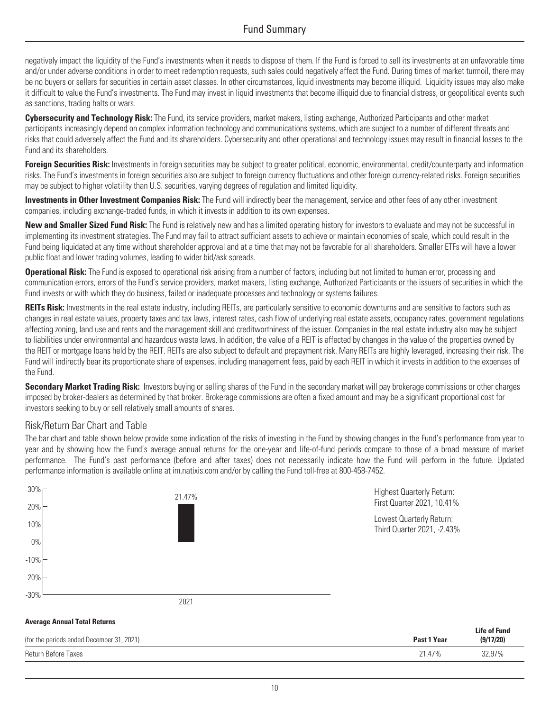negatively impact the liquidity of the Fund's investments when it needs to dispose of them. If the Fund is forced to sell its investments at an unfavorable time and/or under adverse conditions in order to meet redemption requests, such sales could negatively affect the Fund. During times of market turmoil, there may be no buyers or sellers for securities in certain asset classes. In other circumstances, liquid investments may become illiquid. Liquidity issues may also make it difficult to value the Fund's investments. The Fund may invest in liquid investments that become illiquid due to financial distress, or geopolitical events such as sanctions, trading halts or wars.

**Cybersecurity and Technology Risk:** The Fund, its service providers, market makers, listing exchange, Authorized Participants and other market participants increasingly depend on complex information technology and communications systems, which are subject to a number of different threats and risks that could adversely affect the Fund and its shareholders. Cybersecurity and other operational and technology issues may result in financial losses to the Fund and its shareholders.

**Foreign Securities Risk:** Investments in foreign securities may be subject to greater political, economic, environmental, credit/counterparty and information risks. The Fund's investments in foreign securities also are subject to foreign currency fluctuations and other foreign currency-related risks. Foreign securities may be subject to higher volatility than U.S. securities, varying degrees of regulation and limited liquidity.

**Investments in Other Investment Companies Risk:** The Fund will indirectly bear the management, service and other fees of any other investment companies, including exchange-traded funds, in which it invests in addition to its own expenses.

**New and Smaller Sized Fund Risk:** The Fund is relatively new and has a limited operating history for investors to evaluate and may not be successful in implementing its investment strategies. The Fund may fail to attract sufficient assets to achieve or maintain economies of scale, which could result in the Fund being liquidated at any time without shareholder approval and at a time that may not be favorable for all shareholders. Smaller ETFs will have a lower public float and lower trading volumes, leading to wider bid/ask spreads.

**Operational Risk:** The Fund is exposed to operational risk arising from a number of factors, including but not limited to human error, processing and communication errors, errors of the Fund's service providers, market makers, listing exchange, Authorized Participants or the issuers of securities in which the Fund invests or with which they do business, failed or inadequate processes and technology or systems failures.

**REITs Risk:** Investments in the real estate industry, including REITs, are particularly sensitive to economic downturns and are sensitive to factors such as changes in real estate values, property taxes and tax laws, interest rates, cash flow of underlying real estate assets, occupancy rates, government regulations affecting zoning, land use and rents and the management skill and creditworthiness of the issuer. Companies in the real estate industry also may be subject to liabilities under environmental and hazardous waste laws. In addition, the value of a REIT is affected by changes in the value of the properties owned by the REIT or mortgage loans held by the REIT. REITs are also subject to default and prepayment risk. Many REITs are highly leveraged, increasing their risk. The Fund will indirectly bear its proportionate share of expenses, including management fees, paid by each REIT in which it invests in addition to the expenses of the Fund.

**Secondary Market Trading Risk:** Investors buying or selling shares of the Fund in the secondary market will pay brokerage commissions or other charges imposed by broker-dealers as determined by that broker. Brokerage commissions are often a fixed amount and may be a significant proportional cost for investors seeking to buy or sell relatively small amounts of shares.

#### Risk/Return Bar Chart and Table

The bar chart and table shown below provide some indication of the risks of investing in the Fund by showing changes in the Fund's performance from year to year and by showing how the Fund's average annual returns for the one-year and life-of-fund periods compare to those of a broad measure of market performance. The Fund's past performance (before and after taxes) does not necessarily indicate how the Fund will perform in the future. Updated performance information is available online at [im.natixis.com](http://im.natixis.com) and/or by calling the Fund toll-free at 800-458-7452.



| (for the periods ended December 31, 2021) | Past 1 Year | <b>Life of Fund</b><br>(9/17/20) |  |
|-------------------------------------------|-------------|----------------------------------|--|
| Return Before Taxes                       | 21.47%      | 32 Q7%<br>، ن ک                  |  |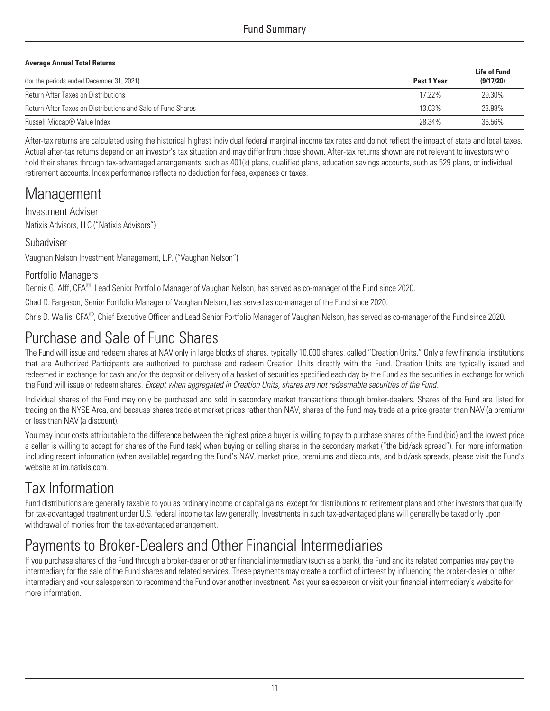#### **Average Annual Total Returns**

| (for the periods ended December 31, 2021)                   | Past 1 Year | <b>Life of Fund</b><br>(9/17/20) |
|-------------------------------------------------------------|-------------|----------------------------------|
| <b>Return After Taxes on Distributions</b>                  | 17.22%      | 29.30%                           |
| Return After Taxes on Distributions and Sale of Fund Shares | 13.03%      | 23.98%                           |
| Russell Midcap® Value Index                                 | 28.34%      | 36.56%                           |

After-tax returns are calculated using the historical highest individual federal marginal income tax rates and do not reflect the impact of state and local taxes. Actual after-tax returns depend on an investor's tax situation and may differ from those shown. After-tax returns shown are not relevant to investors who hold their shares through tax-advantaged arrangements, such as 401(k) plans, qualified plans, education savings accounts, such as 529 plans, or individual retirement accounts. Index performance reflects no deduction for fees, expenses or taxes.

### **Management**

Investment Adviser Natixis Advisors, LLC ("Natixis Advisors")

### Subadviser

Vaughan Nelson Investment Management, L.P. ("Vaughan Nelson")

### Portfolio Managers

Dennis G. Alff, CFA<sup>®</sup>, Lead Senior Portfolio Manager of Vaughan Nelson, has served as co-manager of the Fund since 2020.

Chad D. Fargason, Senior Portfolio Manager of Vaughan Nelson, has served as co-manager of the Fund since 2020.

Chris D. Wallis, CFA®, Chief Executive Officer and Lead Senior Portfolio Manager of Vaughan Nelson, has served as co-manager of the Fund since 2020.

## Purchase and Sale of Fund Shares

The Fund will issue and redeem shares at NAV only in large blocks of shares, typically 10,000 shares, called "Creation Units." Only a few financial institutions that are Authorized Participants are authorized to purchase and redeem Creation Units directly with the Fund. Creation Units are typically issued and redeemed in exchange for cash and/or the deposit or delivery of a basket of securities specified each day by the Fund as the securities in exchange for which the Fund will issue or redeem shares. *Except when aggregated in Creation Units, shares are not redeemable securities of the Fund*.

Individual shares of the Fund may only be purchased and sold in secondary market transactions through broker-dealers. Shares of the Fund are listed for trading on the NYSE Arca, and because shares trade at market prices rather than NAV, shares of the Fund may trade at a price greater than NAV (a premium) or less than NAV (a discount).

You may incur costs attributable to the difference between the highest price a buyer is willing to pay to purchase shares of the Fund (bid) and the lowest price a seller is willing to accept for shares of the Fund (ask) when buying or selling shares in the secondary market ("the bid/ask spread"). For more information, including recent information (when available) regarding the Fund's NAV, market price, premiums and discounts, and bid/ask spreads, please visit the Fund's website at im natixis com.

# Tax Information

Fund distributions are generally taxable to you as ordinary income or capital gains, except for distributions to retirement plans and other investors that qualify for tax-advantaged treatment under U.S. federal income tax law generally. Investments in such tax-advantaged plans will generally be taxed only upon withdrawal of monies from the tax-advantaged arrangement.

# Payments to Broker-Dealers and Other Financial Intermediaries

If you purchase shares of the Fund through a broker-dealer or other financial intermediary (such as a bank), the Fund and its related companies may pay the intermediary for the sale of the Fund shares and related services. These payments may create a conflict of interest by influencing the broker-dealer or other intermediary and your salesperson to recommend the Fund over another investment. Ask your salesperson or visit your financial intermediary's website for more information.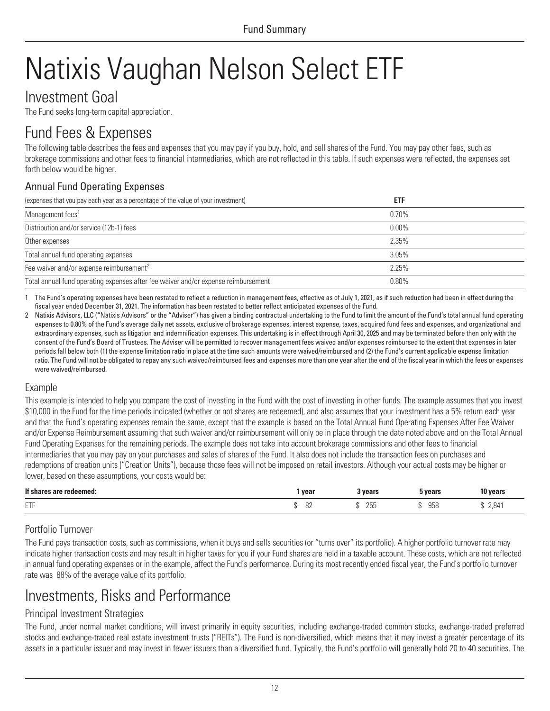# <span id="page-15-0"></span>Natixis Vaughan Nelson Select ETF

### Investment Goal

The Fund seeks long-term capital appreciation.

## Fund Fees & Expenses

The following table describes the fees and expenses that you may pay if you buy, hold, and sell shares of the Fund. You may pay other fees, such as brokerage commissions and other fees to financial intermediaries, which are not reflected in this table. If such expenses were reflected, the expenses set forth below would be higher.

### Annual Fund Operating Expenses

| (expenses that you pay each year as a percentage of the value of your investment)  | <b>ETF</b> |  |
|------------------------------------------------------------------------------------|------------|--|
| Management fees <sup>1</sup>                                                       | 0.70%      |  |
| Distribution and/or service (12b-1) fees                                           | $0.00\%$   |  |
| Other expenses                                                                     | 2.35%      |  |
| Total annual fund operating expenses                                               | 3.05%      |  |
| Fee waiver and/or expense reimbursement <sup>2</sup>                               | 2.25%      |  |
| Total annual fund operating expenses after fee waiver and/or expense reimbursement | $0.80\%$   |  |

1 The Fund's operating expenses have been restated to reflect a reduction in management fees, effective as of July 1, 2021, as if such reduction had been in effect during the fiscal year ended December 31, 2021. The information has been restated to better reflect anticipated expenses of the Fund.

2 Natixis Advisors, LLC ("Natixis Advisors" or the "Adviser") has given a binding contractual undertaking to the Fund to limit the amount of the Fund's total annual fund operating expenses to 0.80% of the Fund's average daily net assets, exclusive of brokerage expenses, interest expense, taxes, acquired fund fees and expenses, and organizational and extraordinary expenses, such as litigation and indemnification expenses. This undertaking is in effect through April 30, 2025 and may be terminated before then only with the consent of the Fund's Board of Trustees. The Adviser will be permitted to recover management fees waived and/or expenses reimbursed to the extent that expenses in later periods fall below both (1) the expense limitation ratio in place at the time such amounts were waived/reimbursed and (2) the Fund's current applicable expense limitation ratio. The Fund will not be obligated to repay any such waived/reimbursed fees and expenses more than one year after the end of the fiscal year in which the fees or expenses were waived/reimbursed.

### Example

This example is intended to help you compare the cost of investing in the Fund with the cost of investing in other funds. The example assumes that you invest \$10,000 in the Fund for the time periods indicated (whether or not shares are redeemed), and also assumes that your investment has a 5% return each year and that the Fund's operating expenses remain the same, except that the example is based on the Total Annual Fund Operating Expenses After Fee Waiver and/or Expense Reimbursement assuming that such waiver and/or reimbursement will only be in place through the date noted above and on the Total Annual Fund Operating Expenses for the remaining periods. The example does not take into account brokerage commissions and other fees to financial intermediaries that you may pay on your purchases and sales of shares of the Fund. It also does not include the transaction fees on purchases and redemptions of creation units ("Creation Units"), because those fees will not be imposed on retail investors. Although your actual costs may be higher or lower, based on these assumptions, your costs would be:

| If sha<br>s are redeemed: | year      | 3 vears            | vears | 10 years |
|---------------------------|-----------|--------------------|-------|----------|
| <b>CTC</b><br>--          | n'<br>ັບພ | つにに<br>ムしい<br>- 31 | 958   | 2,841    |

### Portfolio Turnover

The Fund pays transaction costs, such as commissions, when it buys and sells securities (or "turns over" its portfolio). A higher portfolio turnover rate may indicate higher transaction costs and may result in higher taxes for you if your Fund shares are held in a taxable account. These costs, which are not reflected in annual fund operating expenses or in the example, affect the Fund's performance. During its most recently ended fiscal year, the Fund's portfolio turnover rate was 88% of the average value of its portfolio.

## Investments, Risks and Performance

### Principal Investment Strategies

The Fund, under normal market conditions, will invest primarily in equity securities, including exchange-traded common stocks, exchange-traded preferred stocks and exchange-traded real estate investment trusts ("REITs"). The Fund is non-diversified, which means that it may invest a greater percentage of its assets in a particular issuer and may invest in fewer issuers than a diversified fund. Typically, the Fund's portfolio will generally hold 20 to 40 securities. The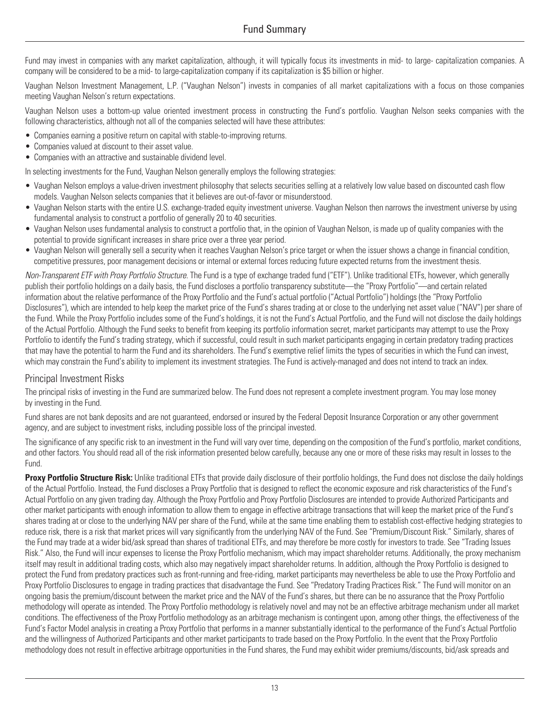Fund may invest in companies with any market capitalization, although, it will typically focus its investments in mid- to large- capitalization companies. A company will be considered to be a mid- to large-capitalization company if its capitalization is \$5 billion or higher.

Vaughan Nelson Investment Management, L.P. ("Vaughan Nelson") invests in companies of all market capitalizations with a focus on those companies meeting Vaughan Nelson's return expectations.

Vaughan Nelson uses a bottom-up value oriented investment process in constructing the Fund's portfolio. Vaughan Nelson seeks companies with the following characteristics, although not all of the companies selected will have these attributes:

- Companies earning a positive return on capital with stable-to-improving returns.
- Companies valued at discount to their asset value.
- Companies with an attractive and sustainable dividend level.

In selecting investments for the Fund, Vaughan Nelson generally employs the following strategies:

- Vaughan Nelson employs a value-driven investment philosophy that selects securities selling at a relatively low value based on discounted cash flow models. Vaughan Nelson selects companies that it believes are out-of-favor or misunderstood.
- Vaughan Nelson starts with the entire U.S. exchange-traded equity investment universe. Vaughan Nelson then narrows the investment universe by using fundamental analysis to construct a portfolio of generally 20 to 40 securities.
- Vaughan Nelson uses fundamental analysis to construct a portfolio that, in the opinion of Vaughan Nelson, is made up of quality companies with the potential to provide significant increases in share price over a three year period.
- Vaughan Nelson will generally sell a security when it reaches Vaughan Nelson's price target or when the issuer shows a change in financial condition, competitive pressures, poor management decisions or internal or external forces reducing future expected returns from the investment thesis.

*Non-Transparent ETF with Proxy Portfolio Structure.* The Fund is a type of exchange traded fund ("ETF"). Unlike traditional ETFs, however, which generally publish their portfolio holdings on a daily basis, the Fund discloses a portfolio transparency substitute—the "Proxy Portfolio"—and certain related information about the relative performance of the Proxy Portfolio and the Fund's actual portfolio ("Actual Portfolio") holdings (the "Proxy Portfolio Disclosures"), which are intended to help keep the market price of the Fund's shares trading at or close to the underlying net asset value ("NAV") per share of the Fund. While the Proxy Portfolio includes some of the Fund's holdings, it is not the Fund's Actual Portfolio, and the Fund will not disclose the daily holdings of the Actual Portfolio. Although the Fund seeks to benefit from keeping its portfolio information secret, market participants may attempt to use the Proxy Portfolio to identify the Fund's trading strategy, which if successful, could result in such market participants engaging in certain predatory trading practices that may have the potential to harm the Fund and its shareholders. The Fund's exemptive relief limits the types of securities in which the Fund can invest, which may constrain the Fund's ability to implement its investment strategies. The Fund is actively-managed and does not intend to track an index.

#### Principal Investment Risks

The principal risks of investing in the Fund are summarized below. The Fund does not represent a complete investment program. You may lose money by investing in the Fund.

Fund shares are not bank deposits and are not guaranteed, endorsed or insured by the Federal Deposit Insurance Corporation or any other government agency, and are subject to investment risks, including possible loss of the principal invested.

The significance of any specific risk to an investment in the Fund will vary over time, depending on the composition of the Fund's portfolio, market conditions, and other factors. You should read all of the risk information presented below carefully, because any one or more of these risks may result in losses to the Fund.

**Proxy Portfolio Structure Risk:** Unlike traditional ETFs that provide daily disclosure of their portfolio holdings, the Fund does not disclose the daily holdings of the Actual Portfolio. Instead, the Fund discloses a Proxy Portfolio that is designed to reflect the economic exposure and risk characteristics of the Fund's Actual Portfolio on any given trading day. Although the Proxy Portfolio and Proxy Portfolio Disclosures are intended to provide Authorized Participants and other market participants with enough information to allow them to engage in effective arbitrage transactions that will keep the market price of the Fund's shares trading at or close to the underlying NAV per share of the Fund, while at the same time enabling them to establish cost-effective hedging strategies to reduce risk, there is a risk that market prices will vary significantly from the underlying NAV of the Fund. See "Premium/Discount Risk." Similarly, shares of the Fund may trade at a wider bid/ask spread than shares of traditional ETFs, and may therefore be more costly for investors to trade. See "Trading Issues Risk." Also, the Fund will incur expenses to license the Proxy Portfolio mechanism, which may impact shareholder returns. Additionally, the proxy mechanism itself may result in additional trading costs, which also may negatively impact shareholder returns. In addition, although the Proxy Portfolio is designed to protect the Fund from predatory practices such as front-running and free-riding, market participants may nevertheless be able to use the Proxy Portfolio and Proxy Portfolio Disclosures to engage in trading practices that disadvantage the Fund. See "Predatory Trading Practices Risk." The Fund will monitor on an ongoing basis the premium/discount between the market price and the NAV of the Fund's shares, but there can be no assurance that the Proxy Portfolio methodology will operate as intended. The Proxy Portfolio methodology is relatively novel and may not be an effective arbitrage mechanism under all market conditions. The effectiveness of the Proxy Portfolio methodology as an arbitrage mechanism is contingent upon, among other things, the effectiveness of the Fund's Factor Model analysis in creating a Proxy Portfolio that performs in a manner substantially identical to the performance of the Fund's Actual Portfolio and the willingness of Authorized Participants and other market participants to trade based on the Proxy Portfolio. In the event that the Proxy Portfolio methodology does not result in effective arbitrage opportunities in the Fund shares, the Fund may exhibit wider premiums/discounts, bid/ask spreads and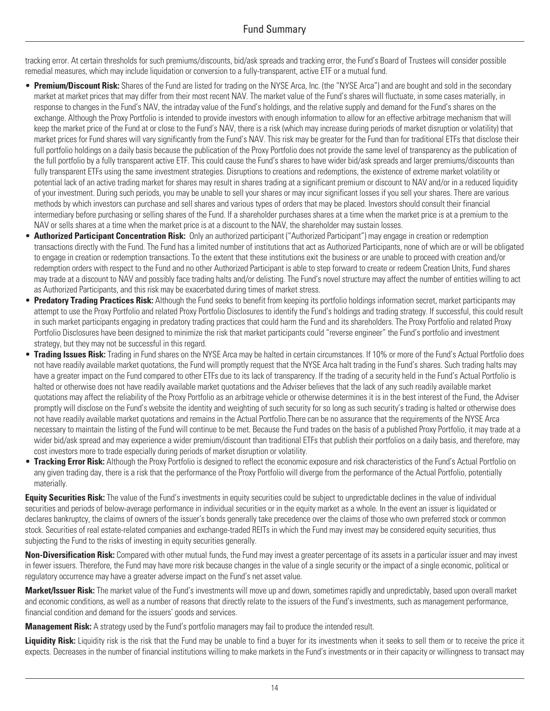tracking error. At certain thresholds for such premiums/discounts, bid/ask spreads and tracking error, the Fund's Board of Trustees will consider possible remedial measures, which may include liquidation or conversion to a fully-transparent, active ETF or a mutual fund.

- **Premium/Discount Risk:** Shares of the Fund are listed for trading on the NYSE Arca, Inc. (the "NYSE Arca") and are bought and sold in the secondary market at market prices that may differ from their most recent NAV. The market value of the Fund's shares will fluctuate, in some cases materially, in response to changes in the Fund's NAV, the intraday value of the Fund's holdings, and the relative supply and demand for the Fund's shares on the exchange. Although the Proxy Portfolio is intended to provide investors with enough information to allow for an effective arbitrage mechanism that will keep the market price of the Fund at or close to the Fund's NAV, there is a risk (which may increase during periods of market disruption or volatility) that market prices for Fund shares will vary significantly from the Fund's NAV. This risk may be greater for the Fund than for traditional ETFs that disclose their full portfolio holdings on a daily basis because the publication of the Proxy Portfolio does not provide the same level of transparency as the publication of the full portfolio by a fully transparent active ETF. This could cause the Fund's shares to have wider bid/ask spreads and larger premiums/discounts than fully transparent ETFs using the same investment strategies. Disruptions to creations and redemptions, the existence of extreme market volatility or potential lack of an active trading market for shares may result in shares trading at a significant premium or discount to NAV and/or in a reduced liquidity of your investment. During such periods, you may be unable to sell your shares or may incur significant losses if you sell your shares. There are various methods by which investors can purchase and sell shares and various types of orders that may be placed. Investors should consult their financial intermediary before purchasing or selling shares of the Fund. If a shareholder purchases shares at a time when the market price is at a premium to the NAV or sells shares at a time when the market price is at a discount to the NAV, the shareholder may sustain losses.
- **Authorized Participant Concentration Risk:** Only an authorized participant ("Authorized Participant") may engage in creation or redemption transactions directly with the Fund. The Fund has a limited number of institutions that act as Authorized Participants, none of which are or will be obligated to engage in creation or redemption transactions. To the extent that these institutions exit the business or are unable to proceed with creation and/or redemption orders with respect to the Fund and no other Authorized Participant is able to step forward to create or redeem Creation Units, Fund shares may trade at a discount to NAV and possibly face trading halts and/or delisting. The Fund's novel structure may affect the number of entities willing to act as Authorized Participants, and this risk may be exacerbated during times of market stress.
- **Predatory Trading Practices Risk:** Although the Fund seeks to benefit from keeping its portfolio holdings information secret, market participants may attempt to use the Proxy Portfolio and related Proxy Portfolio Disclosures to identify the Fund's holdings and trading strategy. If successful, this could result in such market participants engaging in predatory trading practices that could harm the Fund and its shareholders. The Proxy Portfolio and related Proxy Portfolio Disclosures have been designed to minimize the risk that market participants could "reverse engineer" the Fund's portfolio and investment strategy, but they may not be successful in this regard.
- **Trading Issues Risk:** Trading in Fund shares on the NYSE Arca may be halted in certain circumstances. If 10% or more of the Fund's Actual Portfolio does not have readily available market quotations, the Fund will promptly request that the NYSE Arca halt trading in the Fund's shares. Such trading halts may have a greater impact on the Fund compared to other ETFs due to its lack of transparency. If the trading of a security held in the Fund's Actual Portfolio is halted or otherwise does not have readily available market quotations and the Adviser believes that the lack of any such readily available market quotations may affect the reliability of the Proxy Portfolio as an arbitrage vehicle or otherwise determines it is in the best interest of the Fund, the Adviser promptly will disclose on the Fund's website the identity and weighting of such security for so long as such security's trading is halted or otherwise does not have readily available market quotations and remains in the Actual Portfolio.There can be no assurance that the requirements of the NYSE Arca necessary to maintain the listing of the Fund will continue to be met. Because the Fund trades on the basis of a published Proxy Portfolio, it may trade at a wider bid/ask spread and may experience a wider premium/discount than traditional ETFs that publish their portfolios on a daily basis, and therefore, may cost investors more to trade especially during periods of market disruption or volatility.
- **Tracking Error Risk:** Although the Proxy Portfolio is designed to reflect the economic exposure and risk characteristics of the Fund's Actual Portfolio on any given trading day, there is a risk that the performance of the Proxy Portfolio will diverge from the performance of the Actual Portfolio, potentially materially.

**Equity Securities Risk:** The value of the Fund's investments in equity securities could be subject to unpredictable declines in the value of individual securities and periods of below-average performance in individual securities or in the equity market as a whole. In the event an issuer is liquidated or declares bankruptcy, the claims of owners of the issuer's bonds generally take precedence over the claims of those who own preferred stock or common stock. Securities of real estate-related companies and exchange-traded REITs in which the Fund may invest may be considered equity securities, thus subjecting the Fund to the risks of investing in equity securities generally.

**Non-Diversification Risk:** Compared with other mutual funds, the Fund may invest a greater percentage of its assets in a particular issuer and may invest in fewer issuers. Therefore, the Fund may have more risk because changes in the value of a single security or the impact of a single economic, political or regulatory occurrence may have a greater adverse impact on the Fund's net asset value.

**Market/Issuer Risk:** The market value of the Fund's investments will move up and down, sometimes rapidly and unpredictably, based upon overall market and economic conditions, as well as a number of reasons that directly relate to the issuers of the Fund's investments, such as management performance, financial condition and demand for the issuers' goods and services.

**Management Risk:** A strategy used by the Fund's portfolio managers may fail to produce the intended result.

Liquidity Risk: Liquidity risk is the risk that the Fund may be unable to find a buyer for its investments when it seeks to sell them or to receive the price it expects. Decreases in the number of financial institutions willing to make markets in the Fund's investments or in their capacity or willingness to transact may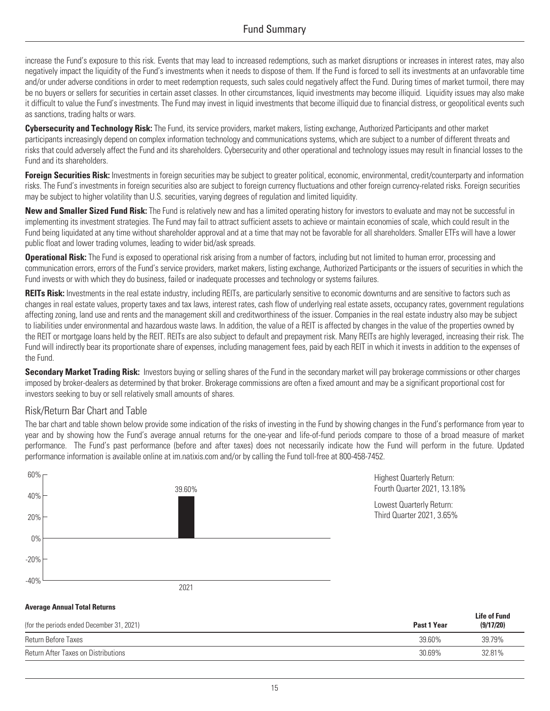increase the Fund's exposure to this risk. Events that may lead to increased redemptions, such as market disruptions or increases in interest rates, may also negatively impact the liquidity of the Fund's investments when it needs to dispose of them. If the Fund is forced to sell its investments at an unfavorable time and/or under adverse conditions in order to meet redemption requests, such sales could negatively affect the Fund. During times of market turmoil, there may be no buyers or sellers for securities in certain asset classes. In other circumstances, liquid investments may become illiquid. Liquidity issues may also make it difficult to value the Fund's investments. The Fund may invest in liquid investments that become illiquid due to financial distress, or geopolitical events such as sanctions, trading halts or wars.

**Cybersecurity and Technology Risk:** The Fund, its service providers, market makers, listing exchange, Authorized Participants and other market participants increasingly depend on complex information technology and communications systems, which are subject to a number of different threats and risks that could adversely affect the Fund and its shareholders. Cybersecurity and other operational and technology issues may result in financial losses to the Fund and its shareholders.

**Foreign Securities Risk:** Investments in foreign securities may be subject to greater political, economic, environmental, credit/counterparty and information risks. The Fund's investments in foreign securities also are subject to foreign currency fluctuations and other foreign currency-related risks. Foreign securities may be subject to higher volatility than U.S. securities, varying degrees of regulation and limited liquidity.

**New and Smaller Sized Fund Risk:** The Fund is relatively new and has a limited operating history for investors to evaluate and may not be successful in implementing its investment strategies. The Fund may fail to attract sufficient assets to achieve or maintain economies of scale, which could result in the Fund being liquidated at any time without shareholder approval and at a time that may not be favorable for all shareholders. Smaller ETFs will have a lower public float and lower trading volumes, leading to wider bid/ask spreads.

**Operational Risk:** The Fund is exposed to operational risk arising from a number of factors, including but not limited to human error, processing and communication errors, errors of the Fund's service providers, market makers, listing exchange, Authorized Participants or the issuers of securities in which the Fund invests or with which they do business, failed or inadequate processes and technology or systems failures.

**REITs Risk:** Investments in the real estate industry, including REITs, are particularly sensitive to economic downturns and are sensitive to factors such as changes in real estate values, property taxes and tax laws, interest rates, cash flow of underlying real estate assets, occupancy rates, government regulations affecting zoning, land use and rents and the management skill and creditworthiness of the issuer. Companies in the real estate industry also may be subject to liabilities under environmental and hazardous waste laws. In addition, the value of a REIT is affected by changes in the value of the properties owned by the REIT or mortgage loans held by the REIT. REITs are also subject to default and prepayment risk. Many REITs are highly leveraged, increasing their risk. The Fund will indirectly bear its proportionate share of expenses, including management fees, paid by each REIT in which it invests in addition to the expenses of the Fund.

**Secondary Market Trading Risk:** Investors buying or selling shares of the Fund in the secondary market will pay brokerage commissions or other charges imposed by broker-dealers as determined by that broker. Brokerage commissions are often a fixed amount and may be a significant proportional cost for investors seeking to buy or sell relatively small amounts of shares.

### Risk/Return Bar Chart and Table

The bar chart and table shown below provide some indication of the risks of investing in the Fund by showing changes in the Fund's performance from year to year and by showing how the Fund's average annual returns for the one-year and life-of-fund periods compare to those of a broad measure of market performance. The Fund's past performance (before and after taxes) does not necessarily indicate how the Fund will perform in the future. Updated performance information is available online at [im.natixis.com](http://im.natixis.com) and/or by calling the Fund toll-free at 800-458-7452.



| (for the periods ended December 31, 2021)  | Past 1 Year | <b>Life of Fund</b><br>(9/17/20) |
|--------------------------------------------|-------------|----------------------------------|
| Return Before Taxes                        | 39.60%      | 39.79%                           |
| <b>Return After Taxes on Distributions</b> | 30.69%      | 32.81%                           |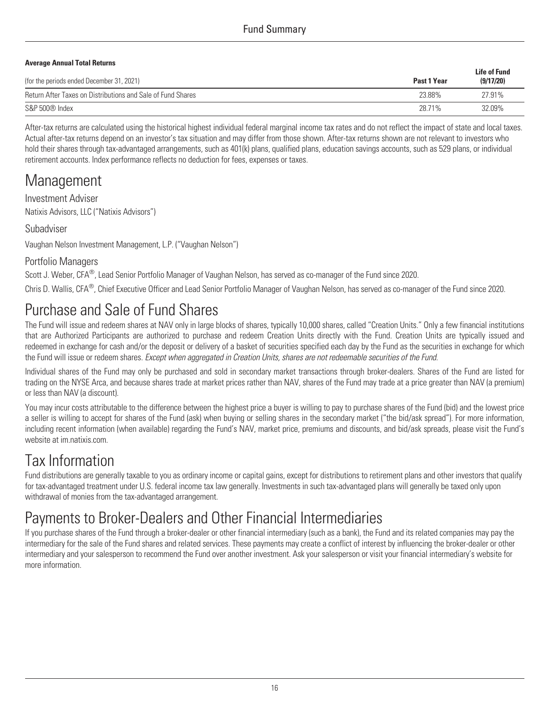### Fund Summary

#### **Average Annual Total Returns**

|                                                             |             | <b>Life of Fund</b> |
|-------------------------------------------------------------|-------------|---------------------|
| (for the periods ended December 31, 2021)                   | Past 1 Year | (9/17/20)           |
| Return After Taxes on Distributions and Sale of Fund Shares | 23.88%      | 27.91%              |
| S&P 500 <sup>®</sup> Index                                  | 28.71%      | 32.09%              |

After-tax returns are calculated using the historical highest individual federal marginal income tax rates and do not reflect the impact of state and local taxes. Actual after-tax returns depend on an investor's tax situation and may differ from those shown. After-tax returns shown are not relevant to investors who hold their shares through tax-advantaged arrangements, such as 401(k) plans, qualified plans, education savings accounts, such as 529 plans, or individual retirement accounts. Index performance reflects no deduction for fees, expenses or taxes.

### Management

Investment Adviser Natixis Advisors, LLC ("Natixis Advisors")

### Subadviser

Vaughan Nelson Investment Management, L.P. ("Vaughan Nelson")

### Portfolio Managers

Scott J. Weber, CFA<sup>®</sup>, Lead Senior Portfolio Manager of Vaughan Nelson, has served as co-manager of the Fund since 2020.

Chris D. Wallis, CFA® , Chief Executive Officer and Lead Senior Portfolio Manager of Vaughan Nelson, has served as co-manager of the Fund since 2020.

# Purchase and Sale of Fund Shares

The Fund will issue and redeem shares at NAV only in large blocks of shares, typically 10,000 shares, called "Creation Units." Only a few financial institutions that are Authorized Participants are authorized to purchase and redeem Creation Units directly with the Fund. Creation Units are typically issued and redeemed in exchange for cash and/or the deposit or delivery of a basket of securities specified each day by the Fund as the securities in exchange for which the Fund will issue or redeem shares. *Except when aggregated in Creation Units, shares are not redeemable securities of the Fund*.

Individual shares of the Fund may only be purchased and sold in secondary market transactions through broker-dealers. Shares of the Fund are listed for trading on the NYSE Arca, and because shares trade at market prices rather than NAV, shares of the Fund may trade at a price greater than NAV (a premium) or less than NAV (a discount).

You may incur costs attributable to the difference between the highest price a buyer is willing to pay to purchase shares of the Fund (bid) and the lowest price a seller is willing to accept for shares of the Fund (ask) when buying or selling shares in the secondary market ("the bid/ask spread"). For more information, including recent information (when available) regarding the Fund's NAV, market price, premiums and discounts, and bid/ask spreads, please visit the Fund's website at [im.natixis.com](http://im.natixis.com).

# Tax Information

Fund distributions are generally taxable to you as ordinary income or capital gains, except for distributions to retirement plans and other investors that qualify for tax-advantaged treatment under U.S. federal income tax law generally. Investments in such tax-advantaged plans will generally be taxed only upon withdrawal of monies from the tax-advantaged arrangement.

# Payments to Broker-Dealers and Other Financial Intermediaries

If you purchase shares of the Fund through a broker-dealer or other financial intermediary (such as a bank), the Fund and its related companies may pay the intermediary for the sale of the Fund shares and related services. These payments may create a conflict of interest by influencing the broker-dealer or other intermediary and your salesperson to recommend the Fund over another investment. Ask your salesperson or visit your financial intermediary's website for more information.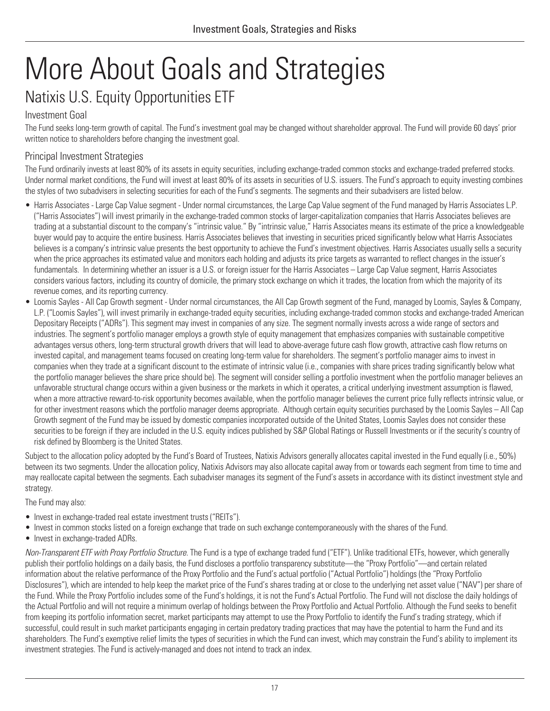# <span id="page-20-1"></span><span id="page-20-0"></span>More About Goals and Strategies Natixis U.S. Equity Opportunities ETF

### <span id="page-20-2"></span>Investment Goal

The Fund seeks long-term growth of capital. The Fund's investment goal may be changed without shareholder approval. The Fund will provide 60 days' prior written notice to shareholders before changing the investment goal.

### Principal Investment Strategies

The Fund ordinarily invests at least 80% of its assets in equity securities, including exchange-traded common stocks and exchange-traded preferred stocks. Under normal market conditions, the Fund will invest at least 80% of its assets in securities of U.S. issuers. The Fund's approach to equity investing combines the styles of two subadvisers in selecting securities for each of the Fund's segments. The segments and their subadvisers are listed below.

- Harris Associates Large Cap Value segment Under normal circumstances, the Large Cap Value segment of the Fund managed by Harris Associates L.P. ("Harris Associates") will invest primarily in the exchange-traded common stocks of larger-capitalization companies that Harris Associates believes are trading at a substantial discount to the company's "intrinsic value." By "intrinsic value," Harris Associates means its estimate of the price a knowledgeable buyer would pay to acquire the entire business. Harris Associates believes that investing in securities priced significantly below what Harris Associates believes is a company's intrinsic value presents the best opportunity to achieve the Fund's investment objectives. Harris Associates usually sells a security when the price approaches its estimated value and monitors each holding and adjusts its price targets as warranted to reflect changes in the issuer's fundamentals. In determining whether an issuer is a U.S. or foreign issu Fundamentals. In determining whether an issuer is a U.S. or foreign issuer for the Harris Associates means is estimate of the price a knowledgeabuyer would pay to acquire the entire business. Harris Associates believes tha considers various factors, including its country of domicile, the primary stock exchange on which it trades, the location from which the majority of its revenue comes, and its reporting currency.
- Loomis Sayles All Cap Growth segment Under normal circumstances, the All Cap Growth segment of the Fund, managed by Loomis, Sayles & Company, L.P. ("Loomis Sayles"), will invest primarily in exchange-traded equity securities, including exchange-traded common stocks and exchange-traded American Depositary Receipts ("ADRs"). This segment may invest in companies of any size. The segment normally invests across a wide range of sectors and industries. The segment's portfolio manager employs a growth style of equity management that emphasizes companies with sustainable competitive advantages versus others, long-term structural growth drivers that will lead to above-average future cash flow growth, attractive cash flow returns on invested capital, and management teams focused on creating long-term value for shareholders. The segment's portfolio manager aims to invest in companies when they trade at a significant discount to the estimate of intrinsic value (i.e., companies with share prices trading significantly below what the portfolio manager believes the share price should be). The segment will consider selling a portfolio investment when the portfolio manager believes an unfavorable structural change occurs within a given business or the markets in which it operates, a critical underlying investment assumption is flawed, when a more attractive reward-to-risk opportunity becomes available, when the portfolio manager believes the current price fully reflects intrinsic value, or for other investment reasons which the portfolio manager deems appropriate. Although certain equity securities purchased by the Loomis Sayles – All Cap Growth segment of the Fund may be issued by domestic companies incorporated outside of the United States, Loomis Sayles does not consider these securities to be foreign if they are included in the U.S. equity indices published by S&P Global Ratings or Russell Investments or if the security's country of risk defined by Bloomberg is the United States.

Subject to the allocation policy adopted by the Fund's Board of Trustees, Natixis Advisors generally allocates capital invested in the Fund equally (i.e., 50%) between its two segments. Under the allocation policy, Natixis Advisors may also allocate capital away from or towards each segment from time to time and may reallocate capital between the segments. Each subadviser manages its segment of the Fund's assets in accordance with its distinct investment style and strategy.

The Fund may also:

- Invest in exchange-traded real estate investment trusts ("REITs").
- Invest in common stocks listed on a foreign exchange that trade on such exchange contemporaneously with the shares of the Fund.
- Invest in exchange-traded ADRs.

*Non-Transparent ETF with Proxy Portfolio Structure.* The Fund is a type of exchange traded fund ("ETF"). Unlike traditional ETFs, however, which generally publish their portfolio holdings on a daily basis, the Fund discloses a portfolio transparency substitute—the "Proxy Portfolio"—and certain related information about the relative performance of the Proxy Portfolio and the Fund's actual portfolio ("Actual Portfolio") holdings (the "Proxy Portfolio Disclosures"), which are intended to help keep the market price of the Fund's shares trading at or close to the underlying net asset value ("NAV") per share of the Fund. While the Proxy Portfolio includes some of the Fund's holdings, it is not the Fund's Actual Portfolio. The Fund will not disclose the daily holdings of the Actual Portfolio and will not require a minimum overlap of holdings between the Proxy Portfolio and Actual Portfolio. Although the Fund seeks to benefit from keeping its portfolio information secret, market participants may attempt to use the Proxy Portfolio to identify the Fund's trading strategy, which if successful, could result in such market participants engaging in certain predatory trading practices that may have the potential to harm the Fund and its shareholders. The Fund's exemptive relief limits the types of securities in which the Fund can invest, which may constrain the Fund's ability to implement its investment strategies. The Fund is actively-managed and does not intend to track an index.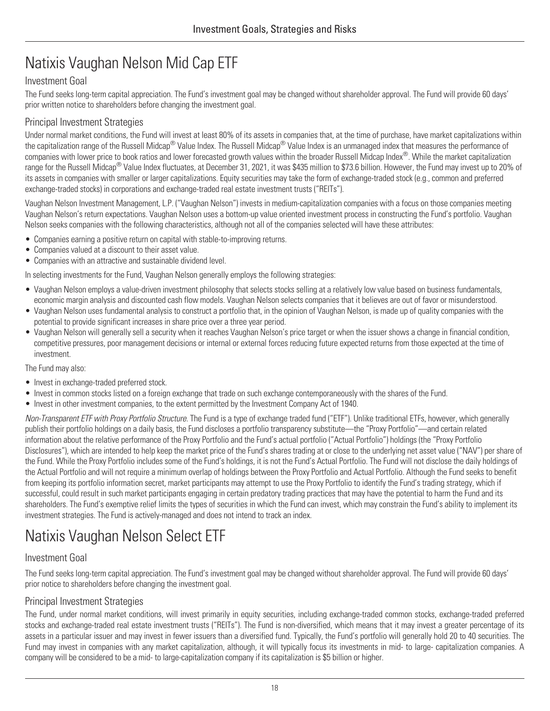# <span id="page-21-0"></span>Natixis Vaughan Nelson Mid Cap ETF

### Investment Goal

The Fund seeks long-term capital appreciation. The Fund's investment goal may be changed without shareholder approval. The Fund will provide 60 days' prior written notice to shareholders before changing the investment goal.

### Principal Investment Strategies

Under normal market conditions, the Fund will invest at least 80% of its assets in companies that, at the time of purchase, have market capitalizations within the capitalization range of the Russell Midcap® Value Index. The Russell Midcap® Value Index is an unmanaged index that measures the performance of companies with lower price to book ratios and lower forecasted growth values within the broader Russell Midcap Index®. While the market capitalization range for the Russell Midcap® Value Index fluctuates, at December 31, 2021, it was \$435 million to \$73.6 billion. However, the Fund may invest up to 20% of its assets in companies with smaller or larger capitalizations. Equity securities may take the form of exchange-traded stock (e.g., common and preferred exchange-traded stocks) in corporations and exchange-traded real estate investment trusts ("REITs").

Vaughan Nelson Investment Management, L.P. ("Vaughan Nelson") invests in medium-capitalization companies with a focus on those companies meeting Vaughan Nelson's return expectations. Vaughan Nelson uses a bottom-up value oriented investment process in constructing the Fund's portfolio. Vaughan Nelson seeks companies with the following characteristics, although not all of the companies selected will have these attributes:

- Companies earning a positive return on capital with stable-to-improving returns.
- Companies valued at a discount to their asset value.
- Companies with an attractive and sustainable dividend level.

In selecting investments for the Fund, Vaughan Nelson generally employs the following strategies:

- Vaughan Nelson employs a value-driven investment philosophy that selects stocks selling at a relatively low value based on business fundamentals, economic margin analysis and discounted cash flow models. Vaughan Nelson selects companies that it believes are out of favor or misunderstood.
- Vaughan Nelson uses fundamental analysis to construct a portfolio that, in the opinion of Vaughan Nelson, is made up of quality companies with the potential to provide significant increases in share price over a three year period.
- Vaughan Nelson will generally sell a security when it reaches Vaughan Nelson's price target or when the issuer shows a change in financial condition, competitive pressures, poor management decisions or internal or external forces reducing future expected returns from those expected at the time of investment.

The Fund may also:

- Invest in exchange-traded preferred stock.
- Invest in common stocks listed on a foreign exchange that trade on such exchange contemporaneously with the shares of the Fund.
- Invest in other investment companies, to the extent permitted by the Investment Company Act of 1940.

*Non-Transparent ETF with Proxy Portfolio Structure.* The Fund is a type of exchange traded fund ("ETF"). Unlike traditional ETFs, however, which generally publish their portfolio holdings on a daily basis, the Fund discloses a portfolio transparency substitute—the "Proxy Portfolio"—and certain related information about the relative performance of the Proxy Portfolio and the Fund's actual portfolio ("Actual Portfolio") holdings (the "Proxy Portfolio Disclosures"), which are intended to help keep the market price of the Fund's shares trading at or close to the underlying net asset value ("NAV") per share of the Fund. While the Proxy Portfolio includes some of the Fund's holdings, it is not the Fund's Actual Portfolio. The Fund will not disclose the daily holdings of the Actual Portfolio and will not require a minimum overlap of holdings between the Proxy Portfolio and Actual Portfolio. Although the Fund seeks to benefit from keeping its portfolio information secret, market participants may attempt to use the Proxy Portfolio to identify the Fund's trading strategy, which if successful, could result in such market participants engaging in certain predatory trading practices that may have the potential to harm the Fund and its shareholders. The Fund's exemptive relief limits the types of securities in which the Fund can invest, which may constrain the Fund's ability to implement its investment strategies. The Fund is actively-managed and does not intend to track an index.

# <span id="page-21-1"></span>Natixis Vaughan Nelson Select ETF

### Investment Goal

The Fund seeks long-term capital appreciation. The Fund's investment goal may be changed without shareholder approval. The Fund will provide 60 days' prior notice to shareholders before changing the investment goal.

### Principal Investment Strategies

The Fund, under normal market conditions, will invest primarily in equity securities, including exchange-traded common stocks, exchange-traded preferred stocks and exchange-traded real estate investment trusts ("REITs"). The Fund is non-diversified, which means that it may invest a greater percentage of its assets in a particular issuer and may invest in fewer issuers than a diversified fund. Typically, the Fund's portfolio will generally hold 20 to 40 securities. The Fund may invest in companies with any market capitalization, although, it will typically focus its investments in mid- to large- capitalization companies. A company will be considered to be a mid- to large-capitalization company if its capitalization is \$5 billion or higher.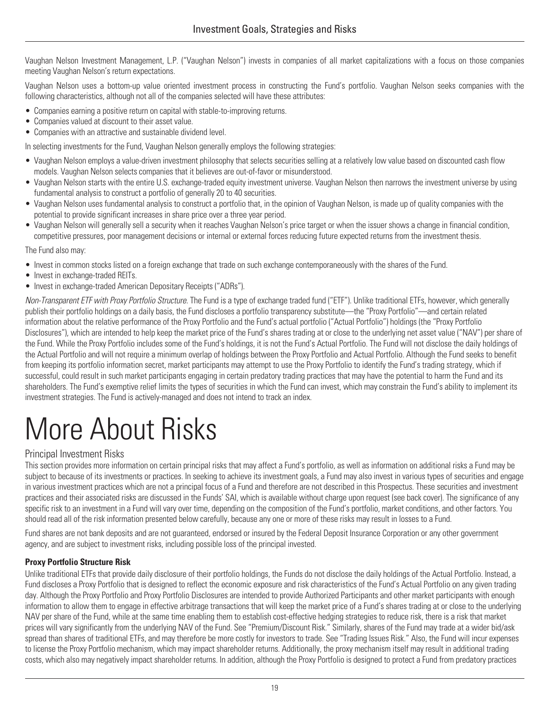Vaughan Nelson Investment Management, L.P. ("Vaughan Nelson") invests in companies of all market capitalizations with a focus on those companies meeting Vaughan Nelson's return expectations.

Vaughan Nelson uses a bottom-up value oriented investment process in constructing the Fund's portfolio. Vaughan Nelson seeks companies with the following characteristics, although not all of the companies selected will have these attributes:

- Companies earning a positive return on capital with stable-to-improving returns.
- Companies valued at discount to their asset value.
- Companies with an attractive and sustainable dividend level.

In selecting investments for the Fund, Vaughan Nelson generally employs the following strategies:

- Vaughan Nelson employs a value-driven investment philosophy that selects securities selling at a relatively low value based on discounted cash flow models. Vaughan Nelson selects companies that it believes are out-of-favor or misunderstood.
- Vaughan Nelson starts with the entire U.S. exchange-traded equity investment universe. Vaughan Nelson then narrows the investment universe by using fundamental analysis to construct a portfolio of generally 20 to 40 securities.
- Vaughan Nelson uses fundamental analysis to construct a portfolio that, in the opinion of Vaughan Nelson, is made up of quality companies with the potential to provide significant increases in share price over a three year period.
- Vaughan Nelson will generally sell a security when it reaches Vaughan Nelson's price target or when the issuer shows a change in financial condition, competitive pressures, poor management decisions or internal or external forces reducing future expected returns from the investment thesis.

The Fund also may:

- Invest in common stocks listed on a foreign exchange that trade on such exchange contemporaneously with the shares of the Fund.
- Invest in exchange-traded REITs.
- Invest in exchange-traded American Depositary Receipts ("ADRs").

*Non-Transparent ETF with Proxy Portfolio Structure.* The Fund is a type of exchange traded fund ("ETF"). Unlike traditional ETFs, however, which generally publish their portfolio holdings on a daily basis, the Fund discloses a portfolio transparency substitute—the "Proxy Portfolio"—and certain related information about the relative performance of the Proxy Portfolio and the Fund's actual portfolio ("Actual Portfolio") holdings (the "Proxy Portfolio Disclosures"), which are intended to help keep the market price of the Fund's shares trading at or close to the underlying net asset value ("NAV") per share of the Fund. While the Proxy Portfolio includes some of the Fund's holdings, it is not the Fund's Actual Portfolio. The Fund will not disclose the daily holdings of the Actual Portfolio and will not require a minimum overlap of holdings between the Proxy Portfolio and Actual Portfolio. Although the Fund seeks to benefit from keeping its portfolio information secret, market participants may attempt to use the Proxy Portfolio to identify the Fund's trading strategy, which if successful, could result in such market participants engaging in certain predatory trading practices that may have the potential to harm the Fund and its shareholders. The Fund's exemptive relief limits the types of securities in which the Fund can invest, which may constrain the Fund's ability to implement its investment strategies. The Fund is actively-managed and does not intend to track an index.

# <span id="page-22-0"></span>More About Risks

#### Principal Investment Risks

This section provides more information on certain principal risks that may affect a Fund's portfolio, as well as information on additional risks a Fund may be subject to because of its investments or practices. In seeking to achieve its investment goals, a Fund may also invest in various types of securities and engage in various investment practices which are not a principal focus of a Fund and therefore are not described in this Prospectus. These securities and investment practices and their associated risks are discussed in the Funds' SAI, which is available without charge upon request (see back cover). The significance of any specific risk to an investment in a Fund will vary over time, depending on the composition of the Fund's portfolio, market conditions, and other factors. You should read all of the risk information presented below carefully, because any one or more of these risks may result in losses to a Fund.

Fund shares are not bank deposits and are not guaranteed, endorsed or insured by the Federal Deposit Insurance Corporation or any other government agency, and are subject to investment risks, including possible loss of the principal invested.

#### **Proxy Portfolio Structure Risk**

Unlike traditional ETFs that provide daily disclosure of their portfolio holdings, the Funds do not disclose the daily holdings of the Actual Portfolio. Instead, a Fund discloses a Proxy Portfolio that is designed to reflect the economic exposure and risk characteristics of the Fund's Actual Portfolio on any given trading day. Although the Proxy Portfolio and Proxy Portfolio Disclosures are intended to provide Authorized Participants and other market participants with enough information to allow them to engage in effective arbitrage transactions that will keep the market price of a Fund's shares trading at or close to the underlying NAV per share of the Fund, while at the same time enabling them to establish cost-effective hedging strategies to reduce risk, there is a risk that market prices will vary significantly from the underlying NAV of the Fund. See "Premium/Discount Risk." Similarly, shares of the Fund may trade at a wider bid/ask spread than shares of traditional ETFs, and may therefore be more costly for investors to trade. See "Trading Issues Risk." Also, the Fund will incur expenses to license the Proxy Portfolio mechanism, which may impact shareholder returns. Additionally, the proxy mechanism itself may result in additional trading costs, which also may negatively impact shareholder returns. In addition, although the Proxy Portfolio is designed to protect a Fund from predatory practices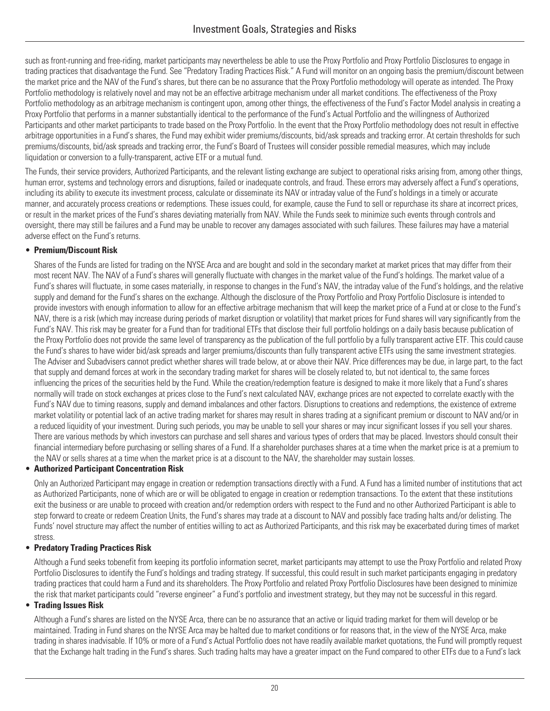such as front-running and free-riding, market participants may nevertheless be able to use the Proxy Portfolio and Proxy Portfolio Disclosures to engage in trading practices that disadvantage the Fund. See "Predatory Trading Practices Risk." A Fund will monitor on an ongoing basis the premium/discount between the market price and the NAV of the Fund's shares, but there can be no assurance that the Proxy Portfolio methodology will operate as intended. The Proxy Portfolio methodology is relatively novel and may not be an effective arbitrage mechanism under all market conditions. The effectiveness of the Proxy Portfolio methodology as an arbitrage mechanism is contingent upon, among other things, the effectiveness of the Fund's Factor Model analysis in creating a Proxy Portfolio that performs in a manner substantially identical to the performance of the Fund's Actual Portfolio and the willingness of Authorized Participants and other market participants to trade based on the Proxy Portfolio. In the event that the Proxy Portfolio methodology does not result in effective arbitrage opportunities in a Fund's shares, the Fund may exhibit wider premiums/discounts, bid/ask spreads and tracking error. At certain thresholds for such premiums/discounts, bid/ask spreads and tracking error, the Fund's Board of Trustees will consider possible remedial measures, which may include liquidation or conversion to a fully-transparent, active ETF or a mutual fund.

The Funds, their service providers, Authorized Participants, and the relevant listing exchange are subject to operational risks arising from, among other things, human error, systems and technology errors and disruptions, failed or inadequate controls, and fraud. These errors may adversely affect a Fund's operations, including its ability to execute its investment process, calculate or disseminate its NAV or intraday value of the Fund's holdings in a timely or accurate manner, and accurately process creations or redemptions. These issues could, for example, cause the Fund to sell or repurchase its share at incorrect prices, or result in the market prices of the Fund's shares deviating materially from NAV. While the Funds seek to minimize such events through controls and oversight, there may still be failures and a Fund may be unable to recover any damages associated with such failures. These failures may have a material adverse effect on the Fund's returns.

#### • **Premium/Discount Risk**

Shares of the Funds are listed for trading on the NYSE Arca and are bought and sold in the secondary market at market prices that may differ from their most recent NAV. The NAV of a Fund's shares will generally fluctuate with changes in the market value of the Fund's holdings. The market value of a Fund's shares will fluctuate, in some cases materially, in response to changes in the Fund's NAV, the intraday value of the Fund's holdings, and the relative supply and demand for the Fund's shares on the exchange. Although the disclosure of the Proxy Portfolio and Proxy Portfolio Disclosure is intended to provide investors with enough information to allow for an effective arbitrage mechanism that will keep the market price of a Fund at or close to the Fund's NAV, there is a risk (which may increase during periods of market disruption or volatility) that market prices for Fund shares will vary significantly from the Fund's NAV. This risk may be greater for a Fund than for traditional ETFs that disclose their full portfolio holdings on a daily basis because publication of the Proxy Portfolio does not provide the same level of transparency as the publication of the full portfolio by a fully transparent active ETF. This could cause the Fund's shares to have wider bid/ask spreads and larger premiums/discounts than fully transparent active ETFs using the same investment strategies. The Adviser and Subadvisers cannot predict whether shares will trade below, at or above their NAV. Price differences may be due, in large part, to the fact that supply and demand forces at work in the secondary trading market for shares will be closely related to, but not identical to, the same forces influencing the prices of the securities held by the Fund. While the creation/redemption feature is designed to make it more likely that a Fund's shares normally will trade on stock exchanges at prices close to the Fund's next calculated NAV, exchange prices are not expected to correlate exactly with the Fund's NAV due to timing reasons, supply and demand imbalances and other factors. Disruptions to creations and redemptions, the existence of extreme market volatility or potential lack of an active trading market for shares may result in shares trading at a significant premium or discount to NAV and/or in a reduced liquidity of your investment. During such periods, you may be unable to sell your shares or may incur significant losses if you sell your shares. There are various methods by which investors can purchase and sell shares and various types of orders that may be placed. Investors should consult their financial intermediary before purchasing or selling shares of a Fund. If a shareholder purchases shares at a time when the market price is at a premium to the NAV or sells shares at a time when the market price is at a discount to the NAV, the shareholder may sustain losses.

#### • **Authorized Participant Concentration Risk**

Only an Authorized Participant may engage in creation or redemption transactions directly with a Fund. A Fund has a limited number of institutions that act as Authorized Participants, none of which are or will be obligated to engage in creation or redemption transactions. To the extent that these institutions exit the business or are unable to proceed with creation and/or redemption orders with respect to the Fund and no other Authorized Participant is able to step forward to create or redeem Creation Units, the Fund's shares may trade at a discount to NAV and possibly face trading halts and/or delisting. The Funds' novel structure may affect the number of entities willing to act as Authorized Participants, and this risk may be exacerbated during times of market stress.

#### • **Predatory Trading Practices Risk**

Although a Fund seeks tobenefit from keeping its portfolio information secret, market participants may attempt to use the Proxy Portfolio and related Proxy Portfolio Disclosures to identify the Fund's holdings and trading strategy. If successful, this could result in such market participants engaging in predatory trading practices that could harm a Fund and its shareholders. The Proxy Portfolio and related Proxy Portfolio Disclosures have been designed to minimize the risk that market participants could "reverse engineer" a Fund's portfolio and investment strategy, but they may not be successful in this regard.

#### • **Trading Issues Risk**

Although a Fund's shares are listed on the NYSE Arca, there can be no assurance that an active or liquid trading market for them will develop or be maintained. Trading in Fund shares on the NYSE Arca may be halted due to market conditions or for reasons that, in the view of the NYSE Arca, make trading in shares inadvisable. If 10% or more of a Fund's Actual Portfolio does not have readily available market quotations, the Fund will promptly request that the Exchange halt trading in the Fund's shares. Such trading halts may have a greater impact on the Fund compared to other ETFs due to a Fund's lack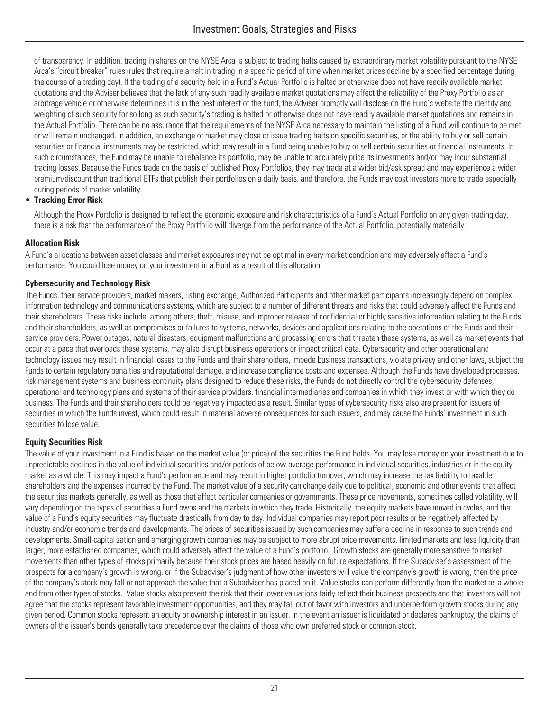of transparency. In addition, trading in shares on the NYSE Arca is subject to trading halts caused by extraordinary market volatility pursuant to the NYSE Arca's "circuit breaker" rules (rules that require a halt in trading in a specific period of time when market prices decline by a specified percentage during the course of a trading day). If the trading of a security held in a Fund's Actual Portfolio is halted or otherwise does not have readily available market quotations and the Adviser believes that the lack of any such readily available market quotations may affect the reliability of the Proxy Portfolio as an arbitrage vehicle or otherwise determines it is in the best interest of the Fund, the Adviser promptly will disclose on the Fund's website the identity and weighting of such security for so long as such security's trading is halted or otherwise does not have readily available market quotations and remains in the Actual Portfolio. There can be no assurance that the requirements of the NYSE Arca necessary to maintain the listing of a Fund will continue to be met or will remain unchanged. In addition, an exchange or market may close or issue trading halts on specific securities, or the ability to buy or sell certain securities or financial instruments may be restricted, which may result in a Fund being unable to buy or sell certain securities or financial instruments. In such circumstances, the Fund may be unable to rebalance its portfolio, may be unable to accurately price its investments and/or may incur substantial trading losses. Because the Funds trade on the basis of published Proxy Portfolios, they may trade at a wider bid/ask spread and may experience a wider premium/discount than traditional ETFs that publish their portfolios on a daily basis, and therefore, the Funds may cost investors more to trade especially during periods of market volatility.

#### • **Tracking Error Risk**

Although the Proxy Portfolio is designed to reflect the economic exposure and risk characteristics of a Fund's Actual Portfolio on any given trading day, there is a risk that the performance of the Proxy Portfolio will diverge from the performance of the Actual Portfolio, potentially materially.

#### **Allocation Risk**

A Fund's allocations between asset classes and market exposures may not be optimal in every market condition and may adversely affect a Fund's performance. You could lose money on your investment in a Fund as a result of this allocation.

#### **Cybersecurity and Technology Risk**

The Funds, their service providers, market makers, listing exchange, Authorized Participants and other market participants increasingly depend on complex information technology and communications systems, which are subject to a number of different threats and risks that could adversely affect the Funds and their shareholders. These risks include, among others, theft, misuse, and improper release of confidential or highly sensitive information relating to the Funds and their shareholders, as well as compromises or failures to systems, networks, devices and applications relating to the operations of the Funds and their service providers. Power outages, natural disasters, equipment malfunctions and processing errors that threaten these systems, as well as market events that occur at a pace that overloads these systems, may also disrupt business operations or impact critical data. Cybersecurity and other operational and technology issues may result in financial losses to the Funds and their shareholders, impede business transactions, violate privacy and other laws, subject the Funds to certain regulatory penalties and reputational damage, and increase compliance costs and expenses. Although the Funds have developed processes, risk management systems and business continuity plans designed to reduce these risks, the Funds do not directly control the cybersecurity defenses, operational and technology plans and systems of their service providers, financial intermediaries and companies in which they invest or with which they do business. The Funds and their shareholders could be negatively impacted as a result. Similar types of cybersecurity risks also are present for issuers of securities in which the Funds invest, which could result in material adverse consequences for such issuers, and may cause the Funds' investment in such securities to lose value.

#### **Equity Securities Risk**

The value of your investment in a Fund is based on the market value (or price) of the securities the Fund holds. You may lose money on your investment due to unpredictable declines in the value of individual securities and/or periods of below-average performance in individual securities, industries or in the equity market as a whole. This may impact a Fund's performance and may result in higher portfolio turnover, which may increase the tax liability to taxable shareholders and the expenses incurred by the Fund. The market value of a security can change daily due to political, economic and other events that affect the securities markets generally, as well as those that affect particular companies or governments. These price movements, sometimes called volatility, will<br>vary depending on the types of securities a Fund owns and the mar vary depending on the types of securities a Fund owns and the markets in which they trade. Historically, the equity markets have moved in cycles, and the value of a Fund's equity securities may fluctuate drastically from day to day. Individual companies may report poor results or be negatively affected by industry and/or economic trends and developments. The prices of securities issued by such companies may suffer a decline in response to such trends and developments. Small-capitalization and emerging growth companies may be subject to more abrupt price movements, limited markets and less liquidity than movements than other types of stocks primarily because their stock prices are based heavily on future expectations. If the Subadviser's assessment of the prospects for a company's growth is wrong, or if the Subadviser's judgment of how other investors will value the company's growth is wrong, then the price of the company's stock may fall or not approach the value that a Subadviser has placed on it. Value stocks can perform differently from the market as a whole and from other types of stocks. Value stocks also present the ri larger, more established companies, which could adversely affect the value of a Fund's portfolio. Growth stocks are generally more sensitive to market agree that the stocks represent favorable investment opportunities, and they may fall out of favor with investors and underperform growth stocks during any given period. Common stocks represent an equity or ownership interest in an issuer. In the event an issuer is liquidated or declares bankruptcy, the claims of owners of the issuer's bonds generally take precedence over the claims of those who own preferred stock or common stock.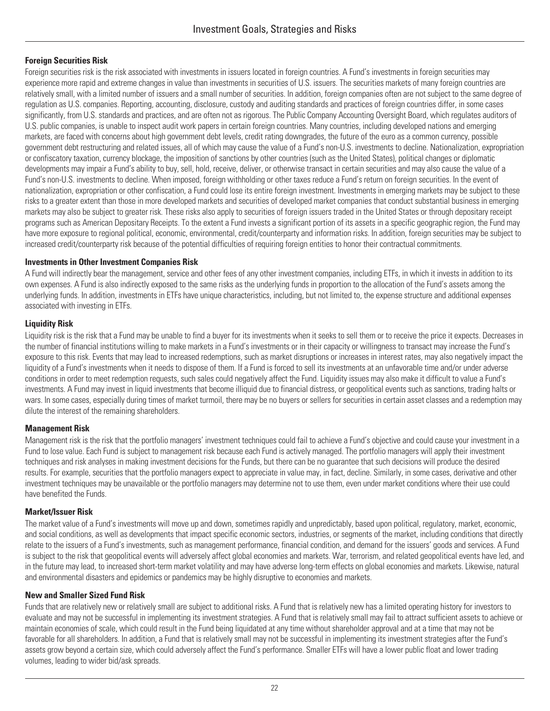#### **Foreign Securities Risk**

Foreign securities risk is the risk associated with investments in issuers located in foreign countries. A Fund's investments in foreign securities may experience more rapid and extreme changes in value than investments in securities of U.S. issuers. The securities markets of many foreign countries are relatively small, with a limited number of issuers and a small number of securities. In addition, foreign companies often are not subject to the same degree of regulation as U.S. companies. Reporting, accounting, disclosure, custody and auditing standards and practices of foreign countries differ, in some cases significantly, from U.S. standards and practices, and are often not as rigorous. The Public Company Accounting Oversight Board, which regulates auditors of U.S. public companies, is unable to inspect audit work papers in certain foreign countries. Many countries, including developed nations and emerging markets, are faced with concerns about high government debt levels, credit rating downgrades, the future of the euro as a common currency, possible government debt restructuring and related issues, all of which may cause the value of a Fund's non-U.S. investments to decline. Nationalization, expropriation or confiscatory taxation, currency blockage, the imposition of sanctions by other countries (such as the United States), political changes or diplomatic developments may impair a Fund's ability to buy, sell, hold, receive, deliver, or otherwise transact in certain securities and may also cause the value of a Fund's non-U.S. investments to decline. When imposed, foreign withholding or other taxes reduce a Fund's return on foreign securities. In the event of nationalization, expropriation or other confiscation, a Fund could lose its entire foreign investment. Investments in emerging markets may be subject to these risks to a greater extent than those in more developed markets and securities of developed market companies that conduct substantial business in emerging markets may also be subject to greater risk. These risks also apply to securities of foreign issuers traded in the United States or through depositary receipt programs such as American Depositary Receipts. To the extent a Fund invests a significant portion of its assets in a specific geographic region, the Fund may have more exposure to regional political, economic, environmental, credit/counterparty and information risks. In addition, foreign securities may be subject to increased credit/counterparty risk because of the potential difficulties of requiring foreign entities to honor their contractual commitments.

#### **Investments in Other Investment Companies Risk**

A Fund will indirectly bear the management, service and other fees of any other investment companies, including ETFs, in which it invests in addition to its own expenses. A Fund is also indirectly exposed to the same risks as the underlying funds in proportion to the allocation of the Fund's assets among the underlying funds. In addition, investments in ETFs have unique characteristics, including, but not limited to, the expense structure and additional expenses associated with investing in ETFs.

#### **Liquidity Risk**

Liquidity risk is the risk that a Fund may be unable to find a buyer for its investments when it seeks to sell them or to receive the price it expects. Decreases in the number of financial institutions willing to make markets in a Fund's investments or in their capacity or willingness to transact may increase the Fund's exposure to this risk. Events that may lead to increased redemptions, such as market disruptions or increases in interest rates, may also negatively impact the liquidity of a Fund's investments when it needs to dispose of them. If a Fund is forced to sell its investments at an unfavorable time and/or under adverse conditions in order to meet redemption requests, such sales could negatively affect the Fund. Liquidity issues may also make it difficult to value a Fund's investments. A Fund may invest in liquid investments that become illiquid due to financial distress, or geopolitical events such as sanctions, trading halts or wars. In some cases, especially during times of market turmoil, there may be no buyers or sellers for securities in certain asset classes and a redemption may dilute the interest of the remaining shareholders.

#### **Management Risk**

Management risk is the risk that the portfolio managers' investment techniques could fail to achieve a Fund's objective and could cause your investment in a Fund to lose value. Each Fund is subject to management risk because each Fund is actively managed. The portfolio managers will apply their investment techniques and risk analyses in making investment decisions for the Funds, but there can be no guarantee that such decisions will produce the desired results. For example, securities that the portfolio managers expect to appreciate in value may, in fact, decline. Similarly, in some cases, derivative and other investment techniques may be unavailable or the portfolio managers may determine not to use them, even under market conditions where their use could have benefited the Funds.

#### **Market/Issuer Risk**

The market value of a Fund's investments will move up and down, sometimes rapidly and unpredictably, based upon political, regulatory, market, economic, and social conditions, as well as developments that impact specific economic sectors, industries, or segments of the market, including conditions that directly relate to the issuers of a Fund's investments, such as management performance, financial condition, and demand for the issuers' goods and services. A Fund is subject to the risk that geopolitical events will adversely affect global economies and markets. War, terrorism, and related geopolitical events have led, and in the future may lead, to increased short-term market volatility and may have adverse long-term effects on global economies and markets. Likewise, natural and environmental disasters and epidemics or pandemics may be highly disruptive to economies and markets.

#### **New and Smaller Sized Fund Risk**

Funds that are relatively new or relatively small are subject to additional risks. A Fund that is relatively new has a limited operating history for investors to evaluate and may not be successful in implementing its investment strategies. A Fund that is relatively small may fail to attract sufficient assets to achieve or maintain economies of scale, which could result in the Fund being liquidated at any time without shareholder approval and at a time that may not be favorable for all shareholders. In addition, a Fund that is relatively small may not be successful in implementing its investment strategies after the Fund's assets grow beyond a certain size, which could adversely affect the Fund's performance. Smaller ETFs will have a lower public float and lower trading volumes, leading to wider bid/ask spreads.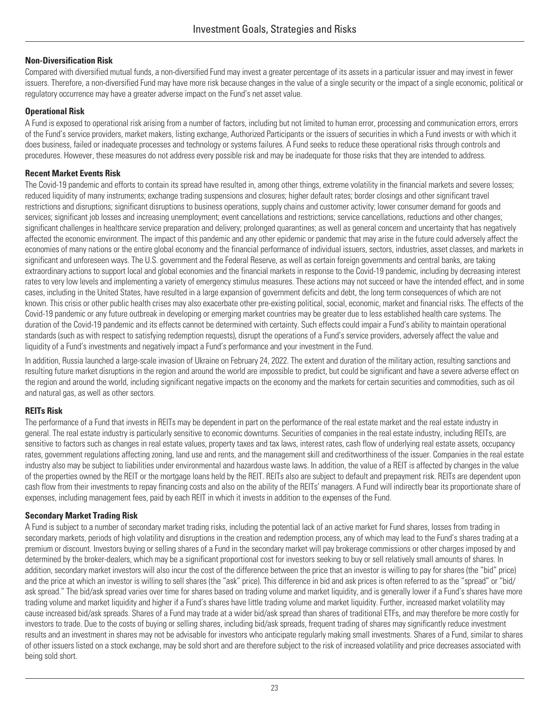#### **Non-Diversification Risk**

Compared with diversified mutual funds, a non-diversified Fund may invest a greater percentage of its assets in a particular issuer and may invest in fewer issuers. Therefore, a non-diversified Fund may have more risk because changes in the value of a single security or the impact of a single economic, political or regulatory occurrence may have a greater adverse impact on the Fund's net asset value.

#### **Operational Risk**

A Fund is exposed to operational risk arising from a number of factors, including but not limited to human error, processing and communication errors, errors of the Fund's service providers, market makers, listing exchange, Authorized Participants or the issuers of securities in which a Fund invests or with which it does business, failed or inadequate processes and technology or systems failures. A Fund seeks to reduce these operational risks through controls and procedures. However, these measures do not address every possible risk and may be inadequate for those risks that they are intended to address.

#### **Recent Market Events Risk**

The Covid-19 pandemic and efforts to contain its spread have resulted in, among other things, extreme volatility in the financial markets and severe losses; reduced liquidity of many instruments; exchange trading suspensions and closures; higher default rates; border closings and other significant travel restrictions and disruptions; significant disruptions to business operations, supply chains and customer activity; lower consumer demand for goods and services; significant job losses and increasing unemployment; event cancellations and restrictions; service cancellations, reductions and other changes; significant challenges in healthcare service preparation and delivery; prolonged quarantines; as well as general concern and uncertainty that has negatively affected the economic environment. The impact of this pandemic and any other epidemic or pandemic that may arise in the future could adversely affect the economies of many nations or the entire global economy and the financial performance of individual issuers, sectors, industries, asset classes, and markets in significant and unforeseen ways. The U.S. government and the Federal Reserve, as well as certain foreign governments and central banks, are taking extraordinary actions to support local and global economies and the financial markets in response to the Covid-19 pandemic, including by decreasing interest rates to very low levels and implementing a variety of emergency stimulus measures. These actions may not succeed or have the intended effect, and in some cases, including in the United States, have resulted in a large expansion of government deficits and debt, the long term consequences of which are not known. This crisis or other public health crises may also exacerbate other pre-existing political, social, economic, market and financial risks. The effects of the Covid-19 pandemic or any future outbreak in developing or emerging market countries may be greater due to less established health care systems. The duration of the Covid-19 pandemic and its effects cannot be determined with certainty. Such effects could impair a Fund's ability to maintain operational standards (such as with respect to satisfying redemption requests), disrupt the operations of a Fund's service providers, adversely affect the value and liquidity of a Fund's investments and negatively impact a Fund's performance and your investment in the Fund.

In addition, Russia launched a large-scale invasion of Ukraine on February 24, 2022. The extent and duration of the military action, resulting sanctions and resulting future market disruptions in the region and around the world are impossible to predict, but could be significant and have a severe adverse effect on the region and around the world, including significant negative impacts on the economy and the markets for certain securities and commodities, such as oil and natural gas, as well as other sectors.

#### **REITs Risk**

The performance of a Fund that invests in REITs may be dependent in part on the performance of the real estate market and the real estate industry in general. The real estate industry is particularly sensitive to economic downturns. Securities of companies in the real estate industry, including REITs, are sensitive to factors such as changes in real estate values, property taxes and tax laws, interest rates, cash flow of underlying real estate assets, occupancy rates, government regulations affecting zoning, land use and rents, and the management skill and creditworthiness of the issuer. Companies in the real estate industry also may be subject to liabilities under environmental and hazardous waste laws. In addition, the value of a REIT is affected by changes in the value of the properties owned by the REIT or the mortgage loans held by the REIT. REITs also are subject to default and prepayment risk. REITs are dependent upon cash flow from their investments to repay financing costs and also on the ability of the REITs' managers. A Fund will indirectly bear its proportionate share of expenses, including management fees, paid by each REIT in which it invests in addition to the expenses of the Fund.

#### **Secondary Market Trading Risk**

A Fund is subject to a number of secondary market trading risks, including the potential lack of an active market for Fund shares, losses from trading in secondary markets, periods of high volatility and disruptions in the creation and redemption process, any of which may lead to the Fund's shares trading at a premium or discount. Investors buying or selling shares of a Fund in the secondary market will pay brokerage commissions or other charges imposed by and determined by the broker-dealers, which may be a significant proportional cost for investors seeking to buy or sell relatively small amounts of shares. In addition, secondary market investors will also incur the cost of the difference between the price that an investor is willing to pay for shares (the "bid" price) and the price at which an investor is willing to sell shares (the "ask" price). This difference in bid and ask prices is often referred to as the "spread" or "bid/ ask spread." The bid/ask spread varies over time for shares based on trading volume and market liquidity, and is generally lower if a Fund's shares have more trading volume and market liquidity and higher if a Fund's shares have little trading volume and market liquidity. Further, increased market volatility may cause increased bid/ask spreads. Shares of a Fund may trade at a wider bid/ask spread than shares of traditional ETFs, and may therefore be more costly for investors to trade. Due to the costs of buying or selling shares, including bid/ask spreads, frequent trading of shares may significantly reduce investment results and an investment in shares may not be advisable for investors who anticipate regularly making small investments. Shares of a Fund, similar to shares of other issuers listed on a stock exchange, may be sold short and are therefore subject to the risk of increased volatility and price decreases associated with being sold short.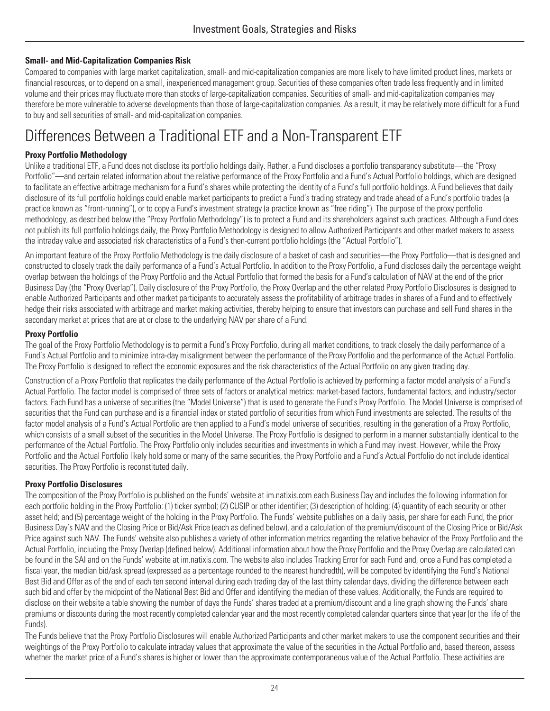### **Small- and Mid-Capitalization Companies Risk**

Compared to companies with large market capitalization, small- and mid-capitalization companies are more likely to have limited product lines, markets or financial resources, or to depend on a small, inexperienced management group. Securities of these companies often trade less frequently and in limited volume and their prices may fluctuate more than stocks of large-capitalization companies. Securities of small- and mid-capitalization companies may therefore be more vulnerable to adverse developments than those of large-capitalization companies. As a result, it may be relatively more difficult for a Fund to buy and sell securities of small- and mid-capitalization companies.

# <span id="page-27-0"></span>Differences Between a Traditional ETF and a Non-Transparent ETF

#### **Proxy Portfolio Methodology**

Unlike a traditional ETF, a Fund does not disclose its portfolio holdings daily. Rather, a Fund discloses a portfolio transparency substitute—the "Proxy Portfolio"—and certain related information about the relative performance of the Proxy Portfolio and a Fund's Actual Portfolio holdings, which are designed to facilitate an effective arbitrage mechanism for a Fund's shares while protecting the identity of a Fund's full portfolio holdings. A Fund believes that daily disclosure of its full portfolio holdings could enable market participants to predict a Fund's trading strategy and trade ahead of a Fund's portfolio trades (a practice known as "front-running"), or to copy a Fund's investment strategy (a practice known as "free riding"). The purpose of the proxy portfolio methodology, as described below (the "Proxy Portfolio Methodology") is to protect a Fund and its shareholders against such practices. Although a Fund does not publish its full portfolio holdings daily, the Proxy Portfolio Methodology is designed to allow Authorized Participants and other market makers to assess the intraday value and associated risk characteristics of a Fund's then-current portfolio holdings (the "Actual Portfolio").

An important feature of the Proxy Portfolio Methodology is the daily disclosure of a basket of cash and securities—the Proxy Portfolio—that is designed and constructed to closely track the daily performance of a Fund's Actual Portfolio. In addition to the Proxy Portfolio, a Fund discloses daily the percentage weight overlap between the holdings of the Proxy Portfolio and the Actual Portfolio that formed the basis for a Fund's calculation of NAV at the end of the prior Business Day (the "Proxy Overlap"). Daily disclosure of the Proxy Portfolio, the Proxy Overlap and the other related Proxy Portfolio Disclosures is designed to enable Authorized Participants and other market participants to accurately assess the profitability of arbitrage trades in shares of a Fund and to effectively hedge their risks associated with arbitrage and market making activities, thereby helping to ensure that investors can purchase and sell Fund shares in the secondary market at prices that are at or close to the underlying NAV per share of a Fund.

#### **Proxy Portfolio**

The goal of the Proxy Portfolio Methodology is to permit a Fund's Proxy Portfolio, during all market conditions, to track closely the daily performance of a Fund's Actual Portfolio and to minimize intra-day misalignment between the performance of the Proxy Portfolio and the performance of the Actual Portfolio. The Proxy Portfolio is designed to reflect the economic exposures and the risk characteristics of the Actual Portfolio on any given trading day.

Construction of a Proxy Portfolio that replicates the daily performance of the Actual Portfolio is achieved by performing a factor model analysis of a Fund's Actual Portfolio. The factor model is comprised of three sets of factors or analytical metrics: market-based factors, fundamental factors, and industry/sector factors. Each Fund has a universe of securities (the "Model Universe") that is used to generate the Fund's Proxy Portfolio. The Model Universe is comprised of securities that the Fund can purchase and is a financial index or stated portfolio of securities from which Fund investments are selected. The results of the factor model analysis of a Fund's Actual Portfolio are then applied to a Fund's model universe of securities, resulting in the generation of a Proxy Portfolio, which consists of a small subset of the securities in the Model Universe. The Proxy Portfolio is designed to perform in a manner substantially identical to the performance of the Actual Portfolio. The Proxy Portfolio only includes securities and investments in which a Fund may invest. However, while the Proxy Portfolio and the Actual Portfolio likely hold some or many of the same securities, the Proxy Portfolio and a Fund's Actual Portfolio do not include identical securities. The Proxy Portfolio is reconstituted daily.

#### **Proxy Portfolio Disclosures**

The composition of the Proxy Portfolio is published on the Funds' website at [im.natixis.com](http://im.natixis.com) each Business Day and includes the following information for each portfolio holding in the Proxy Portfolio: (1) ticker symbol; (2) CUSIP or other identifier; (3) description of holding; (4) quantity of each security or other asset held; and (5) percentage weight of the holding in the Proxy Portfolio. The Funds' website publishes on a daily basis, per share for each Fund, the prior Business Day's NAV and the Closing Price or Bid/Ask Price (each as defined below), and a calculation of the premium/discount of the Closing Price or Bid/Ask Price against such NAV. The Funds' website also publishes a variety of other information metrics regarding the relative behavior of the Proxy Portfolio and the Actual Portfolio, including the Proxy Overlap (defined below). Additional information about how the Proxy Portfolio and the Proxy Overlap are calculated can be found in the SAI and on the Funds' website at [im.natixis.com](http://im.natixis.com). The website also includes Tracking Error for each Fund and, once a Fund has completed a fiscal year, the median bid/ask spread (expressed as a percentage rounded to the nearest hundredth), will be computed by identifying the Fund's National Best Bid and Offer as of the end of each ten second interval during each trading day of the last thirty calendar days, dividing the difference between each such bid and offer by the midpoint of the National Best Bid and Offer and identifying the median of these values. Additionally, the Funds are required to disclose on their website a table showing the number of days the Funds' shares traded at a premium/discount and a line graph showing the Funds' share premiums or discounts during the most recently completed calendar year and the most recently completed calendar quarters since that year (or the life of the Funds).

The Funds believe that the Proxy Portfolio Disclosures will enable Authorized Participants and other market makers to use the component securities and their weightings of the Proxy Portfolio to calculate intraday values that approximate the value of the securities in the Actual Portfolio and, based thereon, assess whether the market price of a Fund's shares is higher or lower than the approximate contemporaneous value of the Actual Portfolio. These activities are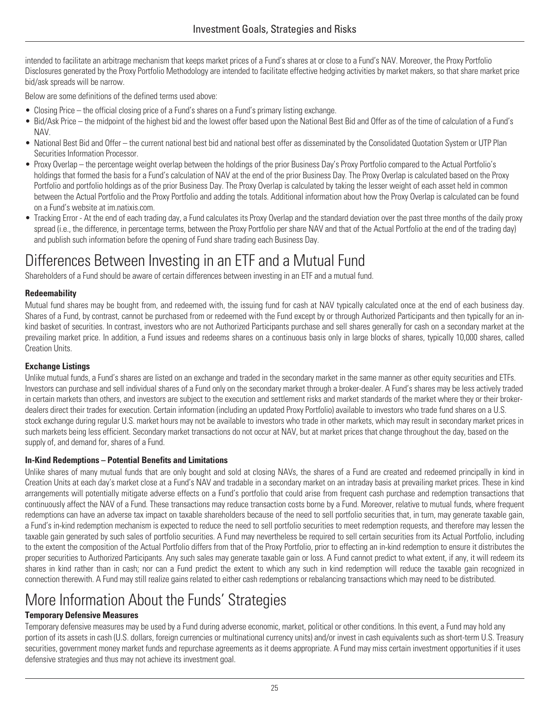intended to facilitate an arbitrage mechanism that keeps market prices of a Fund's shares at or close to a Fund's NAV. Moreover, the Proxy Portfolio Disclosures generated by the Proxy Portfolio Methodology are intended to facilitate effective hedging activities by market makers, so that share market price bid/ask spreads will be narrow.

Below are some definitions of the defined terms used above:

- Closing Price the official closing price of a Fund's shares on a Fund's primary listing exchange.
- Bid/Ask Price the midpoint of the highest bid and the lowest offer based upon the National Best Bid and Offer as of the time of calculation of a Fund's NAV.
- National Best Bid and Offer the current national best bid and national best offer as disseminated by the Consolidated Quotation System or UTP Plan Securities Information Processor.
- Proxy Overlap the percentage weight overlap between the holdings of the prior Business Day's Proxy Portfolio compared to the Actual Portfolio's holdings that formed the basis for a Fund's calculation of NAV at the end of the prior Business Day. The Proxy Overlap is calculated based on the Proxy Portfolio and portfolio holdings as of the prior Business Day. The Proxy Overlap is calculated by taking the lesser weight of each asset held in common between the Actual Portfolio and the Proxy Portfolio and adding the totals. Additional information about how the Proxy Overlap is calculated can be found on a Fund's website at [im.natixis.com](http://im.natixis.com).
- Tracking Error At the end of each trading day, a Fund calculates its Proxy Overlap and the standard deviation over the past three months of the daily proxy spread (i.e., the difference, in percentage terms, between the Proxy Portfolio per share NAV and that of the Actual Portfolio at the end of the trading day) and publish such information before the opening of Fund share trading each Business Day.

# <span id="page-28-0"></span>Differences Between Investing in an ETF and a Mutual Fund

Shareholders of a Fund should be aware of certain differences between investing in an ETF and a mutual fund.

### **Redeemability**

Mutual fund shares may be bought from, and redeemed with, the issuing fund for cash at NAV typically calculated once at the end of each business day. Shares of a Fund, by contrast, cannot be purchased from or redeemed with the Fund except by or through Authorized Participants and then typically for an inkind basket of securities. In contrast, investors who are not Authorized Participants purchase and sell shares generally for cash on a secondary market at the prevailing market price. In addition, a Fund issues and redeems shares on a continuous basis only in large blocks of shares, typically 10,000 shares, called Creation Units.

### **Exchange Listings**

Unlike mutual funds, a Fund's shares are listed on an exchange and traded in the secondary market in the same manner as other equity securities and ETFs. Investors can purchase and sell individual shares of a Fund only on the secondary market through a broker-dealer. A Fund's shares may be less actively traded in certain markets than others, and investors are subject to the execution and settlement risks and market standards of the market where they or their brokerdealers direct their trades for execution. Certain information (including an updated Proxy Portfolio) available to investors who trade fund shares on a U.S. stock exchange during regular U.S. market hours may not be available to investors who trade in other markets, which may result in secondary market prices in such markets being less efficient. Secondary market transactions do not occur at NAV, but at market prices that change throughout the day, based on the supply of, and demand for, shares of a Fund.

### **In-Kind Redemptions – Potential Benefits and Limitations**

Unlike shares of many mutual funds that are only bought and sold at closing NAVs, the shares of a Fund are created and redeemed principally in kind in Creation Units at each day's market close at a Fund's NAV and tradable in a secondary market on an intraday basis at prevailing market prices. These in kind arrangements will potentially mitigate adverse effects on a Fund's portfolio that could arise from frequent cash purchase and redemption transactions that continuously affect the NAV of a Fund. These transactions may reduce transaction costs borne by a Fund. Moreover, relative to mutual funds, where frequent redemptions can have an adverse tax impact on taxable shareholders because of the need to sell portfolio securities that, in turn, may generate taxable gain, a Fund's in-kind redemption mechanism is expected to reduce the need to sell portfolio securities to meet redemption requests, and therefore may lessen the taxable gain generated by such sales of portfolio securities. A Fund may nevertheless be required to sell certain securities from its Actual Portfolio, including to the extent the composition of the Actual Portfolio differs from that of the Proxy Portfolio, prior to effecting an in-kind redemption to ensure it distributes the proper securities to Authorized Participants. Any such sales may generate taxable gain or loss. A Fund cannot predict to what extent, if any, it will redeem its shares in kind rather than in cash; nor can a Fund predict the extent to which any such in kind redemption will reduce the taxable gain recognized in connection therewith. A Fund may still realize gains related to either cash redemptions or rebalancing transactions which may need to be distributed.

# <span id="page-28-1"></span>More Information About the Funds' Strategies

### **Temporary Defensive Measures**

Temporary defensive measures may be used by a Fund during adverse economic, market, political or other conditions. In this event, a Fund may hold any portion of its assets in cash (U.S. dollars, foreign currencies or multinational currency units) and/or invest in cash equivalents such as short-term U.S. Treasury securities, government money market funds and repurchase agreements as it deems appropriate. A Fund may miss certain investment opportunities if it uses defensive strategies and thus may not achieve its investment goal.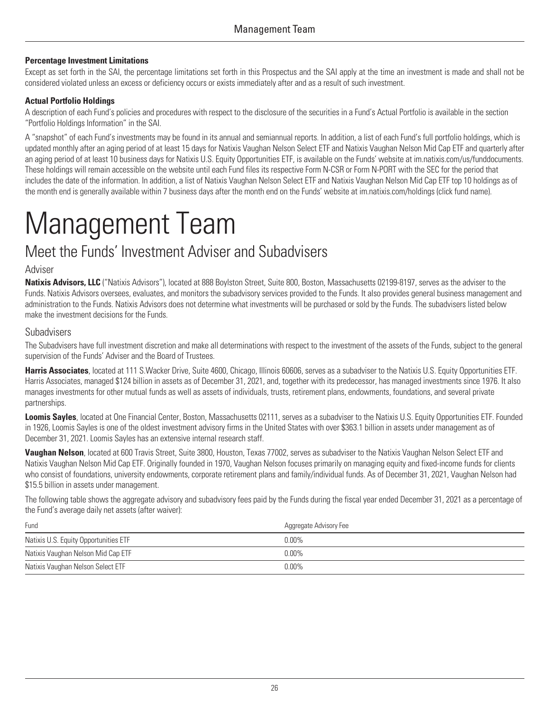#### **Percentage Investment Limitations**

Except as set forth in the SAI, the percentage limitations set forth in this Prospectus and the SAI apply at the time an investment is made and shall not be considered violated unless an excess or deficiency occurs or exists immediately after and as a result of such investment.

#### **Actual Portfolio Holdings**

A description of each Fund's policies and procedures with respect to the disclosure of the securities in a Fund's Actual Portfolio is available in the section "Portfolio Holdings Information" in the SAI.

A "snapshot" of each Fund's investments may be found in its annual and semiannual reports. In addition, a list of each Fund's full portfolio holdings, which is updated monthly after an aging period of at least 15 days for Natixis Vaughan Nelson Select ETF and Natixis Vaughan Nelson Mid Cap ETF and quarterly after an aging period of at least 10 business days for Natixis U.S. Equity Opportunities ETF, is available on the Funds' website at [im.natixis.com/us/funddocuments.](http://im.natixis.com/us/funddocuments)<br>These holdings will remain accessible on the website until each includes the date of the information. In addition, a list of Natixis Vaughan Nelson Select ETF and Natixis Vaughan Nelson Mid Cap ETF top 10 holdings as of the month end is generally available within 7 business days after the month end on the Funds' website at [im.natixis.com/holdings](http://im.natixis.com/holdings) (click fund name).

# <span id="page-29-0"></span>Management Team

## <span id="page-29-1"></span>Meet the Funds' Investment Adviser and Subadvisers

#### Adviser

**Natixis Advisors, LLC** ("Natixis Advisors"), located at 888 Boylston Street, Suite 800, Boston, Massachusetts 02199-8197, serves as the adviser to the Funds. Natixis Advisors oversees, evaluates, and monitors the subadvisory services provided to the Funds. It also provides general business management and administration to the Funds. Natixis Advisors does not determine what investments will be purchased or sold by the Funds. The subadvisers listed below make the investment decisions for the Funds.

#### Subadvisers

The Subadvisers have full investment discretion and make all determinations with respect to the investment of the assets of the Funds, subject to the general supervision of the Funds' Adviser and the Board of Trustees.

Harris Associates, located at 111 S. Wacker Drive, Suite 4600, Chicago, Illinois 60606, serves as a subadviser to the Natixis U.S. Equity Opportunities ETF. Harris Associates, managed \$124 billion in assets as of December 31, 2021, and, together with its predecessor, has managed investments since 1976. It also manages investments for other mutual funds as well as assets of individuals, trusts, retirement plans, endowments, foundations, and several private partnerships.

**Loomis Sayles**, located at One Financial Center, Boston, Massachusetts 02111, serves as a subadviser to the Natixis U.S. Equity Opportunities ETF. Founded in 1926, Loomis Sayles is one of the oldest investment advisory firms in the United States with over \$363.1 billion in assets under management as of December 31, 2021. Loomis Sayles has an extensive internal research staff.

**Vaughan Nelson**, located at 600 Travis Street, Suite 3800, Houston, Texas 77002, serves as subadviser to the Natixis Vaughan Nelson Select ETF and Natixis Vaughan Nelson Mid Cap ETF. Originally founded in 1970, Vaughan Nelson focuses primarily on managing equity and fixed-income funds for clients who consist of foundations, university endowments, corporate retirement plans and family/individual funds. As of December 31, 2021, Vaughan Nelson had \$15.5 billion in assets under management.

The following table shows the aggregate advisory and subadvisory fees paid by the Funds during the fiscal year ended December 31, 2021 as a percentage of the Fund's average daily net assets (after waiver):

| Fund                                  | Aggregate Advisory Fee |
|---------------------------------------|------------------------|
| Natixis U.S. Equity Opportunities ETF | $0.00\%$               |
| Natixis Vaughan Nelson Mid Cap ETF    | $0.00\%$               |
| Natixis Vaughan Nelson Select ETF     | $0.00\%$               |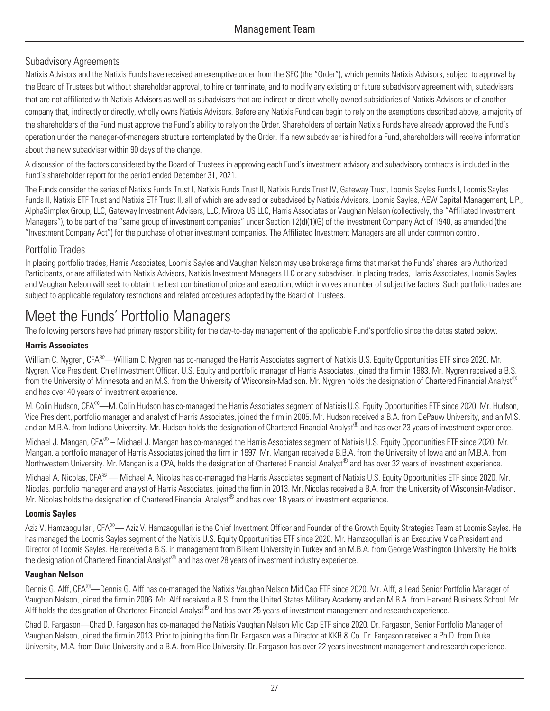### Subadvisory Agreements

Natixis Advisors and the Natixis Funds have received an exemptive order from the SEC (the "Order"), which permits Natixis Advisors, subject to approval by the Board of Trustees but without shareholder approval, to hire or terminate, and to modify any existing or future subadvisory agreement with, subadvisers that are not affiliated with Natixis Advisors as well as subadvisers that are indirect or direct wholly-owned subsidiaries of Natixis Advisors or of another company that, indirectly or directly, wholly owns Natixis Advisors. Before any Natixis Fund can begin to rely on the exemptions described above, a majority of the shareholders of the Fund must approve the Fund's ability to rely on the Order. Shareholders of certain Natixis Funds have already approved the Fund's operation under the manager-of-managers structure contemplated by the Order. If a new subadviser is hired for a Fund, shareholders will receive information about the new subadviser within 90 days of the change.

A discussion of the factors considered by the Board of Trustees in approving each Fund's investment advisory and subadvisory contracts is included in the Fund's shareholder report for the period ended December 31, 2021.

The Funds consider the series of Natixis Funds Trust I, Natixis Funds Trust II, Natixis Funds Trust IV, Gateway Trust, Loomis Sayles Funds I, Loomis Sayles Funds II, Natixis ETF Trust and Natixis ETF Trust II, all of which are advised or subadvised by Natixis Advisors, Loomis Sayles, AEW Capital Management, L.P., AlphaSimplex Group, LLC, Gateway Investment Advisers, LLC, Mirova US LLC, Harris Associates or Vaughan Nelson (collectively, the "Affiliated Investment Managers"), to be part of the "same group of investment companies" under Section 12(d)(1)(G) of the Investment Company Act of 1940, as amended (the "Investment Company Act") for the purchase of other investment companies. The Affiliated Investment Managers are all under common control.

### Portfolio Trades

In placing portfolio trades, Harris Associates, Loomis Sayles and Vaughan Nelson may use brokerage firms that market the Funds' shares, are Authorized Participants, or are affiliated with Natixis Advisors, Natixis Investment Managers LLC or any subadviser. In placing trades, Harris Associates, Loomis Sayles and Vaughan Nelson will seek to obtain the best combination of price and execution, which involves a number of subjective factors. Such portfolio trades are subject to applicable regulatory restrictions and related procedures adopted by the Board of Trustees.

# <span id="page-30-0"></span>Meet the Funds' Portfolio Managers

The following persons have had primary responsibility for the day-to-day management of the applicable Fund's portfolio since the dates stated below.

### **Harris Associates**

William C. Nygren, CFA®—William C. Nygren has co-managed the Harris Associates segment of Natixis U.S. Equity Opportunities ETF since 2020. Mr. Nygren, Vice President, Chief Investment Officer, U.S. Equity and portfolio manager of Harris Associates, joined the firm in 1983. Mr. Nygren received a B.S. from the University of Minnesota and an M.S. from the University of Wisconsin-Madison. Mr. Nygren holds the designation of Chartered Financial Analyst® and has over 40 years of investment experience.

M. Colin Hudson, CFA®—M. Colin Hudson has co-managed the Harris Associates segment of Natixis U.S. Equity Opportunities ETF since 2020. Mr. Hudson, Vice President, portfolio manager and analyst of Harris Associates, joined the firm in 2005. Mr. Hudson received a B.A. from DePauw University, and an M.S. and an M.B.A. from Indiana University. Mr. Hudson holds the designation of Chartered Financial Analyst® and has over 23 years of investment experience.

Michael J. Mangan, CFA<sup>®</sup> – Michael J. Mangan has co-managed the Harris Associates segment of Natixis U.S. Equity Opportunities ETF since 2020. Mr. Mangan, a portfolio manager of Harris Associates joined the firm in 1997. Mr. Mangan received a B.B.A. from the University of Iowa and an M.B.A. from Northwestern University. Mr. Mangan is a CPA, holds the designation of Chartered Financial Analyst® and has over 32 years of investment experience.

Michael A. Nicolas, CFA® — Michael A. Nicolas has co-managed the Harris Associates segment of Natixis U.S. Equity Opportunities ETF since 2020. Mr. Nicolas, portfolio manager and analyst of Harris Associates, joined the firm in 2013. Mr. Nicolas received a B.A. from the University of Wisconsin-Madison. Mr. Nicolas holds the designation of Chartered Financial Analyst® and has over 18 years of investment experience.

### **Loomis Sayles**

Aziz V. Hamzaogullari, CFA®— Aziz V. Hamzaogullari is the Chief Investment Officer and Founder of the Growth Equity Strategies Team at Loomis Sayles. He has managed the Loomis Sayles segment of the Natixis U.S. Equity Opportunities ETF since 2020. Mr. Hamzaogullari is an Executive Vice President and Director of Loomis Sayles. He received a B.S. in management from Bilkent University in Turkey and an M.B.A. from George Washington University. He holds the designation of Chartered Financial Analyst<sup>®</sup> and has over 28 years of investment industry experience.

#### **Vaughan Nelson**

Dennis G. Alff, CFA<sup>®</sup>—Dennis G. Alff has co-managed the Natixis Vaughan Nelson Mid Cap ETF since 2020. Mr. Alff, a Lead Senior Portfolio Manager of Vaughan Nelson, joined the firm in 2006. Mr. Alff received a B.S. from the United States Military Academy and an M.B.A. from Harvard Business School. Mr. Alff holds the designation of Chartered Financial Analyst® and has over 25 years of investment management and research experience.

Chad D. Fargason—Chad D. Fargason has co-managed the Natixis Vaughan Nelson Mid Cap ETF since 2020. Dr. Fargason, Senior Portfolio Manager of Vaughan Nelson, joined the firm in 2013. Prior to joining the firm Dr. Fargason was a Director at KKR & Co. Dr. Fargason received a Ph.D. from Duke University, M.A. from Duke University and a B.A. from Rice University. Dr. Fargason has over 22 years investment management and research experience.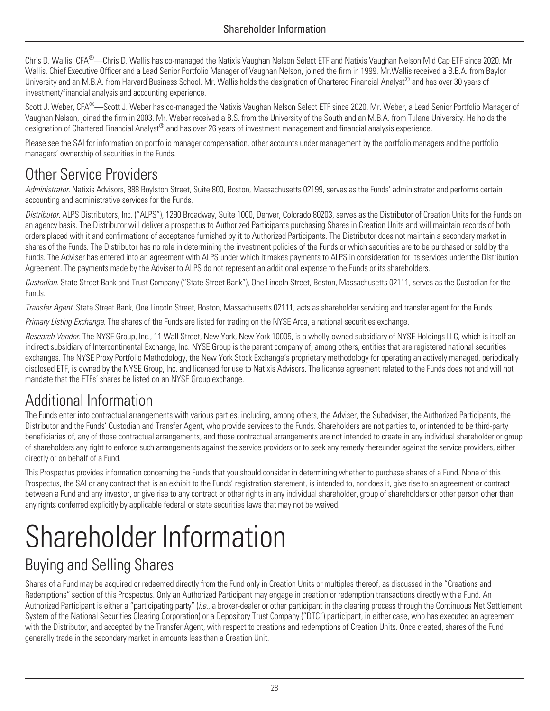Chris D. Wallis, CFA® —Chris D. Wallis has co-managed the Natixis Vaughan Nelson Select ETF and Natixis Vaughan Nelson Mid Cap ETF since 2020. Mr. Wallis, Chief Executive Officer and a Lead Senior Portfolio Manager of Vaughan Nelson, joined the firm in 1999. Mr.Wallis received a B.B.A. from Baylor University and an M.B.A. from Harvard Business School. Mr. Wallis holds the designation of Chartered Financial Analyst® and has over 30 years of investment/financial analysis and accounting experience.

Scott J. Weber, CFA<sup>®</sup>—Scott J. Weber has co-managed the Natixis Vaughan Nelson Select ETF since 2020. Mr. Weber, a Lead Senior Portfolio Manager of Vaughan Nelson, joined the firm in 2003. Mr. Weber received a B.S. from the University of the South and an M.B.A. from Tulane University. He holds the designation of Chartered Financial Analyst® and has over 26 years of investment management and financial analysis experience.

Please see the SAI for information on portfolio manager compensation, other accounts under management by the portfolio managers and the portfolio managers' ownership of securities in the Funds.

# <span id="page-31-0"></span>Other Service Providers

*Administrator.* Natixis Advisors, 888 Boylston Street, Suite 800, Boston, Massachusetts 02199, serves as the Funds' administrator and performs certain accounting and administrative services for the Funds.

*Distributor.* ALPS Distributors, Inc. ("ALPS"), 1290 Broadway, Suite 1000, Denver, Colorado 80203, serves as the Distributor of Creation Units for the Funds on an agency basis. The Distributor will deliver a prospectus to Authorized Participants purchasing Shares in Creation Units and will maintain records of both orders placed with it and confirmations of acceptance furnished by it to Authorized Participants. The Distributor does not maintain a secondary market in shares of the Funds. The Distributor has no role in determining the investment policies of the Funds or which securities are to be purchased or sold by the Funds. The Adviser has entered into an agreement with ALPS under which it makes payments to ALPS in consideration for its services under the Distribution Agreement. The payments made by the Adviser to ALPS do not represent an additional expense to the Funds or its shareholders.

*Custodian.* State Street Bank and Trust Company ("State Street Bank"), One Lincoln Street, Boston, Massachusetts 02111, serves as the Custodian for the Funds.

*Transfer Agent.* State Street Bank, One Lincoln Street, Boston, Massachusetts 02111, acts as shareholder servicing and transfer agent for the Funds.

*Primary Listing Exchange.* The shares of the Funds are listed for trading on the NYSE Arca, a national securities exchange.

*Research Vendor*. The NYSE Group, Inc., 11 Wall Street, New York, New York 10005, is a wholly-owned subsidiary of NYSE Holdings LLC, which is itself an indirect subsidiary of Intercontinental Exchange, Inc. NYSE Group is the parent company of, among others, entities that are registered national securities exchanges. The NYSE Proxy Portfolio Methodology, the New York Stock Exchange's proprietary methodology for operating an actively managed, periodically disclosed ETF, is owned by the NYSE Group, Inc. and licensed for use to Natixis Advisors. The license agreement related to the Funds does not and will not mandate that the ETFs' shares be listed on an NYSE Group exchange.

# <span id="page-31-1"></span>Additional Information

The Funds enter into contractual arrangements with various parties, including, among others, the Adviser, the Subadviser, the Authorized Participants, the Distributor and the Funds' Custodian and Transfer Agent, who provide services to the Funds. Shareholders are not parties to, or intended to be third-party beneficiaries of, any of those contractual arrangements, and those contractual arrangements are not intended to create in any individual shareholder or group of shareholders any right to enforce such arrangements against the service providers or to seek any remedy thereunder against the service providers, either directly or on behalf of a Fund.

This Prospectus provides information concerning the Funds that you should consider in determining whether to purchase shares of a Fund. None of this Prospectus, the SAI or any contract that is an exhibit to the Funds' registration statement, is intended to, nor does it, give rise to an agreement or contract between a Fund and any investor, or give rise to any contract or other rights in any individual shareholder, group of shareholders or other person other than any rights conferred explicitly by applicable federal or state securities laws that may not be waived.

# <span id="page-31-2"></span>Shareholder Information

# <span id="page-31-3"></span>Buying and Selling Shares

Shares of a Fund may be acquired or redeemed directly from the Fund only in Creation Units or multiples thereof, as discussed in the "Creations and Redemptions" section of this Prospectus. Only an Authorized Participant may engage in creation or redemption transactions directly with a Fund. An Authorized Participant is either a "participating party" (*i.e.*, a broker-dealer or other participant in the clearing process through the Continuous Net Settlement System of the National Securities Clearing Corporation) or a Depository Trust Company ("DTC") participant, in either case, who has executed an agreement with the Distributor, and accepted by the Transfer Agent, with respect to creations and redemptions of Creation Units. Once created, shares of the Fund generally trade in the secondary market in amounts less than a Creation Unit.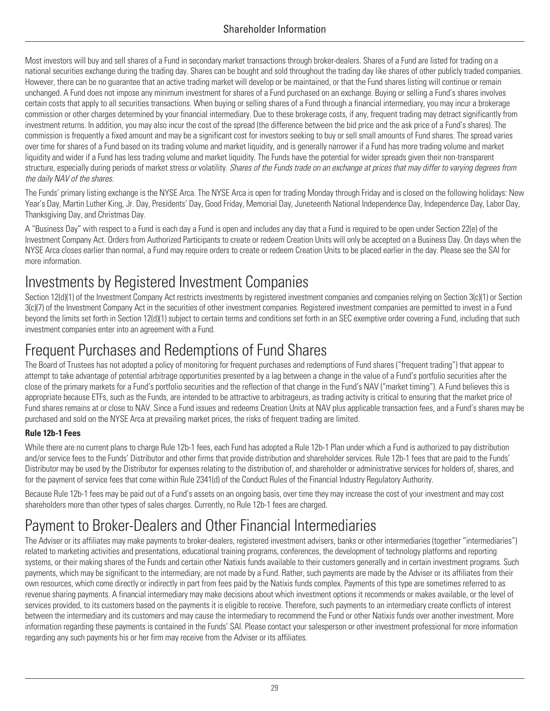Most investors will buy and sell shares of a Fund in secondary market transactions through broker-dealers. Shares of a Fund are listed for trading on a national securities exchange during the trading day. Shares can be bought and sold throughout the trading day like shares of other publicly traded companies. However, there can be no guarantee that an active trading market will develop or be maintained, or that the Fund shares listing will continue or remain unchanged. A Fund does not impose any minimum investment for shares of a Fund purchased on an exchange. Buying or selling a Fund's shares involves certain costs that apply to all securities transactions. When buying or selling shares of a Fund through a financial intermediary, you may incur a brokerage commission or other charges determined by your financial intermediary. Due to these brokerage costs, if any, frequent trading may detract significantly from investment returns. In addition, you may also incur the cost of the spread (the difference between the bid price and the ask price of a Fund's shares). The commission is frequently a fixed amount and may be a significant cost for investors seeking to buy or sell small amounts of Fund shares. The spread varies over time for shares of a Fund based on its trading volume and market liquidity, and is generally narrower if a Fund has more trading volume and market liquidity and wider if a Fund has less trading volume and market liquidity. The Funds have the potential for wider spreads given their non-transparent structure, especially during periods of market stress or volatility. *Shares of the Funds trade on an exchange at prices that may differ to varying degrees from the daily NAV of the shares.*

The Funds' primary listing exchange is the NYSE Arca. The NYSE Arca is open for trading Monday through Friday and is closed on the following holidays: New Year's Day, Martin Luther King, Jr. Day, Presidents' Day, Good Friday, Memorial Day, Juneteenth National Independence Day, Independence Day, Labor Day, Thanksgiving Day, and Christmas Day.

A "Business Day" with respect to a Fund is each day a Fund is open and includes any day that a Fund is required to be open under Section 22(e) of the Investment Company Act. Orders from Authorized Participants to create or redeem Creation Units will only be accepted on a Business Day. On days when the NYSE Arca closes earlier than normal, a Fund may require orders to create or redeem Creation Units to be placed earlier in the day. Please see the SAI for more information.

# <span id="page-32-0"></span>Investments by Registered Investment Companies

Section 12(d)(1) of the Investment Company Act restricts investments by registered investment companies and companies relying on Section 3(c)(1) or Section 3(c)(7) of the Investment Company Act in the securities of other investment companies. Registered investment companies are permitted to invest in a Fund beyond the limits set forth in Section 12(d)(1) subject to certain terms and conditions set forth in an SEC exemptive order covering a Fund, including that such investment companies enter into an agreement with a Fund.

# <span id="page-32-1"></span>Frequent Purchases and Redemptions of Fund Shares

The Board of Trustees has not adopted a policy of monitoring for frequent purchases and redemptions of Fund shares ("frequent trading") that appear to attempt to take advantage of potential arbitrage opportunities presented by a lag between a change in the value of a Fund's portfolio securities after the close of the primary markets for a Fund's portfolio securities and the reflection of that change in the Fund's NAV ("market timing"). A Fund believes this is appropriate because ETFs, such as the Funds, are intended to be attractive to arbitrageurs, as trading activity is critical to ensuring that the market price of Fund shares remains at or close to NAV. Since a Fund issues and redeems Creation Units at NAV plus applicable transaction fees, and a Fund's shares may be purchased and sold on the NYSE Arca at prevailing market prices, the risks of frequent trading are limited.

### **Rule 12b-1 Fees**

While there are no current plans to charge Rule 12b-1 fees, each Fund has adopted a Rule 12b-1 Plan under which a Fund is authorized to pay distribution and/or service fees to the Funds' Distributor and other firms that provide distribution and shareholder services. Rule 12b-1 fees that are paid to the Funds' Distributor may be used by the Distributor for expenses relating to the distribution of, and shareholder or administrative services for holders of, shares, and for the payment of service fees that come within Rule 2341(d) of the Conduct Rules of the Financial Industry Regulatory Authority.

Because Rule 12b-1 fees may be paid out of a Fund's assets on an ongoing basis, over time they may increase the cost of your investment and may cost shareholders more than other types of sales charges. Currently, no Rule 12b-1 fees are charged.

# <span id="page-32-2"></span>Payment to Broker-Dealers and Other Financial Intermediaries

The Adviser or its affiliates may make payments to broker-dealers, registered investment advisers, banks or other intermediaries (together "intermediaries") related to marketing activities and presentations, educational training programs, conferences, the development of technology platforms and reporting systems, or their making shares of the Funds and certain other Natixis funds available to their customers generally and in certain investment programs. Such payments, which may be significant to the intermediary, are not made by a Fund. Rather, such payments are made by the Adviser or its affiliates from their own resources, which come directly or indirectly in part from fees paid by the Natixis funds complex. Payments of this type are sometimes referred to as revenue sharing payments. A financial intermediary may make decisions about which investment options it recommends or makes available, or the level of services provided, to its customers based on the payments it is eligible to receive. Therefore, such payments to an intermediary create conflicts of interest between the intermediary and its customers and may cause the intermediary to recommend the Fund or other Natixis funds over another investment. More information regarding these payments is contained in the Funds' SAI. Please contact your salesperson or other investment professional for more information regarding any such payments his or her firm may receive from the Adviser or its affiliates.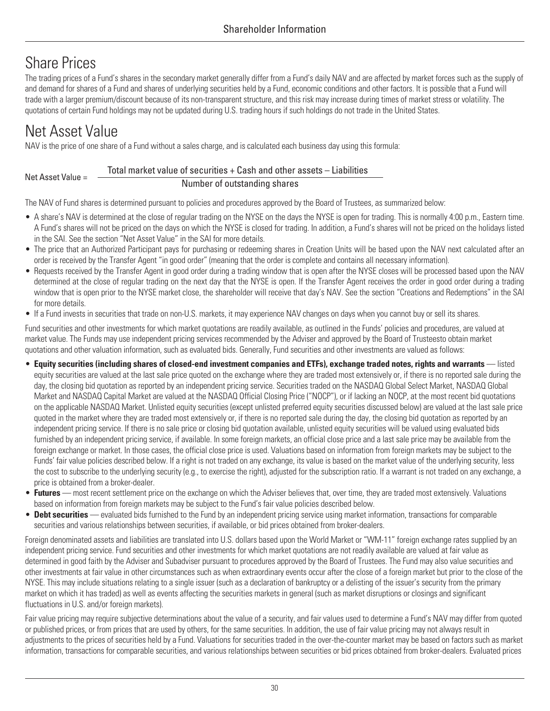# <span id="page-33-0"></span>Share Prices

The trading prices of a Fund's shares in the secondary market generally differ from a Fund's daily NAV and are affected by market forces such as the supply of and demand for shares of a Fund and shares of underlying securities held by a Fund, economic conditions and other factors. It is possible that a Fund will trade with a larger premium/discount because of its non-transparent structure, and this risk may increase during times of market stress or volatility. The quotations of certain Fund holdings may not be updated during U.S. trading hours if such holdings do not trade in the United States.

# <span id="page-33-1"></span>Net Asset Value

Net Asset Value =

NAV is the price of one share of a Fund without a sales charge, and is calculated each business day using this formula:

#### Total market value of securities + Cash and other assets – Liabilities

Number of outstanding shares

The NAV of Fund shares is determined pursuant to policies and procedures approved by the Board of Trustees, as summarized below:

- A share's NAV is determined at the close of regular trading on the NYSE on the days the NYSE is open for trading. This is normally 4:00 p.m., Eastern time. A Fund's shares will not be priced on the days on which the NYSE is closed for trading. In addition, a Fund's shares will not be priced on the holidays listed in the SAI. See the section "Net Asset Value" in the SAI for more details.
- The price that an Authorized Participant pays for purchasing or redeeming shares in Creation Units will be based upon the NAV next calculated after an order is received by the Transfer Agent "in good order" (meaning that the order is complete and contains all necessary information).
- Requests received by the Transfer Agent in good order during a trading window that is open after the NYSE closes will be processed based upon the NAV determined at the close of regular trading on the next day that the NYSE is open. If the Transfer Agent receives the order in good order during a trading window that is open prior to the NYSE market close, the shareholder will receive that day's NAV. See the section "Creations and Redemptions" in the SAI for more details.
- If a Fund invests in securities that trade on non-U.S. markets, it may experience NAV changes on days when you cannot buy or sell its shares.

Fund securities and other investments for which market quotations are readily available, as outlined in the Funds' policies and procedures, are valued at market value. The Funds may use independent pricing services recommended by the Adviser and approved by the Board of Trusteesto obtain market quotations and other valuation information, such as evaluated bids. Generally, Fund securities and other investments are valued as follows:

- **Equity securities (including shares of closed-end investment companies and ETFs), exchange traded notes, rights and warrants**  listed equity securities are valued at the last sale price quoted on the exchange where they are traded most extensively or, if there is no reported sale during the day, the closing bid quotation as reported by an independent pricing service. Securities traded on the NASDAQ Global Select Market, NASDAQ Global Market and NASDAQ Capital Market are valued at the NASDAQ Official Closing Price ("NOCP"), or if lacking an NOCP, at the most recent bid quotations on the applicable NASDAQ Market. Unlisted equity securities (except unlisted preferred equity securities discussed below) are valued at the last sale price quoted in the market where they are traded most extensively or, if there is no reported sale during the day, the closing bid quotation as reported by an independent pricing service. If there is no sale price or closing bid quotation available, unlisted equity securities will be valued using evaluated bids furnished by an independent pricing service, if available. In some foreign markets, an official close price and a last sale price may be available from the foreign exchange or market. In those cases, the official close price is used. Valuations based on information from foreign markets may be subject to the Funds' fair value policies described below. If a right is not traded on any exchange, its value is based on the market value of the underlying security, less the cost to subscribe to the underlying security (e.g., to exercise the right), adjusted for the subscription ratio. If a warrant is not traded on any exchange, a price is obtained from a broker-dealer.
- Futures most recent settlement price on the exchange on which the Adviser believes that, over time, they are traded most extensively. Valuations based on information from foreign markets may be subject to the Fund's fair value policies described below.
- **Debt securities**  evaluated bids furnished to the Fund by an independent pricing service using market information, transactions for comparable securities and various relationships between securities, if available, or bid prices obtained from broker-dealers.

Foreign denominated assets and liabilities are translated into U.S. dollars based upon the World Market or "WM-11" foreign exchange rates supplied by an independent pricing service. Fund securities and other investments for which market quotations are not readily available are valued at fair value as determined in good faith by the Adviser and Subadviser pursuant to procedures approved by the Board of Trustees. The Fund may also value securities and other investments at fair value in other circumstances such as when extraordinary events occur after the close of a foreign market but prior to the close of the NYSE. This may include situations relating to a single issuer (such as a declaration of bankruptcy or a delisting of the issuer's security from the primary market on which it has traded) as well as events affecting the securities markets in general (such as market disruptions or closings and significant fluctuations in U.S. and/or foreign markets).

Fair value pricing may require subjective determinations about the value of a security, and fair values used to determine a Fund's NAV may differ from quoted or published prices, or from prices that are used by others, for the same securities. In addition, the use of fair value pricing may not always result in adjustments to the prices of securities held by a Fund. Valuations for securities traded in the over-the-counter market may be based on factors such as market information, transactions for comparable securities, and various relationships between securities or bid prices obtained from broker-dealers. Evaluated prices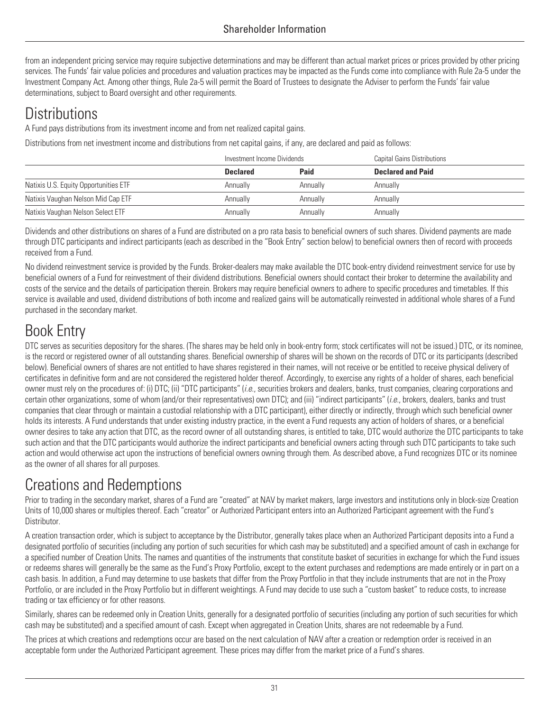from an independent pricing service may require subjective determinations and may be different than actual market prices or prices provided by other pricing services. The Funds' fair value policies and procedures and valuation practices may be impacted as the Funds come into compliance with Rule 2a-5 under the Investment Company Act. Among other things, Rule 2a-5 will permit the Board of Trustees to designate the Adviser to perform the Funds' fair value determinations, subject to Board oversight and other requirements.

# <span id="page-34-0"></span>**Distributions**

A Fund pays distributions from its investment income and from net realized capital gains.

Distributions from net investment income and distributions from net capital gains, if any, are declared and paid as follows:

|                                       | Investment Income Dividends |          | Capital Gains Distributions |
|---------------------------------------|-----------------------------|----------|-----------------------------|
|                                       | <b>Declared</b>             | Paid     | <b>Declared and Paid</b>    |
| Natixis U.S. Equity Opportunities ETF | Annually                    | Annually | Annually                    |
| Natixis Vaughan Nelson Mid Cap ETF    | Annually                    | Annually | Annually                    |
| Natixis Vaughan Nelson Select ETF     | Annually                    | Annually | Annually                    |

Dividends and other distributions on shares of a Fund are distributed on a pro rata basis to beneficial owners of such shares. Dividend payments are made through DTC participants and indirect participants (each as described in the "Book Entry" section below) to beneficial owners then of record with proceeds received from a Fund.

No dividend reinvestment service is provided by the Funds. Broker-dealers may make available the DTC book-entry dividend reinvestment service for use by beneficial owners of a Fund for reinvestment of their dividend distributions. Beneficial owners should contact their broker to determine the availability and costs of the service and the details of participation therein. Brokers may require beneficial owners to adhere to specific procedures and timetables. If this service is available and used, dividend distributions of both income and realized gains will be automatically reinvested in additional whole shares of a Fund purchased in the secondary market.

# <span id="page-34-1"></span>Book Entry

DTC serves as securities depository for the shares. (The shares may be held only in book-entry form; stock certificates will not be issued.) DTC, or its nominee, is the record or registered owner of all outstanding shares. Beneficial ownership of shares will be shown on the records of DTC or its participants (described below). Beneficial owners of shares are not entitled to have shares registered in their names, will not receive or be entitled to receive physical delivery of certificates in definitive form and are not considered the registered holder thereof. Accordingly, to exercise any rights of a holder of shares, each beneficial owner must rely on the procedures of: (i) DTC; (ii) "DTC participants" (*i.e.*, securities brokers and dealers, banks, trust companies, clearing corporations and certain other organizations, some of whom (and/or their representatives) own DTC); and (iii) "indirect participants" (*i.e.*, brokers, dealers, banks and trust companies that clear through or maintain a custodial relationship with a DTC participant), either directly or indirectly, through which such beneficial owner holds its interests. A Fund understands that under existing industry practice, in the event a Fund requests any action of holders of shares, or a beneficial owner desires to take any action that DTC, as the record owner of all outstanding shares, is entitled to take, DTC would authorize the DTC participants to take such action and that the DTC participants would authorize the indirect participants and beneficial owners acting through such DTC participants to take such action and would otherwise act upon the instructions of beneficial owners owning through them. As described above, a Fund recognizes DTC or its nominee as the owner of all shares for all purposes.

# <span id="page-34-2"></span>Creations and Redemptions

Prior to trading in the secondary market, shares of a Fund are "created" at NAV by market makers, large investors and institutions only in block-size Creation Units of 10,000 shares or multiples thereof. Each "creator" or Authorized Participant enters into an Authorized Participant agreement with the Fund's Distributor.

A creation transaction order, which is subject to acceptance by the Distributor, generally takes place when an Authorized Participant deposits into a Fund a designated portfolio of securities (including any portion of such securities for which cash may be substituted) and a specified amount of cash in exchange for a specified number of Creation Units. The names and quantities of the instruments that constitute basket of securities in exchange for which the Fund issues or redeems shares will generally be the same as the Fund's Proxy Portfolio, except to the extent purchases and redemptions are made entirely or in part on a cash basis. In addition, a Fund may determine to use baskets that differ from the Proxy Portfolio in that they include instruments that are not in the Proxy Portfolio, or are included in the Proxy Portfolio but in different weightings. A Fund may decide to use such a "custom basket" to reduce costs, to increase trading or tax efficiency or for other reasons.

Similarly, shares can be redeemed only in Creation Units, generally for a designated portfolio of securities (including any portion of such securities for which cash may be substituted) and a specified amount of cash. Except when aggregated in Creation Units, shares are not redeemable by a Fund.

The prices at which creations and redemptions occur are based on the next calculation of NAV after a creation or redemption order is received in an acceptable form under the Authorized Participant agreement. These prices may differ from the market price of a Fund's shares.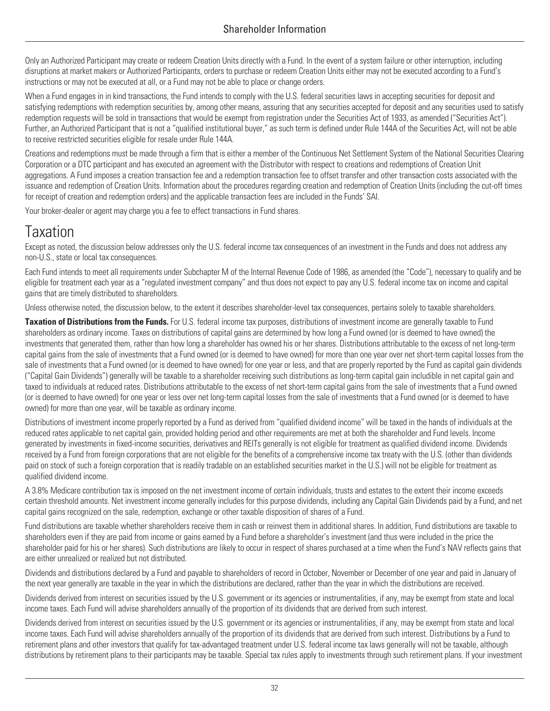Only an Authorized Participant may create or redeem Creation Units directly with a Fund. In the event of a system failure or other interruption, including disruptions at market makers or Authorized Participants, orders to purchase or redeem Creation Units either may not be executed according to a Fund's instructions or may not be executed at all, or a Fund may not be able to place or change orders.

When a Fund engages in in kind transactions, the Fund intends to comply with the U.S. federal securities laws in accepting securities for deposit and satisfying redemptions with redemption securities by, among other means, assuring that any securities accepted for deposit and any securities used to satisfy redemption requests will be sold in transactions that would be exempt from registration under the Securities Act of 1933, as amended ("Securities Act"). Further, an Authorized Participant that is not a "qualified institutional buyer," as such term is defined under Rule 144A of the Securities Act, will not be able to receive restricted securities eligible for resale under Rule 144A.

Creations and redemptions must be made through a firm that is either a member of the Continuous Net Settlement System of the National Securities Clearing Corporation or a DTC participant and has executed an agreement with the Distributor with respect to creations and redemptions of Creation Unit aggregations. A Fund imposes a creation transaction fee and a redemption transaction fee to offset transfer and other transaction costs associated with the issuance and redemption of Creation Units. Information about the procedures regarding creation and redemption of Creation Units (including the cut-off times for receipt of creation and redemption orders) and the applicable transaction fees are included in the Funds' SAI.

Your broker-dealer or agent may charge you a fee to effect transactions in Fund shares.

# <span id="page-35-0"></span>**Taxation**

Except as noted, the discussion below addresses only the U.S. federal income tax consequences of an investment in the Funds and does not address any non-U.S., state or local tax consequences.

Each Fund intends to meet all requirements under Subchapter M of the Internal Revenue Code of 1986, as amended (the "Code"), necessary to qualify and be eligible for treatment each year as a "regulated investment company" and thus does not expect to pay any U.S. federal income tax on income and capital gains that are timely distributed to shareholders.

Unless otherwise noted, the discussion below, to the extent it describes shareholder-level tax consequences, pertains solely to taxable shareholders.

**Taxation of Distributions from the Funds.** For U.S. federal income tax purposes, distributions of investment income are generally taxable to Fund shareholders as ordinary income. Taxes on distributions of capital gains are determined by how long a Fund owned (or is deemed to have owned) the investments that generated them, rather than how long a shareholder has owned his or her shares. Distributions attributable to the excess of net long-term capital gains from the sale of investments that a Fund owned (or is deemed to have owned) for more than one year over net short-term capital losses from the sale of investments that a Fund owned (or is deemed to have owned) for one year or less, and that are properly reported by the Fund as capital gain dividends ("Capital Gain Dividends") generally will be taxable to a shareholder receiving such distributions as long-term capital gain includible in net capital gain and taxed to individuals at reduced rates. Distributions attributable to the excess of net short-term capital gains from the sale of investments that a Fund owned (or is deemed to have owned) for one year or less over net long-term capital losses from the sale of investments that a Fund owned (or is deemed to have owned) for more than one year, will be taxable as ordinary income.

Distributions of investment income properly reported by a Fund as derived from "qualified dividend income" will be taxed in the hands of individuals at the reduced rates applicable to net capital gain, provided holding period and other requirements are met at both the shareholder and Fund levels. Income generated by investments in fixed-income securities, derivatives and REITs generally is not eligible for treatment as qualified dividend income. Dividends received by a Fund from foreign corporations that are not eligible for the benefits of a comprehensive income tax treaty with the U.S. (other than dividends paid on stock of such a foreign corporation that is readily tradable on an established securities market in the U.S.) will not be eligible for treatment as qualified dividend income.

A 3.8% Medicare contribution tax is imposed on the net investment income of certain individuals, trusts and estates to the extent their income exceeds certain threshold amounts. Net investment income generally includes for this purpose dividends, including any Capital Gain Dividends paid by a Fund, and net capital gains recognized on the sale, redemption, exchange or other taxable disposition of shares of a Fund.

Fund distributions are taxable whether shareholders receive them in cash or reinvest them in additional shares. In addition, Fund distributions are taxable to shareholders even if they are paid from income or gains earned by a Fund before a shareholder's investment (and thus were included in the price the shareholder paid for his or her shares). Such distributions are likely to occur in respect of shares purchased at a time when the Fund's NAV reflects gains that are either unrealized or realized but not distributed.

Dividends and distributions declared by a Fund and payable to shareholders of record in October, November or December of one year and paid in January of the next year generally are taxable in the year in which the distributions are declared, rather than the year in which the distributions are received.

Dividends derived from interest on securities issued by the U.S. government or its agencies or instrumentalities, if any, may be exempt from state and local income taxes. Each Fund will advise shareholders annually of the proportion of its dividends that are derived from such interest.

Dividends derived from interest on securities issued by the U.S. government or its agencies or instrumentalities, if any, may be exempt from state and local income taxes. Each Fund will advise shareholders annually of the proportion of its dividends that are derived from such interest. Distributions by a Fund to retirement plans and other investors that qualify for tax-advantaged treatment under U.S. federal income tax laws generally will not be taxable, although distributions by retirement plans to their participants may be taxable. Special tax rules apply to investments through such retirement plans. If your investment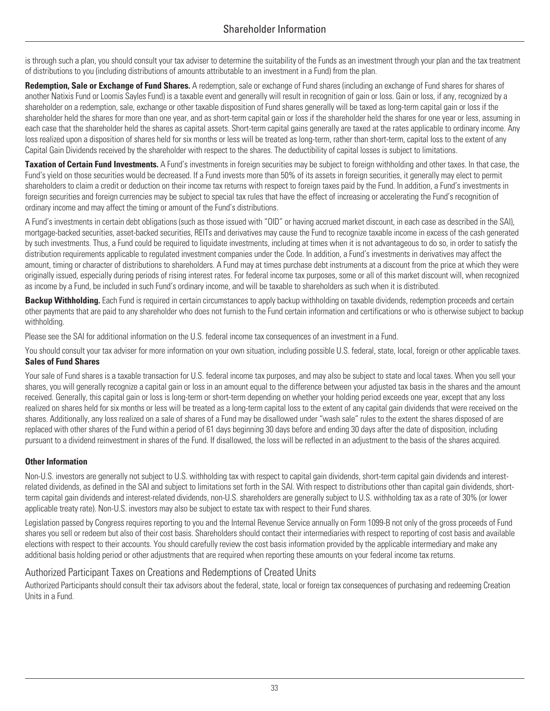is through such a plan, you should consult your tax adviser to determine the suitability of the Funds as an investment through your plan and the tax treatment of distributions to you (including distributions of amounts attributable to an investment in a Fund) from the plan.

Redemption, Sale or Exchange of Fund Shares. A redemption, sale or exchange of Fund shares (including an exchange of Fund shares for shares of another Natixis Fund or Loomis Sayles Fund) is a taxable event and generally will result in recognition of gain or loss. Gain or loss, if any, recognized by a shareholder on a redemption, sale, exchange or other taxable disposition of Fund shares generally will be taxed as long-term capital gain or loss if the shareholder held the shares for more than one year, and as short-term capital gain or loss if the shareholder held the shares for one year or less, assuming in each case that the shareholder held the shares as capital assets. Short-term capital gains generally are taxed at the rates applicable to ordinary income. Any loss realized upon a disposition of shares held for six months or less will be treated as long-term, rather than short-term, capital loss to the extent of any Capital Gain Dividends received by the shareholder with respect to the shares. The deductibility of capital losses is subject to limitations.

**Taxation of Certain Fund Investments.** A Fund's investments in foreign securities may be subject to foreign withholding and other taxes. In that case, the Fund's yield on those securities would be decreased. If a Fund invests more than 50% of its assets in foreign securities, it generally may elect to permit shareholders to claim a credit or deduction on their income tax returns with respect to foreign taxes paid by the Fund. In addition, a Fund's investments in foreign securities and foreign currencies may be subject to special tax rules that have the effect of increasing or accelerating the Fund's recognition of ordinary income and may affect the timing or amount of the Fund's distributions.

A Fund's investments in certain debt obligations (such as those issued with "OID" or having accrued market discount, in each case as described in the SAI), mortgage-backed securities, asset-backed securities, REITs and derivatives may cause the Fund to recognize taxable income in excess of the cash generated by such investments. Thus, a Fund could be required to liquidate investments, including at times when it is not advantageous to do so, in order to satisfy the distribution requirements applicable to regulated investment companies under the Code. In addition, a Fund's investments in derivatives may affect the amount, timing or character of distributions to shareholders. A Fund may at times purchase debt instruments at a discount from the price at which they were originally issued, especially during periods of rising interest rates. For federal income tax purposes, some or all of this market discount will, when recognized as income by a Fund, be included in such Fund's ordinary income, and will be taxable to shareholders as such when it is distributed.

**Backup Withholding.** Each Fund is required in certain circumstances to apply backup withholding on taxable dividends, redemption proceeds and certain other payments that are paid to any shareholder who does not furnish to the Fund certain information and certifications or who is otherwise subject to backup withholding.

Please see the SAI for additional information on the U.S. federal income tax consequences of an investment in a Fund.

You should consult your tax adviser for more information on your own situation, including possible U.S. federal, state, local, foreign or other applicable taxes. **Sales of Fund Shares**

Your sale of Fund shares is a taxable transaction for U.S. federal income tax purposes, and may also be subject to state and local taxes. When you sell your shares, you will generally recognize a capital gain or loss in an amount equal to the difference between your adjusted tax basis in the shares and the amount received. Generally, this capital gain or loss is long-term or short-term depending on whether your holding period exceeds one year, except that any loss realized on shares held for six months or less will be treated as a long-term capital loss to the extent of any capital gain dividends that were received on the shares. Additionally, any loss realized on a sale of shares of a Fund may be disallowed under "wash sale" rules to the extent the shares disposed of are replaced with other shares of the Fund within a period of 61 days beginning 30 days before and ending 30 days after the date of disposition, including pursuant to a dividend reinvestment in shares of the Fund. If disallowed, the loss will be reflected in an adjustment to the basis of the shares acquired.

#### **Other Information**

Non-U.S. investors are generally not subject to U.S. withholding tax with respect to capital gain dividends, short-term capital gain dividends and interestrelated dividends, as defined in the SAI and subject to limitations set forth in the SAI. With respect to distributions other than capital gain dividends, shortterm capital gain dividends and interest-related dividends, non-U.S. shareholders are generally subject to U.S. withholding tax as a rate of 30% (or lower applicable treaty rate). Non-U.S. investors may also be subject to estate tax with respect to their Fund shares.

Legislation passed by Congress requires reporting to you and the Internal Revenue Service annually on Form 1099-B not only of the gross proceeds of Fund shares you sell or redeem but also of their cost basis. Shareholders should contact their intermediaries with respect to reporting of cost basis and available elections with respect to their accounts. You should carefully review the cost basis information provided by the applicable intermediary and make any additional basis holding period or other adjustments that are required when reporting these amounts on your federal income tax returns.

### Authorized Participant Taxes on Creations and Redemptions of Created Units

Authorized Participants should consult their tax advisors about the federal, state, local or foreign tax consequences of purchasing and redeeming Creation Units in a Fund.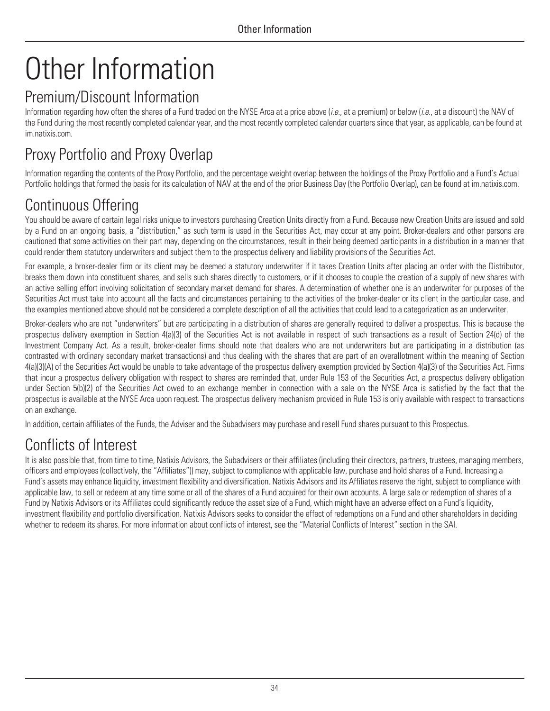# <span id="page-37-0"></span>Other Information

## <span id="page-37-1"></span>Premium/Discount Information

Information regarding how often the shares of a Fund traded on the NYSE Arca at a price above (*i.e.*, at a premium) or below (*i.e.*, at a discount) the NAV of the Fund during the most recently completed calendar year, and the most recently completed calendar quarters since that year, as applicable, can be found at [im.natixis.com.](http://im.natixis.com)

# <span id="page-37-2"></span>Proxy Portfolio and Proxy Overlap

Information regarding the contents of the Proxy Portfolio, and the percentage weight overlap between the holdings of the Proxy Portfolio and a Fund's Actual Portfolio holdings that formed the basis for its calculation of NAV at the end of the prior Business Day (the Portfolio Overlap), can be found at [im.natixis.com.](http://im.natixis.com)

# <span id="page-37-3"></span>Continuous Offering

You should be aware of certain legal risks unique to investors purchasing Creation Units directly from a Fund. Because new Creation Units are issued and sold by a Fund on an ongoing basis, a "distribution," as such term is used in the Securities Act, may occur at any point. Broker-dealers and other persons are cautioned that some activities on their part may, depending on the circumstances, result in their being deemed participants in a distribution in a manner that could render them statutory underwriters and subject them to the prospectus delivery and liability provisions of the Securities Act.

For example, a broker-dealer firm or its client may be deemed a statutory underwriter if it takes Creation Units after placing an order with the Distributor, breaks them down into constituent shares, and sells such shares directly to customers, or if it chooses to couple the creation of a supply of new shares with an active selling effort involving solicitation of secondary market demand for shares. A determination of whether one is an underwriter for purposes of the Securities Act must take into account all the facts and circumstances pertaining to the activities of the broker-dealer or its client in the particular case, and the examples mentioned above should not be considered a complete description of all the activities that could lead to a categorization as an underwriter.

Broker-dealers who are not "underwriters" but are participating in a distribution of shares are generally required to deliver a prospectus. This is because the prospectus delivery exemption in Section 4(a)(3) of the Securities Act is not available in respect of such transactions as a result of Section 24(d) of the Investment Company Act. As a result, broker-dealer firms should note that dealers who are not underwriters but are participating in a distribution (as contrasted with ordinary secondary market transactions) and thus dealing with the shares that are part of an overallotment within the meaning of Section 4(a)(3)(A) of the Securities Act would be unable to take advantage of the prospectus delivery exemption provided by Section 4(a)(3) of the Securities Act. Firms that incur a prospectus delivery obligation with respect to shares are reminded that, under Rule 153 of the Securities Act, a prospectus delivery obligation under Section 5(b)(2) of the Securities Act owed to an exchange member in connection with a sale on the NYSE Arca is satisfied by the fact that the prospectus is available at the NYSE Arca upon request. The prospectus delivery mechanism provided in Rule 153 is only available with respect to transactions on an exchange.

In addition, certain affiliates of the Funds, the Adviser and the Subadvisers may purchase and resell Fund shares pursuant to this Prospectus.

# <span id="page-37-4"></span>Conflicts of Interest

It is also possible that, from time to time, Natixis Advisors, the Subadvisers or their affiliates (including their directors, partners, trustees, managing members, officers and employees (collectively, the "Affiliates")) may, subject to compliance with applicable law, purchase and hold shares of a Fund. Increasing a Fund's assets may enhance liquidity, investment flexibility and diversification. Natixis Advisors and its Affiliates reserve the right, subject to compliance with applicable law, to sell or redeem at any time some or all of the shares of a Fund acquired for their own accounts. A large sale or redemption of shares of a Fund by Natixis Advisors or its Affiliates could significantly reduce the asset size of a Fund, which might have an adverse effect on a Fund's liquidity, investment flexibility and portfolio diversification. Natixis Advisors seeks to consider the effect of redemptions on a Fund and other shareholders in deciding whether to redeem its shares. For more information about conflicts of interest, see the "Material Conflicts of Interest" section in the SAI.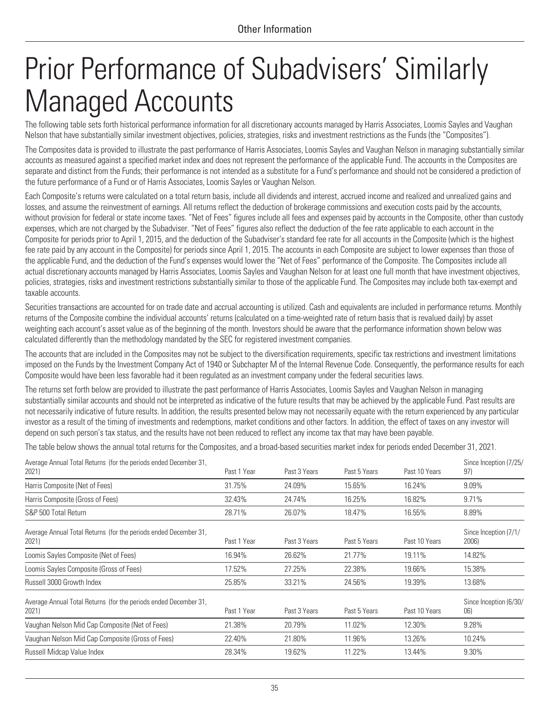# <span id="page-38-0"></span>Prior Performance of Subadvisers' Similarly Managed Accounts

The following table sets forth historical performance information for all discretionary accounts managed by Harris Associates, Loomis Sayles and Vaughan Nelson that have substantially similar investment objectives, policies, strategies, risks and investment restrictions as the Funds (the "Composites").

The Composites data is provided to illustrate the past performance of Harris Associates, Loomis Sayles and Vaughan Nelson in managing substantially similar accounts as measured against a specified market index and does not represent the performance of the applicable Fund. The accounts in the Composites are separate and distinct from the Funds; their performance is not intended as a substitute for a Fund's performance and should not be considered a prediction of the future performance of a Fund or of Harris Associates, Loomis Sayles or Vaughan Nelson.

Each Composite's returns were calculated on a total return basis, include all dividends and interest, accrued income and realized and unrealized gains and losses, and assume the reinvestment of earnings. All returns reflect the deduction of brokerage commissions and execution costs paid by the accounts, without provision for federal or state income taxes. "Net of Fees" figures include all fees and expenses paid by accounts in the Composite, other than custody expenses, which are not charged by the Subadviser. "Net of Fees" figures also reflect the deduction of the fee rate applicable to each account in the Composite for periods prior to April 1, 2015, and the deduction of the Subadviser's standard fee rate for all accounts in the Composite (which is the highest fee rate paid by any account in the Composite) for periods since April 1, 2015. The accounts in each Composite are subject to lower expenses than those of the applicable Fund, and the deduction of the Fund's expenses would lower the "Net of Fees" performance of the Composite. The Composites include all actual discretionary accounts managed by Harris Associates, Loomis Sayles and Vaughan Nelson for at least one full month that have investment objectives, policies, strategies, risks and investment restrictions substantially similar to those of the applicable Fund. The Composites may include both tax-exempt and taxable accounts.

Securities transactions are accounted for on trade date and accrual accounting is utilized. Cash and equivalents are included in performance returns. Monthly returns of the Composite combine the individual accounts' returns (calculated on a time-weighted rate of return basis that is revalued daily) by asset weighting each account's asset value as of the beginning of the month. Investors should be aware that the performance information shown below was calculated differently than the methodology mandated by the SEC for registered investment companies.

The accounts that are included in the Composites may not be subject to the diversification requirements, specific tax restrictions and investment limitations imposed on the Funds by the Investment Company Act of 1940 or Subchapter M of the Internal Revenue Code. Consequently, the performance results for each Composite would have been less favorable had it been regulated as an investment company under the federal securities laws.

The returns set forth below are provided to illustrate the past performance of Harris Associates, Loomis Sayles and Vaughan Nelson in managing substantially similar accounts and should not be interpreted as indicative of the future results that may be achieved by the applicable Fund. Past results are not necessarily indicative of future results. In addition, the results presented below may not necessarily equate with the return experienced by any particular investor as a result of the timing of investments and redemptions, market conditions and other factors. In addition, the effect of taxes on any investor will depend on such person's tax status, and the results have not been reduced to reflect any income tax that may have been payable.

The table below shows the annual total returns for the Composites, and a broad-based securities market index for periods ended December 31, 2021.

| Average Annual Total Returns (for the periods ended December 31,<br>2021) | Past 1 Year | Past 3 Years | Past 5 Years | Past 10 Years | Since Inception (7/25/<br>97)  |
|---------------------------------------------------------------------------|-------------|--------------|--------------|---------------|--------------------------------|
| Harris Composite (Net of Fees)                                            | 31.75%      | 24.09%       | 15.65%       | 16.24%        | 9.09%                          |
| Harris Composite (Gross of Fees)                                          | 32.43%      | 24.74%       | 16.25%       | 16.82%        | 9.71%                          |
| S&P 500 Total Return                                                      | 28.71%      | 26.07%       | 18.47%       | 16.55%        | 8.89%                          |
| Average Annual Total Returns (for the periods ended December 31,<br>2021) | Past 1 Year | Past 3 Years | Past 5 Years | Past 10 Years | Since Inception (7/1/<br>2006) |
| Loomis Sayles Composite (Net of Fees)                                     | 16.94%      | 26.62%       | 21.77%       | 19.11%        | 14.82%                         |
| Loomis Sayles Composite (Gross of Fees)                                   | 17.52%      | 27.25%       | 22.38%       | 19.66%        | 15.38%                         |
| Russell 3000 Growth Index                                                 | 25.85%      | 33.21%       | 24.56%       | 19.39%        | 13.68%                         |
| Average Annual Total Returns (for the periods ended December 31,<br>2021) | Past 1 Year | Past 3 Years | Past 5 Years | Past 10 Years | Since Inception (6/30/<br>06)  |
| Vaughan Nelson Mid Cap Composite (Net of Fees)                            | 21.38%      | 20.79%       | 11.02%       | 12.30%        | 9.28%                          |
| Vaughan Nelson Mid Cap Composite (Gross of Fees)                          | 22.40%      | 21.80%       | 11.96%       | 13.26%        | 10.24%                         |
| Russell Midcap Value Index                                                | 28.34%      | 19.62%       | 11.22%       | 13.44%        | 9.30%                          |
|                                                                           |             |              |              |               |                                |

35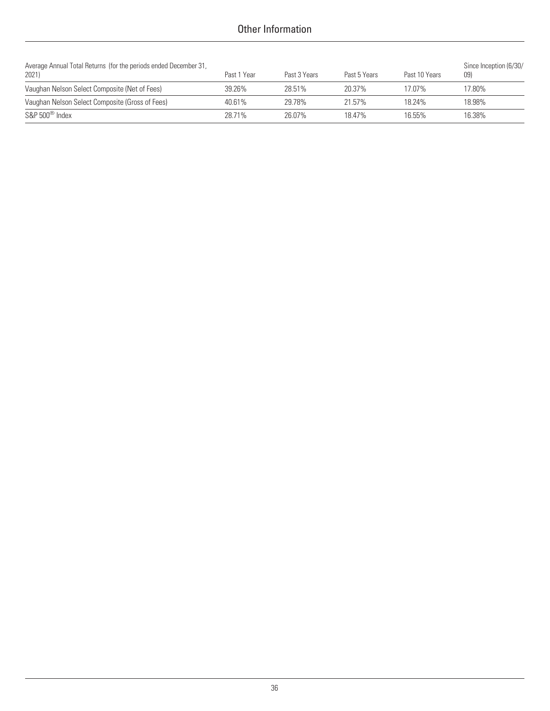### Other Information

| Average Annual Total Returns (for the periods ended December 31,<br>2021) | Past 1 Year | Past 3 Years | Past 5 Years | Past 10 Years | Since Inception (6/30/<br>09) |
|---------------------------------------------------------------------------|-------------|--------------|--------------|---------------|-------------------------------|
| Vaughan Nelson Select Composite (Net of Fees)                             | 39.26%      | 28.51%       | 20.37%       | 17.07%        | 17.80%                        |
| Vaughan Nelson Select Composite (Gross of Fees)                           | 40.61%      | 29.78%       | 21.57%       | 18.24%        | 18.98%                        |
| $S\&P 500^{\circledcirc}$ Index                                           | 28.71%      | 26.07%       | 18 47%       | 16.55%        | 16.38%                        |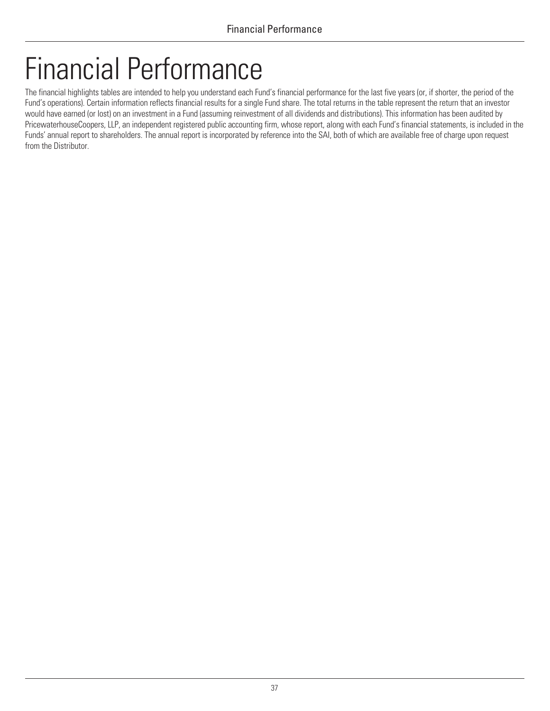# <span id="page-40-0"></span>Financial Performance

The financial highlights tables are intended to help you understand each Fund's financial performance for the last five years (or, if shorter, the period of the Fund's operations). Certain information reflects financial results for a single Fund share. The total returns in the table represent the return that an investor would have earned (or lost) on an investment in a Fund (assuming reinvestment of all dividends and distributions). This information has been audited by PricewaterhouseCoopers, LLP, an independent registered public accounting firm, whose report, along with each Fund's financial statements, is included in the Funds' annual report to shareholders. The annual report is incorporated by reference into the SAI, both of which are available free of charge upon request from the Distributor.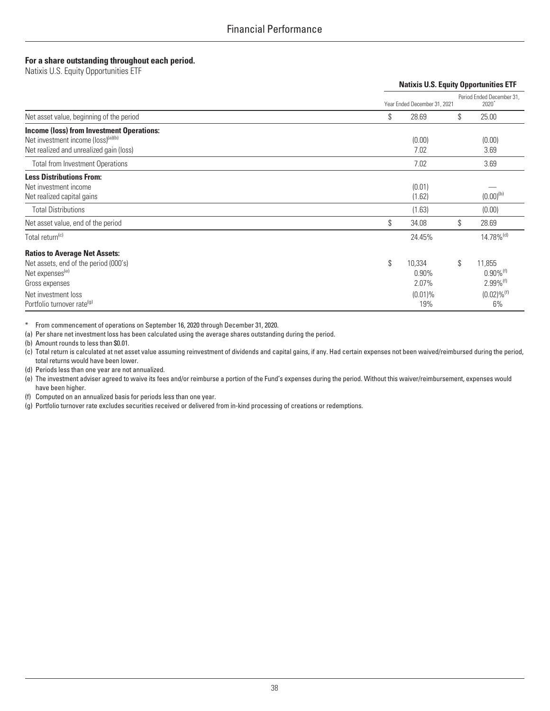#### **For a share outstanding throughout each period.**

| TUT a share butstanung unbugnout cach penou.<br>Natixis U.S. Equity Opportunities ETF                                                                                                           |                                                        |                                                                                                        |
|-------------------------------------------------------------------------------------------------------------------------------------------------------------------------------------------------|--------------------------------------------------------|--------------------------------------------------------------------------------------------------------|
|                                                                                                                                                                                                 |                                                        | <b>Natixis U.S. Equity Opportunities ETF</b>                                                           |
|                                                                                                                                                                                                 | Year Ended December 31, 2021                           | Period Ended December 31,<br>$2020*$                                                                   |
| Net asset value, beginning of the period                                                                                                                                                        | \$<br>28.69                                            | \$<br>25.00                                                                                            |
| <b>Income (loss) from Investment Operations:</b><br>Net investment income (loss) <sup>(a)(b)</sup><br>Net realized and unrealized gain (loss)                                                   | (0.00)<br>7.02                                         | (0.00)<br>3.69                                                                                         |
| <b>Total from Investment Operations</b>                                                                                                                                                         | 7.02                                                   | 3.69                                                                                                   |
| <b>Less Distributions From:</b><br>Net investment income<br>Net realized capital gains                                                                                                          | (0.01)<br>(1.62)                                       | $(0.00)^{(b)}$                                                                                         |
| <b>Total Distributions</b>                                                                                                                                                                      | (1.63)                                                 | (0.00)                                                                                                 |
| Net asset value, end of the period                                                                                                                                                              | \$<br>34.08                                            | \$<br>28.69                                                                                            |
| Total return <sup>(c)</sup>                                                                                                                                                                     | 24.45%                                                 | 14.78% <sup>(d)</sup>                                                                                  |
| <b>Ratios to Average Net Assets:</b><br>Net assets, end of the period (000's)<br>Net expenses <sup>(e)</sup><br>Gross expenses<br>Net investment loss<br>Portfolio turnover rate <sup>(g)</sup> | \$<br>10,334<br>$0.90\%$<br>2.07%<br>$(0.01)\%$<br>19% | \$<br>11,855<br>$0.90\%$ <sup>(f)</sup><br>$2.99\%$ <sup>(f)</sup><br>$(0.02) \%$ <sup>(f)</sup><br>6% |

\* From commencement of operations on September 16, 2020 through December 31, 2020.

(a) Per share net investment loss has been calculated using the average shares outstanding during the period.

(b) Amount rounds to less than \$0.01.

(c) Total return is calculated at net asset value assuming reinvestment of dividends and capital gains, if any. Had certain expenses not been waived/reimbursed during the period, total returns would have been lower.

(d) Periods less than one year are not annualized.

(e) The investment adviser agreed to waive its fees and/or reimburse a portion of the Fund's expenses during the period. Without this waiver/reimbursement, expenses would have been higher.

(f) Computed on an annualized basis for periods less than one year.

(g) Portfolio turnover rate excludes securities received or delivered from in-kind processing of creations or redemptions.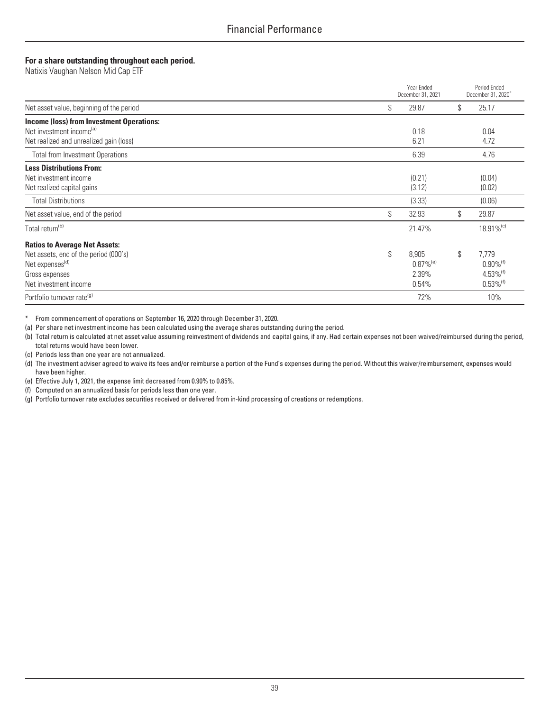#### **For a share outstanding throughout each period.**

| For a share outstanding throughout each period.<br>Natixis Vaughan Nelson Mid Cap ETF                                                                   |                                                          |                                                                                              |
|---------------------------------------------------------------------------------------------------------------------------------------------------------|----------------------------------------------------------|----------------------------------------------------------------------------------------------|
|                                                                                                                                                         | Year Ended<br>December 31, 2021                          | Period Ended<br>December 31, 2020 <sup>*</sup>                                               |
| Net asset value, beginning of the period                                                                                                                | \$<br>29.87                                              | \$<br>25.17                                                                                  |
| <b>Income (loss) from Investment Operations:</b><br>Net investment income <sup>(a)</sup><br>Net realized and unrealized gain (loss)                     | 0.18<br>6.21                                             | 0.04<br>4.72                                                                                 |
| <b>Total from Investment Operations</b>                                                                                                                 | 6.39                                                     | 4.76                                                                                         |
| <b>Less Distributions From:</b><br>Net investment income<br>Net realized capital gains                                                                  | (0.21)<br>(3.12)                                         | (0.04)<br>(0.02)                                                                             |
| <b>Total Distributions</b>                                                                                                                              | (3.33)                                                   | (0.06)                                                                                       |
| Net asset value, end of the period                                                                                                                      | \$<br>32.93                                              | \$<br>29.87                                                                                  |
| Total return <sup>(b)</sup>                                                                                                                             | 21.47%                                                   | 18.91% <sup>(c)</sup>                                                                        |
| <b>Ratios to Average Net Assets:</b><br>Net assets, end of the period (000's)<br>Net expenses <sup>(d)</sup><br>Gross expenses<br>Net investment income | \$<br>8,905<br>$0.87\%$ <sup>(e)</sup><br>2.39%<br>0.54% | \$<br>7,779<br>$0.90\%$ <sup>(f)</sup><br>$4.53\%$ <sup>(f)</sup><br>$0.53\%$ <sup>(f)</sup> |
| Portfolio turnover rate <sup>(g)</sup>                                                                                                                  | 72%                                                      | 10%                                                                                          |

\* From commencement of operations on September 16, 2020 through December 31, 2020.

(a) Per share net investment income has been calculated using the average shares outstanding during the period.

(b) Total return is calculated at net asset value assuming reinvestment of dividends and capital gains, if any. Had certain expenses not been waived/reimbursed during the period, total returns would have been lower.

(c) Periods less than one year are not annualized.

- (d) The investment adviser agreed to waive its fees and/or reimburse a portion of the Fund's expenses during the period. Without this waiver/reimbursement, expenses would have been higher.
- (e) Effective July 1, 2021, the expense limit decreased from 0.90% to 0.85%.

(f) Computed on an annualized basis for periods less than one year.

(g) Portfolio turnover rate excludes securities received or delivered from in-kind processing of creations or redemptions.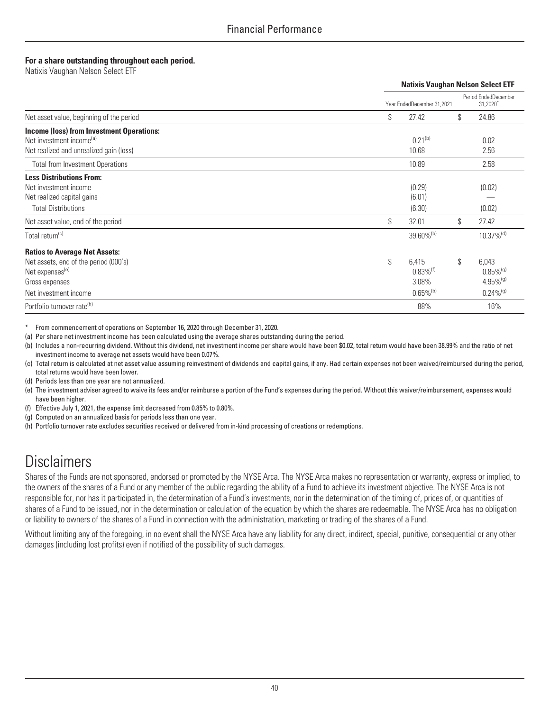#### **For a share outstanding throughout each period.**

| ror a onaro oatotanamy unoaynoat oaon porioa.<br>Natixis Vaughan Nelson Select ETF                                                                      |                                                                            |                                                                                              |
|---------------------------------------------------------------------------------------------------------------------------------------------------------|----------------------------------------------------------------------------|----------------------------------------------------------------------------------------------|
|                                                                                                                                                         |                                                                            | <b>Natixis Vaughan Nelson Select ETF</b>                                                     |
|                                                                                                                                                         | Year EndedDecember 31,2021                                                 | Period EndedDecember<br>31,2020                                                              |
| Net asset value, beginning of the period                                                                                                                | \$<br>27.42                                                                | \$<br>24.86                                                                                  |
| <b>Income (loss) from Investment Operations:</b><br>Net investment income <sup>(a)</sup><br>Net realized and unrealized gain (loss)                     | $0.21^{(b)}$<br>10.68                                                      | 0.02<br>2.56                                                                                 |
| <b>Total from Investment Operations</b>                                                                                                                 | 10.89                                                                      | 2.58                                                                                         |
| <b>Less Distributions From:</b><br>Net investment income<br>Net realized capital gains<br><b>Total Distributions</b>                                    | (0.29)<br>(6.01)<br>(6.30)                                                 | (0.02)<br>(0.02)                                                                             |
| Net asset value, end of the period                                                                                                                      | \$<br>32.01                                                                | \$<br>27.42                                                                                  |
| Total return <sup>(c)</sup>                                                                                                                             | 39.60% <sup>(b)</sup>                                                      | $10.37\%$ <sup>(d)</sup>                                                                     |
| <b>Ratios to Average Net Assets:</b><br>Net assets, end of the period (000's)<br>Net expenses <sup>(e)</sup><br>Gross expenses<br>Net investment income | \$<br>6,415<br>$0.83\%$ <sup>(f)</sup><br>3.08%<br>$0.65\%$ <sup>(b)</sup> | \$<br>6,043<br>$0.85\%$ <sup>(g)</sup><br>$4.95\%$ <sup>(g)</sup><br>$0.24\%$ <sup>(g)</sup> |
| Portfolio turnover rate <sup>(h)</sup>                                                                                                                  | 88%                                                                        | 16%                                                                                          |

From commencement of operations on September 16, 2020 through December 31, 2020.

(a) Per share net investment income has been calculated using the average shares outstanding during the period.

(b) Includes a non-recurring dividend. Without this dividend, net investment income per share would have been \$0.02, total return would have been 38.99% and the ratio of net investment income to average net assets would have been 0.07%.

- (c) Total return is calculated at net asset value assuming reinvestment of dividends and capital gains, if any. Had certain expenses not been waived/reimbursed during the period, total returns would have been lower.
- (d) Periods less than one year are not annualized.
- (e) The investment adviser agreed to waive its fees and/or reimburse a portion of the Fund's expenses during the period. Without this waiver/reimbursement, expenses would have been higher.
- (f) Effective July 1, 2021, the expense limit decreased from 0.85% to 0.80%.
- (g) Computed on an annualized basis for periods less than one year.
- (h) Portfolio turnover rate excludes securities received or delivered from in-kind processing of creations or redemptions.

# **Disclaimers**

Shares of the Funds are not sponsored, endorsed or promoted by the NYSE Arca. The NYSE Arca makes no representation or warranty, express or implied, to the owners of the shares of a Fund or any member of the public regarding the ability of a Fund to achieve its investment objective. The NYSE Arca is not responsible for, nor has it participated in, the determination of a Fund's investments, nor in the determination of the timing of, prices of, or quantities of shares of a Fund to be issued, nor in the determination or calculation of the equation by which the shares are redeemable. The NYSE Arca has no obligation or liability to owners of the shares of a Fund in connection with the administration, marketing or trading of the shares of a Fund.

Without limiting any of the foregoing, in no event shall the NYSE Arca have any liability for any direct, indirect, special, punitive, consequential or any other damages (including lost profits) even if notified of the possibility of such damages.